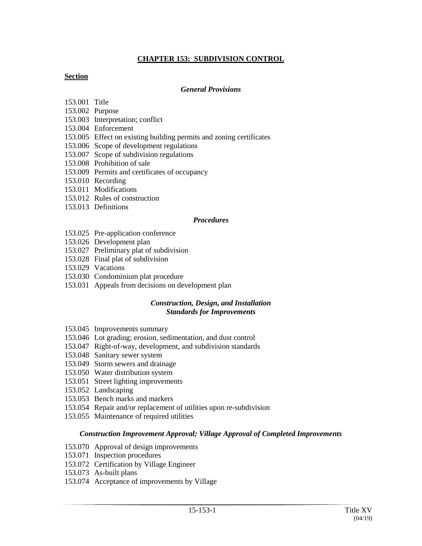# **CHAPTER 153: SUBDIVISION CONTROL**

### **Section**

#### *General Provisions*

- 153.001 Title
- 153.002 Purpose
- 153.003 Interpretation; conflict
- 153.004 Enforcement
- 153.005 Effect on existing building permits and zoning certificates
- 153.006 Scope of development regulations
- 153.007 Scope of subdivision regulations
- 153.008 Prohibition of sale
- 153.009 Permits and certificates of occupancy
- 153.010 Recording
- 153.011 Modifications
- 153.012 Rules of construction
- 153.013 Definitions

### *Procedures*

- 153.025 Pre-application conference
- 153.026 Development plan
- 153.027 Preliminary plat of subdivision
- 153.028 Final plat of subdivision
- 153.029 Vacations
- 153.030 Condominium plat procedure
- 153.031 Appeals from decisions on development plan

### *Construction, Design, and Installation Standards for Improvements*

- 153.045 Improvements summary
- 153.046 Lot grading; erosion, sedimentation, and dust control
- 153.047 Right-of-way, development, and subdivision standards
- 153.048 Sanitary sewer system
- 153.049 Storm sewers and drainage
- 153.050 Water distribution system
- 153.051 Street lighting improvements
- 153.052 Landscaping
- 153.053 Bench marks and markers
- 153.054 Repair and/or replacement of utilities upon re-subdivision
- 153.055 Maintenance of required utilities

### *Construction Improvement Approval; Village Approval of Completed Improvements*

- 153.070 Approval of design improvements
- 153.071 Inspection procedures
- 153.072 Certification by Village Engineer
- 153.073 As-built plans
- 153.074 Acceptance of improvements by Village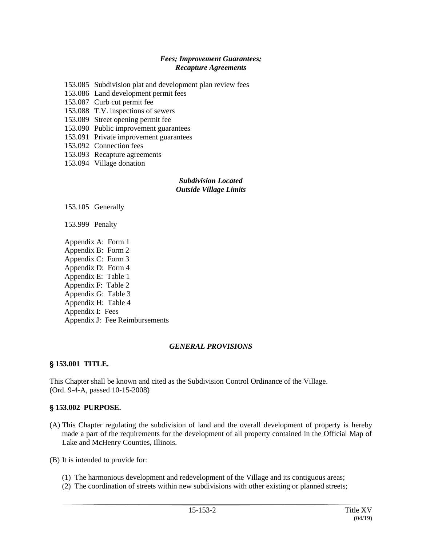### *Fees; Improvement Guarantees; Recapture Agreements*

- 153.085 Subdivision plat and development plan review fees
- 153.086 Land development permit fees
- 153.087 Curb cut permit fee
- 153.088 T.V. inspections of sewers
- 153.089 Street opening permit fee
- 153.090 Public improvement guarantees
- 153.091 Private improvement guarantees
- 153.092 Connection fees
- 153.093 Recapture agreements
- 153.094 Village donation

#### *Subdivision Located Outside Village Limits*

153.105 Generally

153.999 Penalty

Appendix A: Form 1 Appendix B: Form 2 Appendix C: Form 3 Appendix D: Form 4 Appendix E: Table 1 Appendix F: Table 2 Appendix G: Table 3 Appendix H: Table 4 Appendix I: Fees Appendix J: Fee Reimbursements

### *GENERAL PROVISIONS*

## ' **153.001 TITLE.**

This Chapter shall be known and cited as the Subdivision Control Ordinance of the Village. (Ord. 9-4-A, passed 10-15-2008)

## ' **153.002 PURPOSE.**

- (A) This Chapter regulating the subdivision of land and the overall development of property is hereby made a part of the requirements for the development of all property contained in the Official Map of Lake and McHenry Counties, Illinois.
- (B) It is intended to provide for:
	- (1) The harmonious development and redevelopment of the Village and its contiguous areas;
	- (2) The coordination of streets within new subdivisions with other existing or planned streets;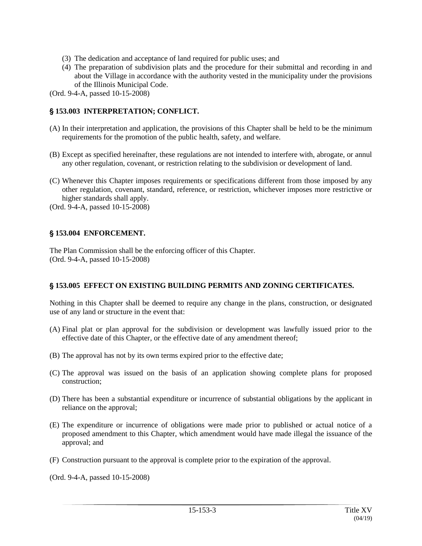- (3) The dedication and acceptance of land required for public uses; and
- (4) The preparation of subdivision plats and the procedure for their submittal and recording in and about the Village in accordance with the authority vested in the municipality under the provisions of the Illinois Municipal Code.

# ' **153.003 INTERPRETATION; CONFLICT.**

- (A) In their interpretation and application, the provisions of this Chapter shall be held to be the minimum requirements for the promotion of the public health, safety, and welfare.
- (B) Except as specified hereinafter, these regulations are not intended to interfere with, abrogate, or annul any other regulation, covenant, or restriction relating to the subdivision or development of land.
- (C) Whenever this Chapter imposes requirements or specifications different from those imposed by any other regulation, covenant, standard, reference, or restriction, whichever imposes more restrictive or higher standards shall apply.

(Ord. 9-4-A, passed 10-15-2008)

# ' **153.004 ENFORCEMENT.**

The Plan Commission shall be the enforcing officer of this Chapter. (Ord. 9-4-A, passed 10-15-2008)

# ' **153.005 EFFECT ON EXISTING BUILDING PERMITS AND ZONING CERTIFICATES.**

Nothing in this Chapter shall be deemed to require any change in the plans, construction, or designated use of any land or structure in the event that:

- (A) Final plat or plan approval for the subdivision or development was lawfully issued prior to the effective date of this Chapter, or the effective date of any amendment thereof;
- (B) The approval has not by its own terms expired prior to the effective date;
- (C) The approval was issued on the basis of an application showing complete plans for proposed construction;
- (D) There has been a substantial expenditure or incurrence of substantial obligations by the applicant in reliance on the approval;
- (E) The expenditure or incurrence of obligations were made prior to published or actual notice of a proposed amendment to this Chapter, which amendment would have made illegal the issuance of the approval; and
- (F) Construction pursuant to the approval is complete prior to the expiration of the approval.

(Ord. 9-4-A, passed 10-15-2008)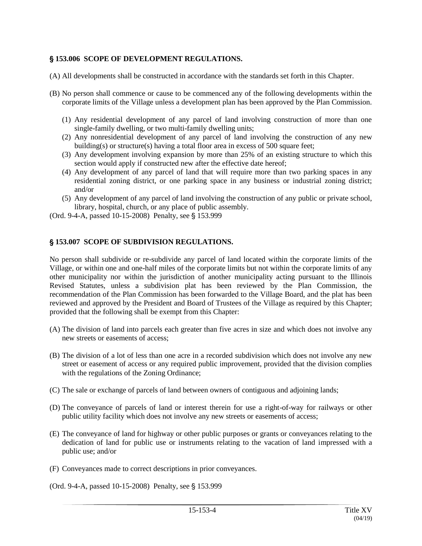## ' **153.006 SCOPE OF DEVELOPMENT REGULATIONS.**

- (A) All developments shall be constructed in accordance with the standards set forth in this Chapter.
- (B) No person shall commence or cause to be commenced any of the following developments within the corporate limits of the Village unless a development plan has been approved by the Plan Commission.
	- (1) Any residential development of any parcel of land involving construction of more than one single-family dwelling, or two multi-family dwelling units;
	- (2) Any nonresidential development of any parcel of land involving the construction of any new building(s) or structure(s) having a total floor area in excess of 500 square feet;
	- (3) Any development involving expansion by more than 25% of an existing structure to which this section would apply if constructed new after the effective date hereof;
	- (4) Any development of any parcel of land that will require more than two parking spaces in any residential zoning district, or one parking space in any business or industrial zoning district; and/or
	- (5) Any development of any parcel of land involving the construction of any public or private school, library, hospital, church, or any place of public assembly.

(Ord. 9-4-A, passed 10-15-2008) Penalty, see § 153.999

### ' **153.007 SCOPE OF SUBDIVISION REGULATIONS.**

No person shall subdivide or re-subdivide any parcel of land located within the corporate limits of the Village, or within one and one-half miles of the corporate limits but not within the corporate limits of any other municipality nor within the jurisdiction of another municipality acting pursuant to the Illinois Revised Statutes, unless a subdivision plat has been reviewed by the Plan Commission, the recommendation of the Plan Commission has been forwarded to the Village Board, and the plat has been reviewed and approved by the President and Board of Trustees of the Village as required by this Chapter; provided that the following shall be exempt from this Chapter:

- (A) The division of land into parcels each greater than five acres in size and which does not involve any new streets or easements of access;
- (B) The division of a lot of less than one acre in a recorded subdivision which does not involve any new street or easement of access or any required public improvement, provided that the division complies with the regulations of the Zoning Ordinance;
- (C) The sale or exchange of parcels of land between owners of contiguous and adjoining lands;
- (D) The conveyance of parcels of land or interest therein for use a right-of-way for railways or other public utility facility which does not involve any new streets or easements of access;
- (E) The conveyance of land for highway or other public purposes or grants or conveyances relating to the dedication of land for public use or instruments relating to the vacation of land impressed with a public use; and/or
- (F) Conveyances made to correct descriptions in prior conveyances.

(Ord. 9-4-A, passed 10-15-2008) Penalty, see § 153.999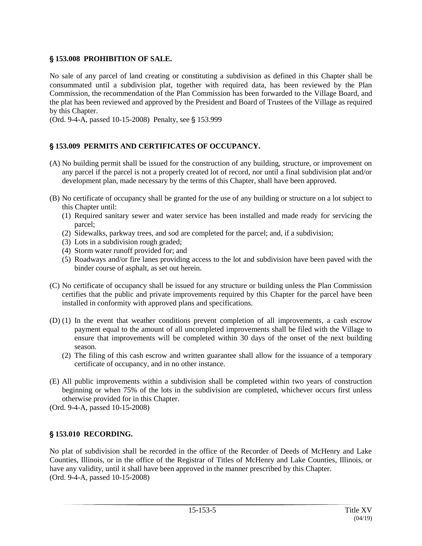# ' **153.008 PROHIBITION OF SALE.**

No sale of any parcel of land creating or constituting a subdivision as defined in this Chapter shall be consummated until a subdivision plat, together with required data, has been reviewed by the Plan Commission, the recommendation of the Plan Commission has been forwarded to the Village Board, and the plat has been reviewed and approved by the President and Board of Trustees of the Village as required by this Chapter.

(Ord. 9-4-A, passed 10-15-2008) Penalty, see § 153.999

# ' **153.009 PERMITS AND CERTIFICATES OF OCCUPANCY.**

- (A) No building permit shall be issued for the construction of any building, structure, or improvement on any parcel if the parcel is not a properly created lot of record, nor until a final subdivision plat and/or development plan, made necessary by the terms of this Chapter, shall have been approved.
- (B) No certificate of occupancy shall be granted for the use of any building or structure on a lot subject to this Chapter until:
	- (1) Required sanitary sewer and water service has been installed and made ready for servicing the parcel;
	- (2) Sidewalks, parkway trees, and sod are completed for the parcel; and, if a subdivision;
	- (3) Lots in a subdivision rough graded;
	- (4) Storm water runoff provided for; and
	- (5) Roadways and/or fire lanes providing access to the lot and subdivision have been paved with the binder course of asphalt, as set out herein.
- (C) No certificate of occupancy shall be issued for any structure or building unless the Plan Commission certifies that the public and private improvements required by this Chapter for the parcel have been installed in conformity with approved plans and specifications.
- (D) (1) In the event that weather conditions prevent completion of all improvements, a cash escrow payment equal to the amount of all uncompleted improvements shall be filed with the Village to ensure that improvements will be completed within 30 days of the onset of the next building season.
	- (2) The filing of this cash escrow and written guarantee shall allow for the issuance of a temporary certificate of occupancy, and in no other instance.
- (E) All public improvements within a subdivision shall be completed within two years of construction beginning or when 75% of the lots in the subdivision are completed, whichever occurs first unless otherwise provided for in this Chapter.
- (Ord. 9-4-A, passed 10-15-2008)

# ' **153.010 RECORDING.**

No plat of subdivision shall be recorded in the office of the Recorder of Deeds of McHenry and Lake Counties, Illinois, or in the office of the Registrar of Titles of McHenry and Lake Counties, Illinois, or have any validity, until it shall have been approved in the manner prescribed by this Chapter. (Ord. 9-4-A, passed 10-15-2008)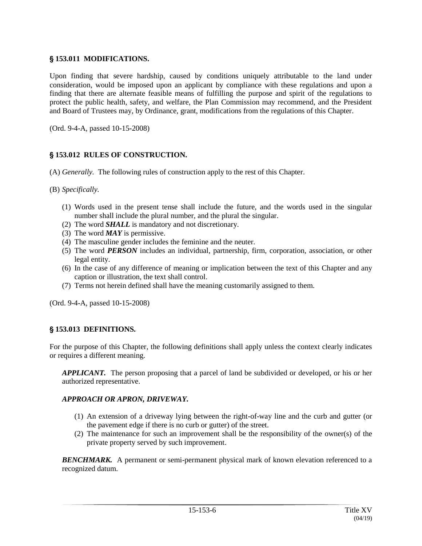## ' **153.011 MODIFICATIONS.**

Upon finding that severe hardship, caused by conditions uniquely attributable to the land under consideration, would be imposed upon an applicant by compliance with these regulations and upon a finding that there are alternate feasible means of fulfilling the purpose and spirit of the regulations to protect the public health, safety, and welfare, the Plan Commission may recommend, and the President and Board of Trustees may, by Ordinance, grant, modifications from the regulations of this Chapter.

(Ord. 9-4-A, passed 10-15-2008)

## ' **153.012 RULES OF CONSTRUCTION.**

- (A) *Generally.* The following rules of construction apply to the rest of this Chapter.
- (B) *Specifically.*
	- (1) Words used in the present tense shall include the future, and the words used in the singular number shall include the plural number, and the plural the singular.
	- (2) The word *SHALL* is mandatory and not discretionary.
	- (3) The word *MAY* is permissive.
	- (4) The masculine gender includes the feminine and the neuter.
	- (5) The word *PERSON* includes an individual, partnership, firm, corporation, association, or other legal entity.
	- (6) In the case of any difference of meaning or implication between the text of this Chapter and any caption or illustration, the text shall control.
	- (7) Terms not herein defined shall have the meaning customarily assigned to them.

(Ord. 9-4-A, passed 10-15-2008)

## ' **153.013 DEFINITIONS.**

For the purpose of this Chapter, the following definitions shall apply unless the context clearly indicates or requires a different meaning.

*APPLICANT.* The person proposing that a parcel of land be subdivided or developed, or his or her authorized representative.

### *APPROACH OR APRON, DRIVEWAY.*

- (1) An extension of a driveway lying between the right-of-way line and the curb and gutter (or the pavement edge if there is no curb or gutter) of the street.
- (2) The maintenance for such an improvement shall be the responsibility of the owner(s) of the private property served by such improvement.

**BENCHMARK.** A permanent or semi-permanent physical mark of known elevation referenced to a recognized datum.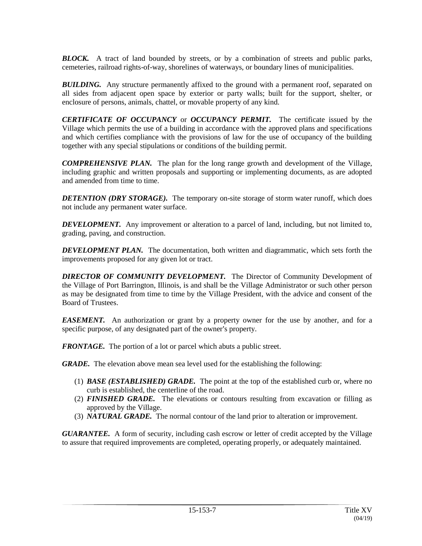*BLOCK.* A tract of land bounded by streets, or by a combination of streets and public parks, cemeteries, railroad rights-of-way, shorelines of waterways, or boundary lines of municipalities.

**BUILDING.** Any structure permanently affixed to the ground with a permanent roof, separated on all sides from adjacent open space by exterior or party walls; built for the support, shelter, or enclosure of persons, animals, chattel, or movable property of any kind.

*CERTIFICATE OF OCCUPANCY* or *OCCUPANCY PERMIT.* The certificate issued by the Village which permits the use of a building in accordance with the approved plans and specifications and which certifies compliance with the provisions of law for the use of occupancy of the building together with any special stipulations or conditions of the building permit.

*COMPREHENSIVE PLAN.* The plan for the long range growth and development of the Village, including graphic and written proposals and supporting or implementing documents, as are adopted and amended from time to time.

*DETENTION (DRY STORAGE).* The temporary on-site storage of storm water runoff, which does not include any permanent water surface.

**DEVELOPMENT.** Any improvement or alteration to a parcel of land, including, but not limited to, grading, paving, and construction.

*DEVELOPMENT PLAN.* The documentation, both written and diagrammatic, which sets forth the improvements proposed for any given lot or tract.

*DIRECTOR OF COMMUNITY DEVELOPMENT.* The Director of Community Development of the Village of Port Barrington, Illinois, is and shall be the Village Administrator or such other person as may be designated from time to time by the Village President, with the advice and consent of the Board of Trustees.

*EASEMENT.* An authorization or grant by a property owner for the use by another, and for a specific purpose, of any designated part of the owner's property.

*FRONTAGE.* The portion of a lot or parcel which abuts a public street.

*GRADE.* The elevation above mean sea level used for the establishing the following:

- (1) *BASE (ESTABLISHED) GRADE.* The point at the top of the established curb or, where no curb is established, the centerline of the road.
- (2) *FINISHED GRADE.* The elevations or contours resulting from excavation or filling as approved by the Village.
- (3) *NATURAL GRADE.* The normal contour of the land prior to alteration or improvement.

*GUARANTEE.* A form of security, including cash escrow or letter of credit accepted by the Village to assure that required improvements are completed, operating properly, or adequately maintained.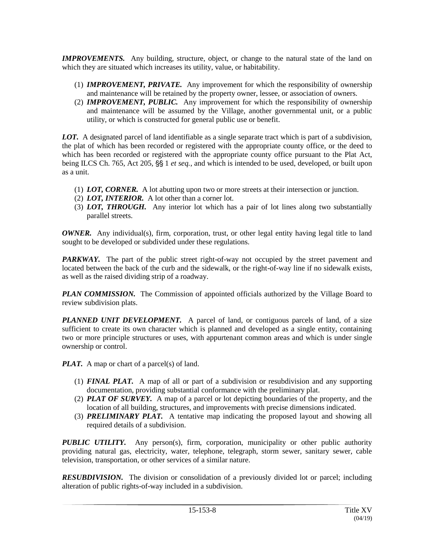*IMPROVEMENTS.* Any building, structure, object, or change to the natural state of the land on which they are situated which increases its utility, value, or habitability.

- (1) *IMPROVEMENT, PRIVATE.* Any improvement for which the responsibility of ownership and maintenance will be retained by the property owner, lessee, or association of owners.
- (2) *IMPROVEMENT, PUBLIC.* Any improvement for which the responsibility of ownership and maintenance will be assumed by the Village, another governmental unit, or a public utility, or which is constructed for general public use or benefit.

*LOT.* A designated parcel of land identifiable as a single separate tract which is part of a subdivision, the plat of which has been recorded or registered with the appropriate county office, or the deed to which has been recorded or registered with the appropriate county office pursuant to the Plat Act, being ILCS Ch. 765, Act 205, §§ 1 *et seq.*, and which is intended to be used, developed, or built upon as a unit.

- (1) *LOT, CORNER.* A lot abutting upon two or more streets at their intersection or junction.
- (2) *LOT, INTERIOR.* A lot other than a corner lot.
- (3) *LOT, THROUGH.* Any interior lot which has a pair of lot lines along two substantially parallel streets.

*OWNER.* Any individual(s), firm, corporation, trust, or other legal entity having legal title to land sought to be developed or subdivided under these regulations.

*PARKWAY.* The part of the public street right-of-way not occupied by the street pavement and located between the back of the curb and the sidewalk, or the right-of-way line if no sidewalk exists, as well as the raised dividing strip of a roadway.

*PLAN COMMISSION*. The Commission of appointed officials authorized by the Village Board to review subdivision plats.

**PLANNED UNIT DEVELOPMENT.** A parcel of land, or contiguous parcels of land, of a size sufficient to create its own character which is planned and developed as a single entity, containing two or more principle structures or uses, with appurtenant common areas and which is under single ownership or control.

*PLAT.* A map or chart of a parcel(s) of land.

- (1) *FINAL PLAT.* A map of all or part of a subdivision or resubdivision and any supporting documentation, providing substantial conformance with the preliminary plat.
- (2) *PLAT OF SURVEY.* A map of a parcel or lot depicting boundaries of the property, and the location of all building, structures, and improvements with precise dimensions indicated.
- (3) *PRELIMINARY PLAT.* A tentative map indicating the proposed layout and showing all required details of a subdivision.

*PUBLIC UTILITY.* Any person(s), firm, corporation, municipality or other public authority providing natural gas, electricity, water, telephone, telegraph, storm sewer, sanitary sewer, cable television, transportation, or other services of a similar nature.

**RESUBDIVISION.** The division or consolidation of a previously divided lot or parcel; including alteration of public rights-of-way included in a subdivision.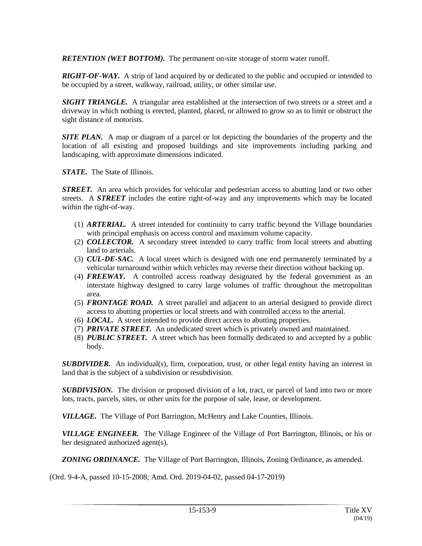*RETENTION (WET BOTTOM).* The permanent on-site storage of storm water runoff.

*RIGHT-OF-WAY.* A strip of land acquired by or dedicated to the public and occupied or intended to be occupied by a street, walkway, railroad, utility, or other similar use.

*SIGHT TRIANGLE.* A triangular area established at the intersection of two streets or a street and a driveway in which nothing is erected, planted, placed, or allowed to grow so as to limit or obstruct the sight distance of motorists.

**SITE PLAN.** A map or diagram of a parcel or lot depicting the boundaries of the property and the location of all existing and proposed buildings and site improvements including parking and landscaping, with approximate dimensions indicated.

*STATE.* The State of Illinois.

*STREET.* An area which provides for vehicular and pedestrian access to abutting land or two other streets. A *STREET* includes the entire right-of-way and any improvements which may be located within the right-of-way.

- (1) *ARTERIAL.* A street intended for continuity to carry traffic beyond the Village boundaries with principal emphasis on access control and maximum volume capacity.
- (2) *COLLECTOR.* A secondary street intended to carry traffic from local streets and abutting land to arterials.
- (3) *CUL-DE-SAC.* A local street which is designed with one end permanently terminated by a vehicular turnaround within which vehicles may reverse their direction without backing up.
- (4) *FREEWAY.* A controlled access roadway designated by the federal government as an interstate highway designed to carry large volumes of traffic throughout the metropolitan area.
- (5) *FRONTAGE ROAD.* A street parallel and adjacent to an arterial designed to provide direct access to abutting properties or local streets and with controlled access to the arterial.
- (6) *LOCAL.* A street intended to provide direct access to abutting properties.
- (7) *PRIVATE STREET.* An undedicated street which is privately owned and maintained.
- (8) *PUBLIC STREET.* A street which has been formally dedicated to and accepted by a public body.

**SUBDIVIDER.** An individual(s), firm, corporation, trust, or other legal entity having an interest in land that is the subject of a subdivision or resubdivision.

**SUBDIVISION.** The division or proposed division of a lot, tract, or parcel of land into two or more lots, tracts, parcels, sites, or other units for the purpose of sale, lease, or development.

*VILLAGE.* The Village of Port Barrington, McHenry and Lake Counties, Illinois.

*VILLAGE ENGINEER.* The Village Engineer of the Village of Port Barrington, Illinois, or his or her designated authorized agent(s).

*ZONING ORDINANCE.* The Village of Port Barrington, Illinois, Zoning Ordinance, as amended.

(Ord. 9-4-A, passed 10-15-2008; Amd. Ord. 2019-04-02, passed 04-17-2019)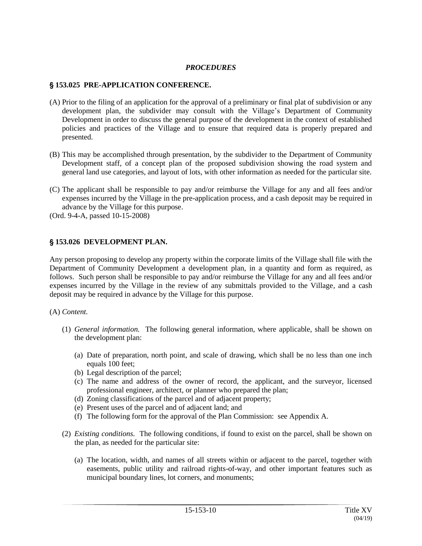### *PROCEDURES*

## ' **153.025 PRE-APPLICATION CONFERENCE.**

- (A) Prior to the filing of an application for the approval of a preliminary or final plat of subdivision or any development plan, the subdivider may consult with the Village's Department of Community Development in order to discuss the general purpose of the development in the context of established policies and practices of the Village and to ensure that required data is properly prepared and presented.
- (B) This may be accomplished through presentation, by the subdivider to the Department of Community Development staff, of a concept plan of the proposed subdivision showing the road system and general land use categories, and layout of lots, with other information as needed for the particular site.
- (C) The applicant shall be responsible to pay and/or reimburse the Village for any and all fees and/or expenses incurred by the Village in the pre-application process, and a cash deposit may be required in advance by the Village for this purpose.
- (Ord. 9-4-A, passed 10-15-2008)

### ' **153.026 DEVELOPMENT PLAN.**

Any person proposing to develop any property within the corporate limits of the Village shall file with the Department of Community Development a development plan, in a quantity and form as required, as follows. Such person shall be responsible to pay and/or reimburse the Village for any and all fees and/or expenses incurred by the Village in the review of any submittals provided to the Village, and a cash deposit may be required in advance by the Village for this purpose.

### (A) *Content.*

- (1) *General information.* The following general information, where applicable, shall be shown on the development plan:
	- (a) Date of preparation, north point, and scale of drawing, which shall be no less than one inch equals 100 feet;
	- (b) Legal description of the parcel;
	- (c) The name and address of the owner of record, the applicant, and the surveyor, licensed professional engineer, architect, or planner who prepared the plan;
	- (d) Zoning classifications of the parcel and of adjacent property;
	- (e) Present uses of the parcel and of adjacent land; and
	- (f) The following form for the approval of the Plan Commission: see Appendix A.
- (2) *Existing conditions.* The following conditions, if found to exist on the parcel, shall be shown on the plan, as needed for the particular site:
	- (a) The location, width, and names of all streets within or adjacent to the parcel, together with easements, public utility and railroad rights-of-way, and other important features such as municipal boundary lines, lot corners, and monuments;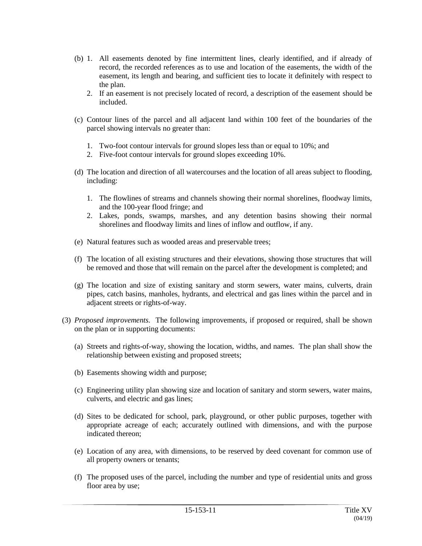- (b) 1. All easements denoted by fine intermittent lines, clearly identified, and if already of record, the recorded references as to use and location of the easements, the width of the easement, its length and bearing, and sufficient ties to locate it definitely with respect to the plan.
	- 2. If an easement is not precisely located of record, a description of the easement should be included.
- (c) Contour lines of the parcel and all adjacent land within 100 feet of the boundaries of the parcel showing intervals no greater than:
	- 1. Two-foot contour intervals for ground slopes less than or equal to 10%; and
	- 2. Five-foot contour intervals for ground slopes exceeding 10%.
- (d) The location and direction of all watercourses and the location of all areas subject to flooding, including:
	- 1. The flowlines of streams and channels showing their normal shorelines, floodway limits, and the 100-year flood fringe; and
	- 2. Lakes, ponds, swamps, marshes, and any detention basins showing their normal shorelines and floodway limits and lines of inflow and outflow, if any.
- (e) Natural features such as wooded areas and preservable trees;
- (f) The location of all existing structures and their elevations, showing those structures that will be removed and those that will remain on the parcel after the development is completed; and
- (g) The location and size of existing sanitary and storm sewers, water mains, culverts, drain pipes, catch basins, manholes, hydrants, and electrical and gas lines within the parcel and in adjacent streets or rights-of-way.
- (3) *Proposed improvements.* The following improvements, if proposed or required, shall be shown on the plan or in supporting documents:
	- (a) Streets and rights-of-way, showing the location, widths, and names. The plan shall show the relationship between existing and proposed streets;
	- (b) Easements showing width and purpose;
	- (c) Engineering utility plan showing size and location of sanitary and storm sewers, water mains, culverts, and electric and gas lines;
	- (d) Sites to be dedicated for school, park, playground, or other public purposes, together with appropriate acreage of each; accurately outlined with dimensions, and with the purpose indicated thereon;
	- (e) Location of any area, with dimensions, to be reserved by deed covenant for common use of all property owners or tenants;
	- (f) The proposed uses of the parcel, including the number and type of residential units and gross floor area by use;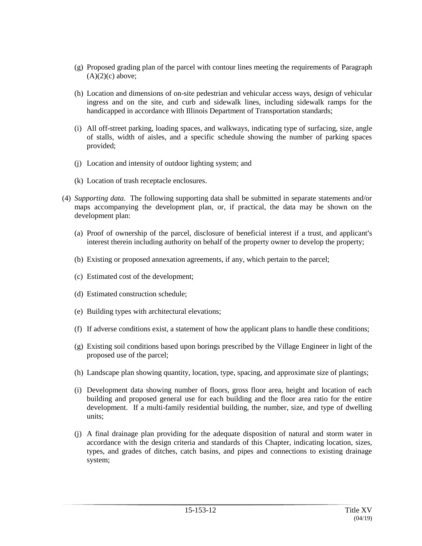- (g) Proposed grading plan of the parcel with contour lines meeting the requirements of Paragraph  $(A)(2)(c)$  above;
- (h) Location and dimensions of on-site pedestrian and vehicular access ways, design of vehicular ingress and on the site, and curb and sidewalk lines, including sidewalk ramps for the handicapped in accordance with Illinois Department of Transportation standards;
- (i) All off-street parking, loading spaces, and walkways, indicating type of surfacing, size, angle of stalls, width of aisles, and a specific schedule showing the number of parking spaces provided;
- (j) Location and intensity of outdoor lighting system; and
- (k) Location of trash receptacle enclosures.
- (4) *Supporting data.* The following supporting data shall be submitted in separate statements and/or maps accompanying the development plan, or, if practical, the data may be shown on the development plan:
	- (a) Proof of ownership of the parcel, disclosure of beneficial interest if a trust, and applicant's interest therein including authority on behalf of the property owner to develop the property;
	- (b) Existing or proposed annexation agreements, if any, which pertain to the parcel;
	- (c) Estimated cost of the development;
	- (d) Estimated construction schedule;
	- (e) Building types with architectural elevations;
	- (f) If adverse conditions exist, a statement of how the applicant plans to handle these conditions;
	- (g) Existing soil conditions based upon borings prescribed by the Village Engineer in light of the proposed use of the parcel;
	- (h) Landscape plan showing quantity, location, type, spacing, and approximate size of plantings;
	- (i) Development data showing number of floors, gross floor area, height and location of each building and proposed general use for each building and the floor area ratio for the entire development. If a multi-family residential building, the number, size, and type of dwelling units;
	- (j) A final drainage plan providing for the adequate disposition of natural and storm water in accordance with the design criteria and standards of this Chapter, indicating location, sizes, types, and grades of ditches, catch basins, and pipes and connections to existing drainage system;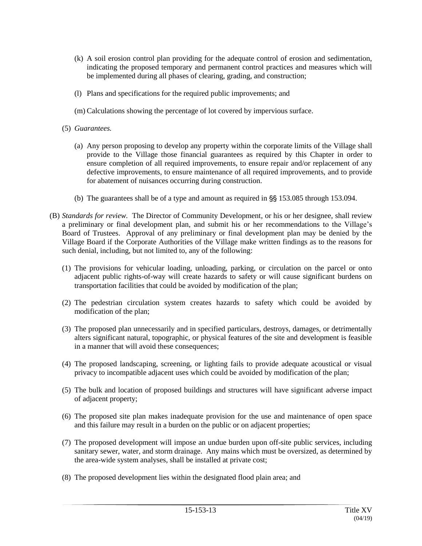- (k) A soil erosion control plan providing for the adequate control of erosion and sedimentation, indicating the proposed temporary and permanent control practices and measures which will be implemented during all phases of clearing, grading, and construction;
- (l) Plans and specifications for the required public improvements; and
- (m) Calculations showing the percentage of lot covered by impervious surface.
- (5) *Guarantees.*
	- (a) Any person proposing to develop any property within the corporate limits of the Village shall provide to the Village those financial guarantees as required by this Chapter in order to ensure completion of all required improvements, to ensure repair and/or replacement of any defective improvements, to ensure maintenance of all required improvements, and to provide for abatement of nuisances occurring during construction.
	- (b) The guarantees shall be of a type and amount as required in  $\frac{8}{5}$  153.085 through 153.094.
- (B) *Standards for review.* The Director of Community Development, or his or her designee, shall review a preliminary or final development plan, and submit his or her recommendations to the Village's Board of Trustees. Approval of any preliminary or final development plan may be denied by the Village Board if the Corporate Authorities of the Village make written findings as to the reasons for such denial, including, but not limited to, any of the following:
	- (1) The provisions for vehicular loading, unloading, parking, or circulation on the parcel or onto adjacent public rights-of-way will create hazards to safety or will cause significant burdens on transportation facilities that could be avoided by modification of the plan;
	- (2) The pedestrian circulation system creates hazards to safety which could be avoided by modification of the plan;
	- (3) The proposed plan unnecessarily and in specified particulars, destroys, damages, or detrimentally alters significant natural, topographic, or physical features of the site and development is feasible in a manner that will avoid these consequences;
	- (4) The proposed landscaping, screening, or lighting fails to provide adequate acoustical or visual privacy to incompatible adjacent uses which could be avoided by modification of the plan;
	- (5) The bulk and location of proposed buildings and structures will have significant adverse impact of adjacent property;
	- (6) The proposed site plan makes inadequate provision for the use and maintenance of open space and this failure may result in a burden on the public or on adjacent properties;
	- (7) The proposed development will impose an undue burden upon off-site public services, including sanitary sewer, water, and storm drainage. Any mains which must be oversized, as determined by the area-wide system analyses, shall be installed at private cost;
	- (8) The proposed development lies within the designated flood plain area; and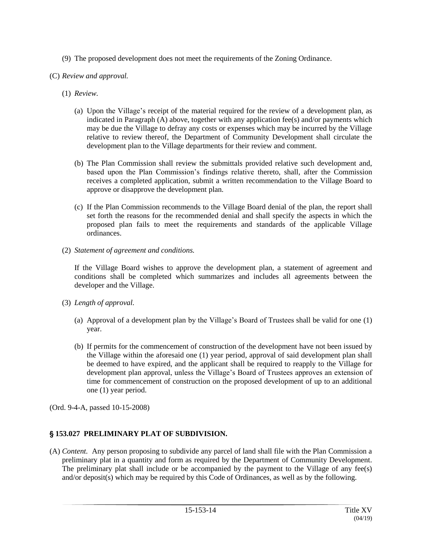- (9) The proposed development does not meet the requirements of the Zoning Ordinance.
- (C) *Review and approval.*
	- (1) *Review.*
		- (a) Upon the Village's receipt of the material required for the review of a development plan, as indicated in Paragraph (A) above, together with any application fee(s) and/or payments which may be due the Village to defray any costs or expenses which may be incurred by the Village relative to review thereof, the Department of Community Development shall circulate the development plan to the Village departments for their review and comment.
		- (b) The Plan Commission shall review the submittals provided relative such development and, based upon the Plan Commission's findings relative thereto, shall, after the Commission receives a completed application, submit a written recommendation to the Village Board to approve or disapprove the development plan.
		- (c) If the Plan Commission recommends to the Village Board denial of the plan, the report shall set forth the reasons for the recommended denial and shall specify the aspects in which the proposed plan fails to meet the requirements and standards of the applicable Village ordinances.
	- (2) *Statement of agreement and conditions.*

If the Village Board wishes to approve the development plan, a statement of agreement and conditions shall be completed which summarizes and includes all agreements between the developer and the Village.

- (3) *Length of approval.*
	- (a) Approval of a development plan by the Village's Board of Trustees shall be valid for one (1) year.
	- (b) If permits for the commencement of construction of the development have not been issued by the Village within the aforesaid one (1) year period, approval of said development plan shall be deemed to have expired, and the applicant shall be required to reapply to the Village for development plan approval, unless the Village's Board of Trustees approves an extension of time for commencement of construction on the proposed development of up to an additional one (1) year period.

(Ord. 9-4-A, passed 10-15-2008)

# ' **153.027 PRELIMINARY PLAT OF SUBDIVISION.**

(A) *Content.* Any person proposing to subdivide any parcel of land shall file with the Plan Commission a preliminary plat in a quantity and form as required by the Department of Community Development. The preliminary plat shall include or be accompanied by the payment to the Village of any fee(s) and/or deposit(s) which may be required by this Code of Ordinances, as well as by the following.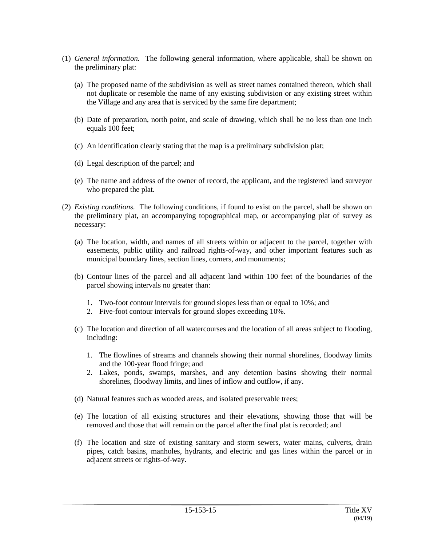- (1) *General information.* The following general information, where applicable, shall be shown on the preliminary plat:
	- (a) The proposed name of the subdivision as well as street names contained thereon, which shall not duplicate or resemble the name of any existing subdivision or any existing street within the Village and any area that is serviced by the same fire department;
	- (b) Date of preparation, north point, and scale of drawing, which shall be no less than one inch equals 100 feet;
	- (c) An identification clearly stating that the map is a preliminary subdivision plat;
	- (d) Legal description of the parcel; and
	- (e) The name and address of the owner of record, the applicant, and the registered land surveyor who prepared the plat.
- (2) *Existing conditions.* The following conditions, if found to exist on the parcel, shall be shown on the preliminary plat, an accompanying topographical map, or accompanying plat of survey as necessary:
	- (a) The location, width, and names of all streets within or adjacent to the parcel, together with easements, public utility and railroad rights-of-way, and other important features such as municipal boundary lines, section lines, corners, and monuments;
	- (b) Contour lines of the parcel and all adjacent land within 100 feet of the boundaries of the parcel showing intervals no greater than:
		- 1. Two-foot contour intervals for ground slopes less than or equal to 10%; and
		- 2. Five-foot contour intervals for ground slopes exceeding 10%.
	- (c) The location and direction of all watercourses and the location of all areas subject to flooding, including:
		- 1. The flowlines of streams and channels showing their normal shorelines, floodway limits and the 100-year flood fringe; and
		- 2. Lakes, ponds, swamps, marshes, and any detention basins showing their normal shorelines, floodway limits, and lines of inflow and outflow, if any.
	- (d) Natural features such as wooded areas, and isolated preservable trees;
	- (e) The location of all existing structures and their elevations, showing those that will be removed and those that will remain on the parcel after the final plat is recorded; and
	- (f) The location and size of existing sanitary and storm sewers, water mains, culverts, drain pipes, catch basins, manholes, hydrants, and electric and gas lines within the parcel or in adjacent streets or rights-of-way.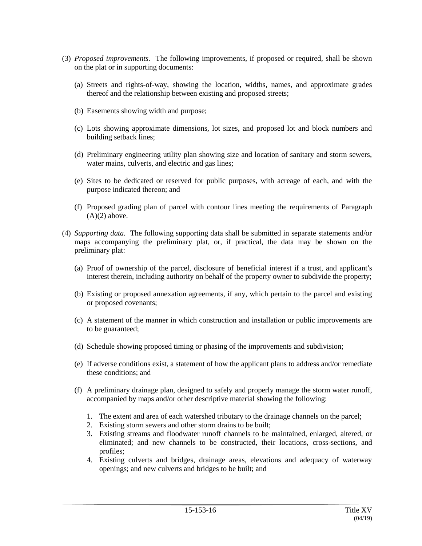- (3) *Proposed improvements.* The following improvements, if proposed or required, shall be shown on the plat or in supporting documents:
	- (a) Streets and rights-of-way, showing the location, widths, names, and approximate grades thereof and the relationship between existing and proposed streets;
	- (b) Easements showing width and purpose;
	- (c) Lots showing approximate dimensions, lot sizes, and proposed lot and block numbers and building setback lines;
	- (d) Preliminary engineering utility plan showing size and location of sanitary and storm sewers, water mains, culverts, and electric and gas lines;
	- (e) Sites to be dedicated or reserved for public purposes, with acreage of each, and with the purpose indicated thereon; and
	- (f) Proposed grading plan of parcel with contour lines meeting the requirements of Paragraph  $(A)(2)$  above.
- (4) *Supporting data.* The following supporting data shall be submitted in separate statements and/or maps accompanying the preliminary plat, or, if practical, the data may be shown on the preliminary plat:
	- (a) Proof of ownership of the parcel, disclosure of beneficial interest if a trust, and applicant's interest therein, including authority on behalf of the property owner to subdivide the property;
	- (b) Existing or proposed annexation agreements, if any, which pertain to the parcel and existing or proposed covenants;
	- (c) A statement of the manner in which construction and installation or public improvements are to be guaranteed;
	- (d) Schedule showing proposed timing or phasing of the improvements and subdivision;
	- (e) If adverse conditions exist, a statement of how the applicant plans to address and/or remediate these conditions; and
	- (f) A preliminary drainage plan, designed to safely and properly manage the storm water runoff, accompanied by maps and/or other descriptive material showing the following:
		- 1. The extent and area of each watershed tributary to the drainage channels on the parcel;
		- 2. Existing storm sewers and other storm drains to be built;
		- 3. Existing streams and floodwater runoff channels to be maintained, enlarged, altered, or eliminated; and new channels to be constructed, their locations, cross-sections, and profiles;
		- 4. Existing culverts and bridges, drainage areas, elevations and adequacy of waterway openings; and new culverts and bridges to be built; and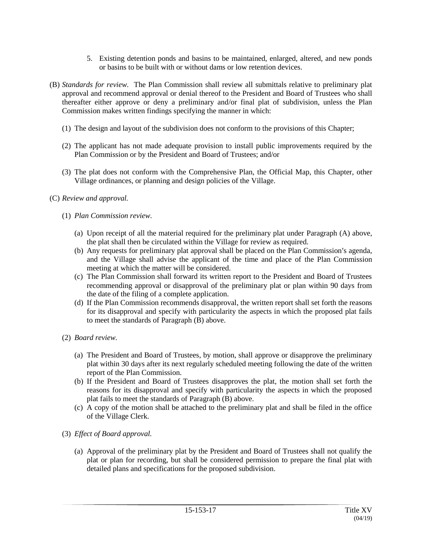- 5. Existing detention ponds and basins to be maintained, enlarged, altered, and new ponds or basins to be built with or without dams or low retention devices.
- (B) *Standards for review.* The Plan Commission shall review all submittals relative to preliminary plat approval and recommend approval or denial thereof to the President and Board of Trustees who shall thereafter either approve or deny a preliminary and/or final plat of subdivision, unless the Plan Commission makes written findings specifying the manner in which:
	- (1) The design and layout of the subdivision does not conform to the provisions of this Chapter;
	- (2) The applicant has not made adequate provision to install public improvements required by the Plan Commission or by the President and Board of Trustees; and/or
	- (3) The plat does not conform with the Comprehensive Plan, the Official Map, this Chapter, other Village ordinances, or planning and design policies of the Village.

## (C) *Review and approval.*

### (1) *Plan Commission review.*

- (a) Upon receipt of all the material required for the preliminary plat under Paragraph (A) above, the plat shall then be circulated within the Village for review as required.
- (b) Any requests for preliminary plat approval shall be placed on the Plan Commission's agenda, and the Village shall advise the applicant of the time and place of the Plan Commission meeting at which the matter will be considered.
- (c) The Plan Commission shall forward its written report to the President and Board of Trustees recommending approval or disapproval of the preliminary plat or plan within 90 days from the date of the filing of a complete application.
- (d) If the Plan Commission recommends disapproval, the written report shall set forth the reasons for its disapproval and specify with particularity the aspects in which the proposed plat fails to meet the standards of Paragraph (B) above.
- (2) *Board review.*
	- (a) The President and Board of Trustees, by motion, shall approve or disapprove the preliminary plat within 30 days after its next regularly scheduled meeting following the date of the written report of the Plan Commission.
	- (b) If the President and Board of Trustees disapproves the plat, the motion shall set forth the reasons for its disapproval and specify with particularity the aspects in which the proposed plat fails to meet the standards of Paragraph (B) above.
	- (c) A copy of the motion shall be attached to the preliminary plat and shall be filed in the office of the Village Clerk.
- (3) *Effect of Board approval.*
	- (a) Approval of the preliminary plat by the President and Board of Trustees shall not qualify the plat or plan for recording, but shall be considered permission to prepare the final plat with detailed plans and specifications for the proposed subdivision.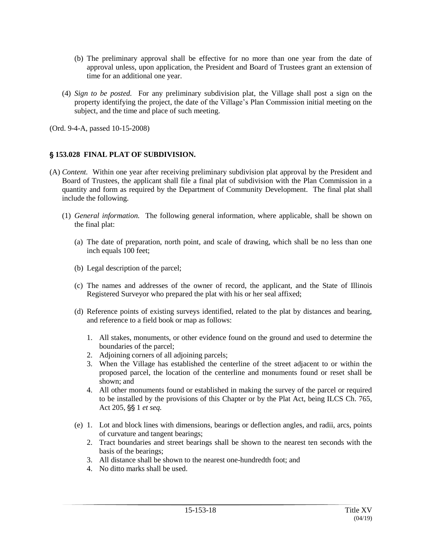- (b) The preliminary approval shall be effective for no more than one year from the date of approval unless, upon application, the President and Board of Trustees grant an extension of time for an additional one year.
- (4) *Sign to be posted.* For any preliminary subdivision plat, the Village shall post a sign on the property identifying the project, the date of the Village's Plan Commission initial meeting on the subject, and the time and place of such meeting.

## ' **153.028 FINAL PLAT OF SUBDIVISION.**

- (A) *Content.* Within one year after receiving preliminary subdivision plat approval by the President and Board of Trustees, the applicant shall file a final plat of subdivision with the Plan Commission in a quantity and form as required by the Department of Community Development. The final plat shall include the following.
	- (1) *General information.* The following general information, where applicable, shall be shown on the final plat:
		- (a) The date of preparation, north point, and scale of drawing, which shall be no less than one inch equals 100 feet;
		- (b) Legal description of the parcel;
		- (c) The names and addresses of the owner of record, the applicant, and the State of Illinois Registered Surveyor who prepared the plat with his or her seal affixed;
		- (d) Reference points of existing surveys identified, related to the plat by distances and bearing, and reference to a field book or map as follows:
			- 1. All stakes, monuments, or other evidence found on the ground and used to determine the boundaries of the parcel;
			- 2. Adjoining corners of all adjoining parcels;
			- 3. When the Village has established the centerline of the street adjacent to or within the proposed parcel, the location of the centerline and monuments found or reset shall be shown; and
			- 4. All other monuments found or established in making the survey of the parcel or required to be installed by the provisions of this Chapter or by the Plat Act, being ILCS Ch. 765, Act 205, §§ 1 *et seq.*
		- (e) 1. Lot and block lines with dimensions, bearings or deflection angles, and radii, arcs, points of curvature and tangent bearings;
			- 2. Tract boundaries and street bearings shall be shown to the nearest ten seconds with the basis of the bearings;
			- 3. All distance shall be shown to the nearest one-hundredth foot; and
			- 4. No ditto marks shall be used.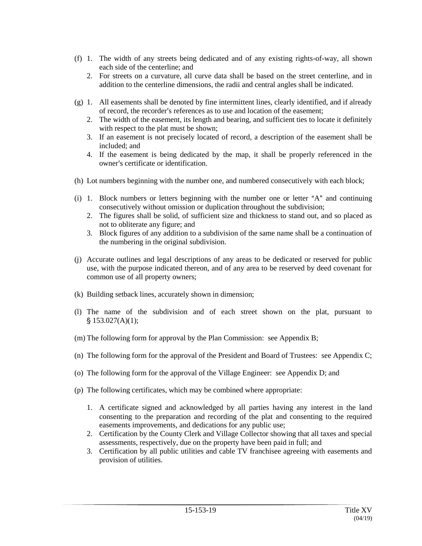- (f) 1. The width of any streets being dedicated and of any existing rights-of-way, all shown each side of the centerline; and
	- 2. For streets on a curvature, all curve data shall be based on the street centerline, and in addition to the centerline dimensions, the radii and central angles shall be indicated.
- (g) 1. All easements shall be denoted by fine intermittent lines, clearly identified, and if already of record, the recorder's references as to use and location of the easement;
	- 2. The width of the easement, its length and bearing, and sufficient ties to locate it definitely with respect to the plat must be shown;
	- 3. If an easement is not precisely located of record, a description of the easement shall be included; and
	- 4. If the easement is being dedicated by the map, it shall be properly referenced in the owner's certificate or identification.
- (h) Lot numbers beginning with the number one, and numbered consecutively with each block;
- (i) 1. Block numbers or letters beginning with the number one or letter " $A$ " and continuing consecutively without omission or duplication throughout the subdivision;
	- 2. The figures shall be solid, of sufficient size and thickness to stand out, and so placed as not to obliterate any figure; and
	- 3. Block figures of any addition to a subdivision of the same name shall be a continuation of the numbering in the original subdivision.
- (j) Accurate outlines and legal descriptions of any areas to be dedicated or reserved for public use, with the purpose indicated thereon, and of any area to be reserved by deed covenant for common use of all property owners;
- (k) Building setback lines, accurately shown in dimension;
- (l) The name of the subdivision and of each street shown on the plat, pursuant to  $$153.027(A)(1);$
- (m) The following form for approval by the Plan Commission: see Appendix B;
- (n) The following form for the approval of the President and Board of Trustees: see Appendix C;
- (o) The following form for the approval of the Village Engineer: see Appendix D; and
- (p) The following certificates, which may be combined where appropriate:
	- 1. A certificate signed and acknowledged by all parties having any interest in the land consenting to the preparation and recording of the plat and consenting to the required easements improvements, and dedications for any public use;
	- 2. Certification by the County Clerk and Village Collector showing that all taxes and special assessments, respectively, due on the property have been paid in full; and
	- 3. Certification by all public utilities and cable TV franchisee agreeing with easements and provision of utilities.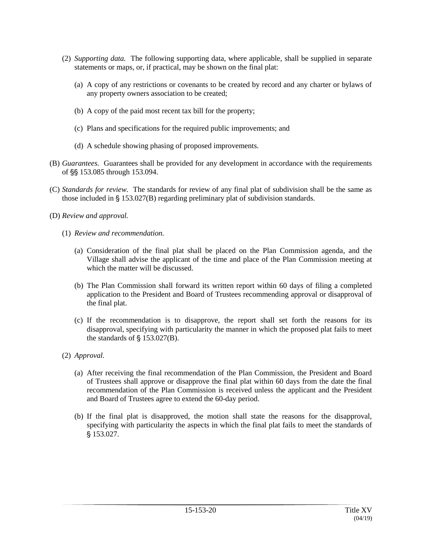- (2) *Supporting data.* The following supporting data, where applicable, shall be supplied in separate statements or maps, or, if practical, may be shown on the final plat:
	- (a) A copy of any restrictions or covenants to be created by record and any charter or bylaws of any property owners association to be created;
	- (b) A copy of the paid most recent tax bill for the property;
	- (c) Plans and specifications for the required public improvements; and
	- (d) A schedule showing phasing of proposed improvements.
- (B) *Guarantees.* Guarantees shall be provided for any development in accordance with the requirements of §§ 153.085 through 153.094.
- (C) *Standards for review.* The standards for review of any final plat of subdivision shall be the same as those included in  $\S$  153.027(B) regarding preliminary plat of subdivision standards.
- (D) *Review and approval.*
	- (1) *Review and recommendation.*
		- (a) Consideration of the final plat shall be placed on the Plan Commission agenda, and the Village shall advise the applicant of the time and place of the Plan Commission meeting at which the matter will be discussed.
		- (b) The Plan Commission shall forward its written report within 60 days of filing a completed application to the President and Board of Trustees recommending approval or disapproval of the final plat.
		- (c) If the recommendation is to disapprove, the report shall set forth the reasons for its disapproval, specifying with particularity the manner in which the proposed plat fails to meet the standards of  $\S$  153.027(B).
	- (2) *Approval.*
		- (a) After receiving the final recommendation of the Plan Commission, the President and Board of Trustees shall approve or disapprove the final plat within 60 days from the date the final recommendation of the Plan Commission is received unless the applicant and the President and Board of Trustees agree to extend the 60-day period.
		- (b) If the final plat is disapproved, the motion shall state the reasons for the disapproval, specifying with particularity the aspects in which the final plat fails to meet the standards of § 153.027.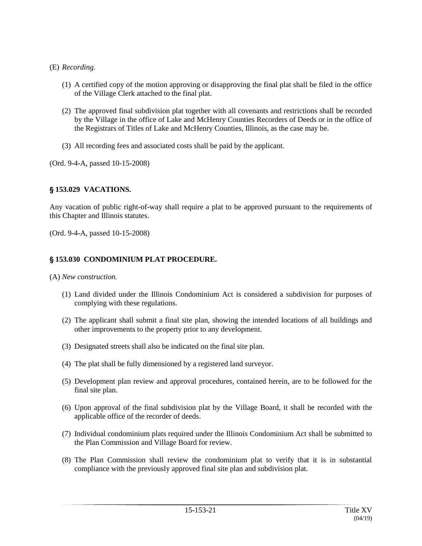- (E) *Recording.*
	- (1) A certified copy of the motion approving or disapproving the final plat shall be filed in the office of the Village Clerk attached to the final plat.
	- (2) The approved final subdivision plat together with all covenants and restrictions shall be recorded by the Village in the office of Lake and McHenry Counties Recorders of Deeds or in the office of the Registrars of Titles of Lake and McHenry Counties, Illinois, as the case may be.
	- (3) All recording fees and associated costs shall be paid by the applicant.

# ' **153.029 VACATIONS.**

Any vacation of public right-of-way shall require a plat to be approved pursuant to the requirements of this Chapter and Illinois statutes.

(Ord. 9-4-A, passed 10-15-2008)

# ' **153.030 CONDOMINIUM PLAT PROCEDURE.**

(A) *New construction.*

- (1) Land divided under the Illinois Condominium Act is considered a subdivision for purposes of complying with these regulations.
- (2) The applicant shall submit a final site plan, showing the intended locations of all buildings and other improvements to the property prior to any development.
- (3) Designated streets shall also be indicated on the final site plan.
- (4) The plat shall be fully dimensioned by a registered land surveyor.
- (5) Development plan review and approval procedures, contained herein, are to be followed for the final site plan.
- (6) Upon approval of the final subdivision plat by the Village Board, it shall be recorded with the applicable office of the recorder of deeds.
- (7) Individual condominium plats required under the Illinois Condominium Act shall be submitted to the Plan Commission and Village Board for review.
- (8) The Plan Commission shall review the condominium plat to verify that it is in substantial compliance with the previously approved final site plan and subdivision plat.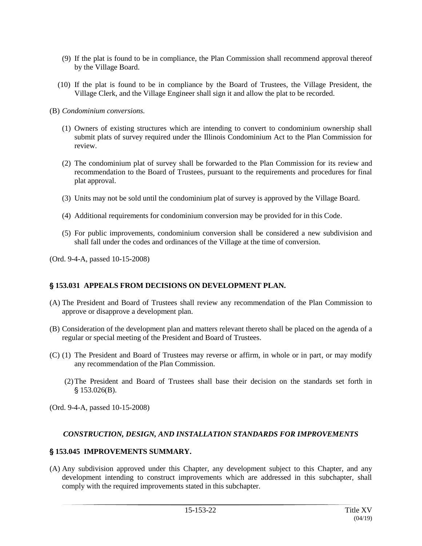- (9) If the plat is found to be in compliance, the Plan Commission shall recommend approval thereof by the Village Board.
- (10) If the plat is found to be in compliance by the Board of Trustees, the Village President, the Village Clerk, and the Village Engineer shall sign it and allow the plat to be recorded.
- (B) *Condominium conversions.*
	- (1) Owners of existing structures which are intending to convert to condominium ownership shall submit plats of survey required under the Illinois Condominium Act to the Plan Commission for review.
	- (2) The condominium plat of survey shall be forwarded to the Plan Commission for its review and recommendation to the Board of Trustees, pursuant to the requirements and procedures for final plat approval.
	- (3) Units may not be sold until the condominium plat of survey is approved by the Village Board.
	- (4) Additional requirements for condominium conversion may be provided for in this Code.
	- (5) For public improvements, condominium conversion shall be considered a new subdivision and shall fall under the codes and ordinances of the Village at the time of conversion.

## ' **153.031 APPEALS FROM DECISIONS ON DEVELOPMENT PLAN.**

- (A) The President and Board of Trustees shall review any recommendation of the Plan Commission to approve or disapprove a development plan.
- (B) Consideration of the development plan and matters relevant thereto shall be placed on the agenda of a regular or special meeting of the President and Board of Trustees.
- (C) (1) The President and Board of Trustees may reverse or affirm, in whole or in part, or may modify any recommendation of the Plan Commission.
	- (2)The President and Board of Trustees shall base their decision on the standards set forth in  $$153.026(B).$

(Ord. 9-4-A, passed 10-15-2008)

## *CONSTRUCTION, DESIGN, AND INSTALLATION STANDARDS FOR IMPROVEMENTS*

## ' **153.045 IMPROVEMENTS SUMMARY.**

(A) Any subdivision approved under this Chapter, any development subject to this Chapter, and any development intending to construct improvements which are addressed in this subchapter, shall comply with the required improvements stated in this subchapter.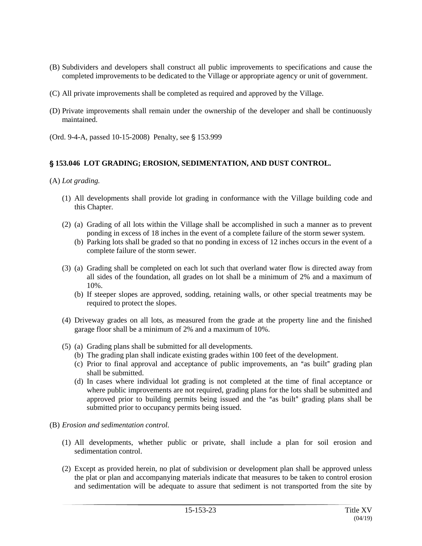- (B) Subdividers and developers shall construct all public improvements to specifications and cause the completed improvements to be dedicated to the Village or appropriate agency or unit of government.
- (C) All private improvements shall be completed as required and approved by the Village.
- (D) Private improvements shall remain under the ownership of the developer and shall be continuously maintained.
- (Ord. 9-4-A, passed 10-15-2008) Penalty, see § 153.999

## ' **153.046 LOT GRADING; EROSION, SEDIMENTATION, AND DUST CONTROL.**

(A) *Lot grading.*

- (1) All developments shall provide lot grading in conformance with the Village building code and this Chapter.
- (2) (a) Grading of all lots within the Village shall be accomplished in such a manner as to prevent ponding in excess of 18 inches in the event of a complete failure of the storm sewer system.
	- (b) Parking lots shall be graded so that no ponding in excess of 12 inches occurs in the event of a complete failure of the storm sewer.
- (3) (a) Grading shall be completed on each lot such that overland water flow is directed away from all sides of the foundation, all grades on lot shall be a minimum of 2% and a maximum of 10%.
	- (b) If steeper slopes are approved, sodding, retaining walls, or other special treatments may be required to protect the slopes.
- (4) Driveway grades on all lots, as measured from the grade at the property line and the finished garage floor shall be a minimum of 2% and a maximum of 10%.
- (5) (a) Grading plans shall be submitted for all developments.
	- (b) The grading plan shall indicate existing grades within 100 feet of the development.
	- (c) Prior to final approval and acceptance of public improvements, an "as built" grading plan shall be submitted.
	- (d) In cases where individual lot grading is not completed at the time of final acceptance or where public improvements are not required, grading plans for the lots shall be submitted and approved prior to building permits being issued and the "as built" grading plans shall be submitted prior to occupancy permits being issued.
- (B) *Erosion and sedimentation control.*
	- (1) All developments, whether public or private, shall include a plan for soil erosion and sedimentation control.
	- (2) Except as provided herein, no plat of subdivision or development plan shall be approved unless the plat or plan and accompanying materials indicate that measures to be taken to control erosion and sedimentation will be adequate to assure that sediment is not transported from the site by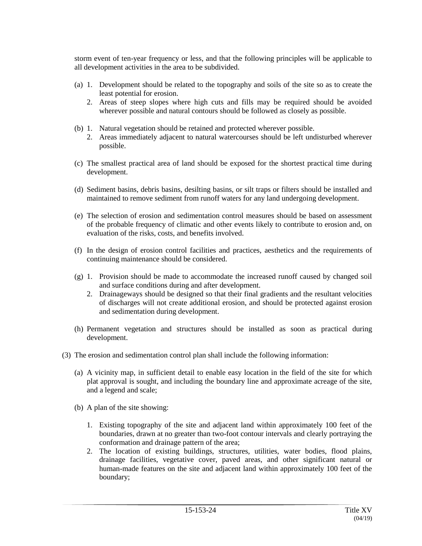storm event of ten-year frequency or less, and that the following principles will be applicable to all development activities in the area to be subdivided.

- (a) 1. Development should be related to the topography and soils of the site so as to create the least potential for erosion.
	- 2. Areas of steep slopes where high cuts and fills may be required should be avoided wherever possible and natural contours should be followed as closely as possible.
- (b) 1. Natural vegetation should be retained and protected wherever possible.
	- 2. Areas immediately adjacent to natural watercourses should be left undisturbed wherever possible.
- (c) The smallest practical area of land should be exposed for the shortest practical time during development.
- (d) Sediment basins, debris basins, desilting basins, or silt traps or filters should be installed and maintained to remove sediment from runoff waters for any land undergoing development.
- (e) The selection of erosion and sedimentation control measures should be based on assessment of the probable frequency of climatic and other events likely to contribute to erosion and, on evaluation of the risks, costs, and benefits involved.
- (f) In the design of erosion control facilities and practices, aesthetics and the requirements of continuing maintenance should be considered.
- (g) 1. Provision should be made to accommodate the increased runoff caused by changed soil and surface conditions during and after development.
	- 2. Drainageways should be designed so that their final gradients and the resultant velocities of discharges will not create additional erosion, and should be protected against erosion and sedimentation during development.
- (h) Permanent vegetation and structures should be installed as soon as practical during development.
- (3) The erosion and sedimentation control plan shall include the following information:
	- (a) A vicinity map, in sufficient detail to enable easy location in the field of the site for which plat approval is sought, and including the boundary line and approximate acreage of the site, and a legend and scale;
	- (b) A plan of the site showing:
		- 1. Existing topography of the site and adjacent land within approximately 100 feet of the boundaries, drawn at no greater than two-foot contour intervals and clearly portraying the conformation and drainage pattern of the area;
		- 2. The location of existing buildings, structures, utilities, water bodies, flood plains, drainage facilities, vegetative cover, paved areas, and other significant natural or human-made features on the site and adjacent land within approximately 100 feet of the boundary;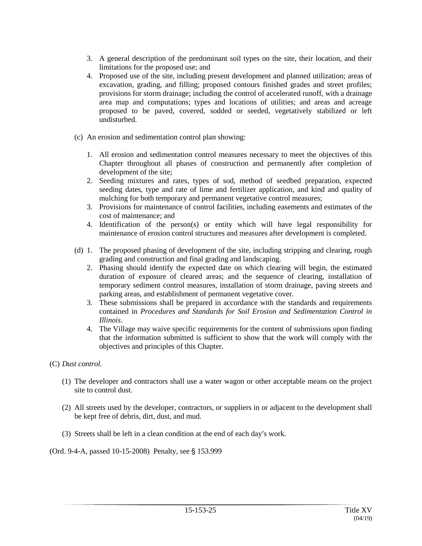- 3. A general description of the predominant soil types on the site, their location, and their limitations for the proposed use; and
- 4. Proposed use of the site, including present development and planned utilization; areas of excavation, grading, and filling; proposed contours finished grades and street profiles; provisions for storm drainage; including the control of accelerated runoff, with a drainage area map and computations; types and locations of utilities; and areas and acreage proposed to be paved, covered, sodded or seeded, vegetatively stabilized or left undisturbed.
- (c) An erosion and sedimentation control plan showing:
	- 1. All erosion and sedimentation control measures necessary to meet the objectives of this Chapter throughout all phases of construction and permanently after completion of development of the site;
	- 2. Seeding mixtures and rates, types of sod, method of seedbed preparation, expected seeding dates, type and rate of lime and fertilizer application, and kind and quality of mulching for both temporary and permanent vegetative control measures;
	- 3. Provisions for maintenance of control facilities, including easements and estimates of the cost of maintenance; and
	- 4. Identification of the person(s) or entity which will have legal responsibility for maintenance of erosion control structures and measures after development is completed.
- (d) 1. The proposed phasing of development of the site, including stripping and clearing, rough grading and construction and final grading and landscaping.
	- 2. Phasing should identify the expected date on which clearing will begin, the estimated duration of exposure of cleared areas; and the sequence of clearing, installation of temporary sediment control measures, installation of storm drainage, paving streets and parking areas, and establishment of permanent vegetative cover.
	- 3. These submissions shall be prepared in accordance with the standards and requirements contained in *Procedures and Standards for Soil Erosion and Sedimentation Control in Illinois*.
	- 4. The Village may waive specific requirements for the content of submissions upon finding that the information submitted is sufficient to show that the work will comply with the objectives and principles of this Chapter.

## (C) *Dust control.*

- (1) The developer and contractors shall use a water wagon or other acceptable means on the project site to control dust.
- (2) All streets used by the developer, contractors, or suppliers in or adjacent to the development shall be kept free of debris, dirt, dust, and mud.
- (3) Streets shall be left in a clean condition at the end of each day's work.

(Ord. 9-4-A, passed 10-15-2008) Penalty, see § 153.999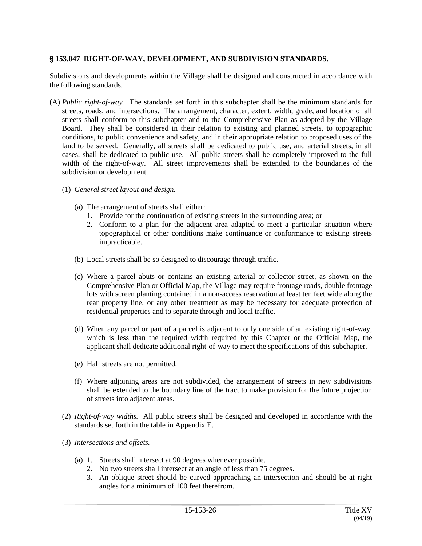## ' **153.047 RIGHT-OF-WAY, DEVELOPMENT, AND SUBDIVISION STANDARDS.**

Subdivisions and developments within the Village shall be designed and constructed in accordance with the following standards.

- (A) *Public right-of-way.* The standards set forth in this subchapter shall be the minimum standards for streets, roads, and intersections. The arrangement, character, extent, width, grade, and location of all streets shall conform to this subchapter and to the Comprehensive Plan as adopted by the Village Board. They shall be considered in their relation to existing and planned streets, to topographic conditions, to public convenience and safety, and in their appropriate relation to proposed uses of the land to be served. Generally, all streets shall be dedicated to public use, and arterial streets, in all cases, shall be dedicated to public use. All public streets shall be completely improved to the full width of the right-of-way. All street improvements shall be extended to the boundaries of the subdivision or development.
	- (1) *General street layout and design.*
		- (a) The arrangement of streets shall either:
			- 1. Provide for the continuation of existing streets in the surrounding area; or
			- 2. Conform to a plan for the adjacent area adapted to meet a particular situation where topographical or other conditions make continuance or conformance to existing streets impracticable.
		- (b) Local streets shall be so designed to discourage through traffic.
		- (c) Where a parcel abuts or contains an existing arterial or collector street, as shown on the Comprehensive Plan or Official Map, the Village may require frontage roads, double frontage lots with screen planting contained in a non-access reservation at least ten feet wide along the rear property line, or any other treatment as may be necessary for adequate protection of residential properties and to separate through and local traffic.
		- (d) When any parcel or part of a parcel is adjacent to only one side of an existing right-of-way, which is less than the required width required by this Chapter or the Official Map, the applicant shall dedicate additional right-of-way to meet the specifications of this subchapter.
		- (e) Half streets are not permitted.
		- (f) Where adjoining areas are not subdivided, the arrangement of streets in new subdivisions shall be extended to the boundary line of the tract to make provision for the future projection of streets into adjacent areas.
	- (2) *Right-of-way widths.* All public streets shall be designed and developed in accordance with the standards set forth in the table in Appendix E.
	- (3) *Intersections and offsets.*
		- (a) 1. Streets shall intersect at 90 degrees whenever possible.
			- 2. No two streets shall intersect at an angle of less than 75 degrees.
			- 3. An oblique street should be curved approaching an intersection and should be at right angles for a minimum of 100 feet therefrom.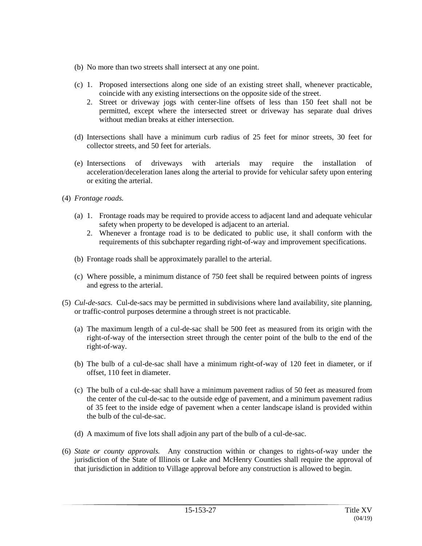- (b) No more than two streets shall intersect at any one point.
- (c) 1. Proposed intersections along one side of an existing street shall, whenever practicable, coincide with any existing intersections on the opposite side of the street.
	- 2. Street or driveway jogs with center-line offsets of less than 150 feet shall not be permitted, except where the intersected street or driveway has separate dual drives without median breaks at either intersection.
- (d) Intersections shall have a minimum curb radius of 25 feet for minor streets, 30 feet for collector streets, and 50 feet for arterials.
- (e) Intersections of driveways with arterials may require the installation of acceleration/deceleration lanes along the arterial to provide for vehicular safety upon entering or exiting the arterial.
- (4) *Frontage roads.*
	- (a) 1. Frontage roads may be required to provide access to adjacent land and adequate vehicular safety when property to be developed is adjacent to an arterial.
		- 2. Whenever a frontage road is to be dedicated to public use, it shall conform with the requirements of this subchapter regarding right-of-way and improvement specifications.
	- (b) Frontage roads shall be approximately parallel to the arterial.
	- (c) Where possible, a minimum distance of 750 feet shall be required between points of ingress and egress to the arterial.
- (5) *Cul-de-sacs.* Cul-de-sacs may be permitted in subdivisions where land availability, site planning, or traffic-control purposes determine a through street is not practicable.
	- (a) The maximum length of a cul-de-sac shall be 500 feet as measured from its origin with the right-of-way of the intersection street through the center point of the bulb to the end of the right-of-way.
	- (b) The bulb of a cul-de-sac shall have a minimum right-of-way of 120 feet in diameter, or if offset, 110 feet in diameter.
	- (c) The bulb of a cul-de-sac shall have a minimum pavement radius of 50 feet as measured from the center of the cul-de-sac to the outside edge of pavement, and a minimum pavement radius of 35 feet to the inside edge of pavement when a center landscape island is provided within the bulb of the cul-de-sac.
	- (d) A maximum of five lots shall adjoin any part of the bulb of a cul-de-sac.
- (6) *State or county approvals.* Any construction within or changes to rights-of-way under the jurisdiction of the State of Illinois or Lake and McHenry Counties shall require the approval of that jurisdiction in addition to Village approval before any construction is allowed to begin.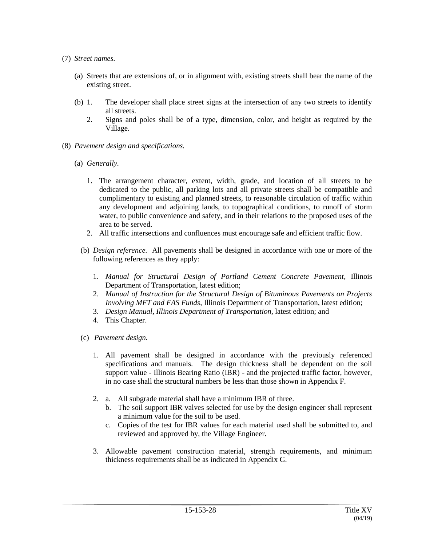### (7) *Street names.*

- (a) Streets that are extensions of, or in alignment with, existing streets shall bear the name of the existing street.
- (b) 1. The developer shall place street signs at the intersection of any two streets to identify all streets.
	- 2. Signs and poles shall be of a type, dimension, color, and height as required by the Village.
- (8) *Pavement design and specifications.*
	- (a) *Generally.*
		- 1. The arrangement character, extent, width, grade, and location of all streets to be dedicated to the public, all parking lots and all private streets shall be compatible and complimentary to existing and planned streets, to reasonable circulation of traffic within any development and adjoining lands, to topographical conditions, to runoff of storm water, to public convenience and safety, and in their relations to the proposed uses of the area to be served.
		- 2. All traffic intersections and confluences must encourage safe and efficient traffic flow.
		- (b) *Design reference.* All pavements shall be designed in accordance with one or more of the following references as they apply:
			- 1. *Manual for Structural Design of Portland Cement Concrete Pavement*, Illinois Department of Transportation, latest edition;
			- 2. *Manual of Instruction for the Structural Design of Bituminous Pavements on Projects Involving MFT and FAS Funds*, Illinois Department of Transportation, latest edition;
			- 3. *Design Manual, Illinois Department of Transportation*, latest edition; and
			- 4. This Chapter.
		- (c) *Pavement design.*
			- 1. All pavement shall be designed in accordance with the previously referenced specifications and manuals. The design thickness shall be dependent on the soil support value - Illinois Bearing Ratio (IBR) - and the projected traffic factor, however, in no case shall the structural numbers be less than those shown in Appendix F.
			- 2. a. All subgrade material shall have a minimum IBR of three.
				- b. The soil support IBR valves selected for use by the design engineer shall represent a minimum value for the soil to be used.
				- c. Copies of the test for IBR values for each material used shall be submitted to, and reviewed and approved by, the Village Engineer.
			- 3. Allowable pavement construction material, strength requirements, and minimum thickness requirements shall be as indicated in Appendix G.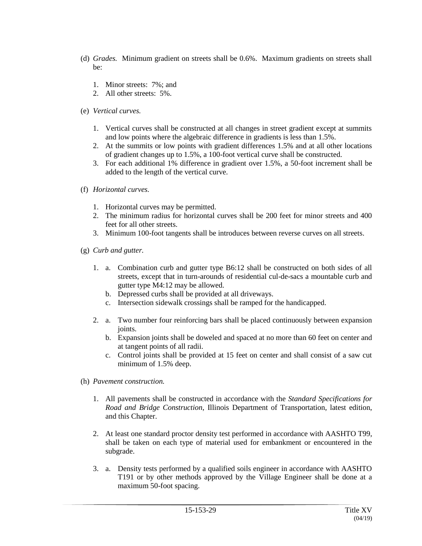- (d) *Grades.* Minimum gradient on streets shall be 0.6%. Maximum gradients on streets shall be:
	- 1. Minor streets: 7%; and
	- 2. All other streets: 5%.
- (e) *Vertical curves.*
	- 1. Vertical curves shall be constructed at all changes in street gradient except at summits and low points where the algebraic difference in gradients is less than 1.5%.
	- 2. At the summits or low points with gradient differences 1.5% and at all other locations of gradient changes up to 1.5%, a 100-foot vertical curve shall be constructed.
	- 3. For each additional 1% difference in gradient over 1.5%, a 50-foot increment shall be added to the length of the vertical curve.
- (f) *Horizontal curves.*
	- 1. Horizontal curves may be permitted.
	- 2. The minimum radius for horizontal curves shall be 200 feet for minor streets and 400 feet for all other streets.
	- 3. Minimum 100-foot tangents shall be introduces between reverse curves on all streets.
- (g) *Curb and gutter.*
	- 1. a. Combination curb and gutter type B6:12 shall be constructed on both sides of all streets, except that in turn-arounds of residential cul-de-sacs a mountable curb and gutter type M4:12 may be allowed.
		- b. Depressed curbs shall be provided at all driveways.
		- c. Intersection sidewalk crossings shall be ramped for the handicapped.
	- 2. a. Two number four reinforcing bars shall be placed continuously between expansion joints.
		- b. Expansion joints shall be doweled and spaced at no more than 60 feet on center and at tangent points of all radii.
		- c. Control joints shall be provided at 15 feet on center and shall consist of a saw cut minimum of 1.5% deep.
- (h) *Pavement construction.*
	- 1. All pavements shall be constructed in accordance with the *Standard Specifications for Road and Bridge Construction*, Illinois Department of Transportation, latest edition, and this Chapter.
	- 2. At least one standard proctor density test performed in accordance with AASHTO T99, shall be taken on each type of material used for embankment or encountered in the subgrade.
	- 3. a. Density tests performed by a qualified soils engineer in accordance with AASHTO T191 or by other methods approved by the Village Engineer shall be done at a maximum 50-foot spacing.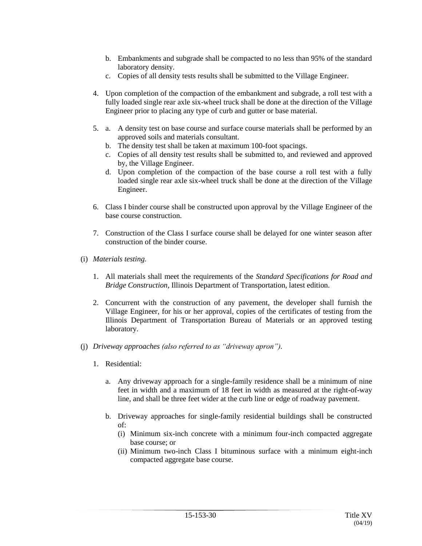- b. Embankments and subgrade shall be compacted to no less than 95% of the standard laboratory density.
- c. Copies of all density tests results shall be submitted to the Village Engineer.
- 4. Upon completion of the compaction of the embankment and subgrade, a roll test with a fully loaded single rear axle six-wheel truck shall be done at the direction of the Village Engineer prior to placing any type of curb and gutter or base material.
- 5. a. A density test on base course and surface course materials shall be performed by an approved soils and materials consultant.
	- b. The density test shall be taken at maximum 100-foot spacings.
	- c. Copies of all density test results shall be submitted to, and reviewed and approved by, the Village Engineer.
	- d. Upon completion of the compaction of the base course a roll test with a fully loaded single rear axle six-wheel truck shall be done at the direction of the Village Engineer.
- 6. Class I binder course shall be constructed upon approval by the Village Engineer of the base course construction.
- 7. Construction of the Class I surface course shall be delayed for one winter season after construction of the binder course.
- (i) *Materials testing.*
	- 1. All materials shall meet the requirements of the *Standard Specifications for Road and Bridge Construction*, Illinois Department of Transportation, latest edition.
	- 2. Concurrent with the construction of any pavement, the developer shall furnish the Village Engineer, for his or her approval, copies of the certificates of testing from the Illinois Department of Transportation Bureau of Materials or an approved testing laboratory.
- (j) *Driveway approaches (also referred to as "driveway apron").*
	- 1. Residential:
		- a. Any driveway approach for a single-family residence shall be a minimum of nine feet in width and a maximum of 18 feet in width as measured at the right-of-way line, and shall be three feet wider at the curb line or edge of roadway pavement.
		- b. Driveway approaches for single-family residential buildings shall be constructed of:
			- (i) Minimum six-inch concrete with a minimum four-inch compacted aggregate base course; or
			- (ii) Minimum two-inch Class I bituminous surface with a minimum eight-inch compacted aggregate base course.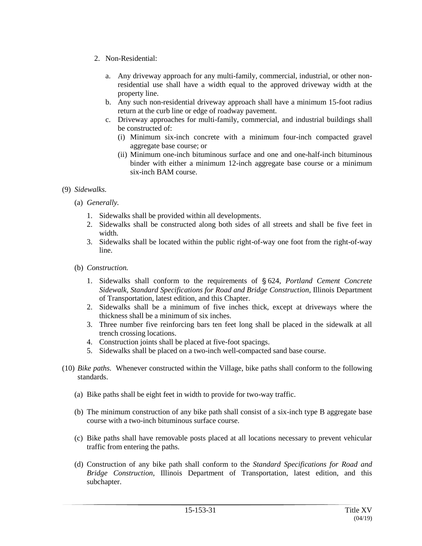- 2. Non-Residential:
	- a. Any driveway approach for any multi-family, commercial, industrial, or other nonresidential use shall have a width equal to the approved driveway width at the property line.
	- b. Any such non-residential driveway approach shall have a minimum 15-foot radius return at the curb line or edge of roadway pavement.
	- c. Driveway approaches for multi-family, commercial, and industrial buildings shall be constructed of:
		- (i) Minimum six-inch concrete with a minimum four-inch compacted gravel aggregate base course; or
		- (ii) Minimum one-inch bituminous surface and one and one-half-inch bituminous binder with either a minimum 12-inch aggregate base course or a minimum six-inch BAM course.

## (9) *Sidewalks.*

- (a) *Generally.*
	- 1. Sidewalks shall be provided within all developments.
	- 2. Sidewalks shall be constructed along both sides of all streets and shall be five feet in width.
	- 3. Sidewalks shall be located within the public right-of-way one foot from the right-of-way line.
- (b) *Construction.*
	- 1. Sidewalks shall conform to the requirements of §624, *Portland Cement Concrete Sidewalk, Standard Specifications for Road and Bridge Construction*, Illinois Department of Transportation, latest edition, and this Chapter.
	- 2. Sidewalks shall be a minimum of five inches thick, except at driveways where the thickness shall be a minimum of six inches.
	- 3. Three number five reinforcing bars ten feet long shall be placed in the sidewalk at all trench crossing locations.
	- 4. Construction joints shall be placed at five-foot spacings.
	- 5. Sidewalks shall be placed on a two-inch well-compacted sand base course.
- (10) *Bike paths.* Whenever constructed within the Village, bike paths shall conform to the following standards.
	- (a) Bike paths shall be eight feet in width to provide for two-way traffic.
	- (b) The minimum construction of any bike path shall consist of a six-inch type B aggregate base course with a two-inch bituminous surface course.
	- (c) Bike paths shall have removable posts placed at all locations necessary to prevent vehicular traffic from entering the paths.
	- (d) Construction of any bike path shall conform to the *Standard Specifications for Road and Bridge Construction*, Illinois Department of Transportation, latest edition, and this subchapter.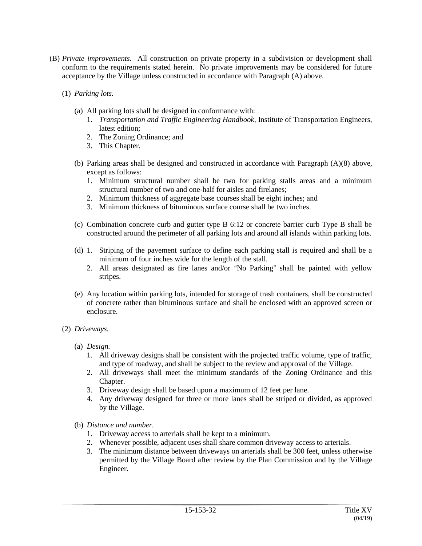- (B) *Private improvements.* All construction on private property in a subdivision or development shall conform to the requirements stated herein. No private improvements may be considered for future acceptance by the Village unless constructed in accordance with Paragraph (A) above.
	- (1) *Parking lots.*
		- (a) All parking lots shall be designed in conformance with:
			- 1. *Transportation and Traffic Engineering Handbook*, Institute of Transportation Engineers, latest edition;
			- 2. The Zoning Ordinance; and
			- 3. This Chapter.
		- (b) Parking areas shall be designed and constructed in accordance with Paragraph (A)(8) above, except as follows:
			- 1. Minimum structural number shall be two for parking stalls areas and a minimum structural number of two and one-half for aisles and firelanes;
			- 2. Minimum thickness of aggregate base courses shall be eight inches; and
			- 3. Minimum thickness of bituminous surface course shall be two inches.
		- (c) Combination concrete curb and gutter type B 6:12 or concrete barrier curb Type B shall be constructed around the perimeter of all parking lots and around all islands within parking lots.
		- (d) 1. Striping of the pavement surface to define each parking stall is required and shall be a minimum of four inches wide for the length of the stall.
			- 2. All areas designated as fire lanes and/or "No Parking" shall be painted with yellow stripes.
		- (e) Any location within parking lots, intended for storage of trash containers, shall be constructed of concrete rather than bituminous surface and shall be enclosed with an approved screen or enclosure.

### (2) *Driveways.*

- (a) *Design.*
	- 1. All driveway designs shall be consistent with the projected traffic volume, type of traffic, and type of roadway, and shall be subject to the review and approval of the Village.
	- 2. All driveways shall meet the minimum standards of the Zoning Ordinance and this Chapter.
	- 3. Driveway design shall be based upon a maximum of 12 feet per lane.
	- 4. Any driveway designed for three or more lanes shall be striped or divided, as approved by the Village.
- (b) *Distance and number.*
	- 1. Driveway access to arterials shall be kept to a minimum.
	- 2. Whenever possible, adjacent uses shall share common driveway access to arterials.
	- 3. The minimum distance between driveways on arterials shall be 300 feet, unless otherwise permitted by the Village Board after review by the Plan Commission and by the Village Engineer.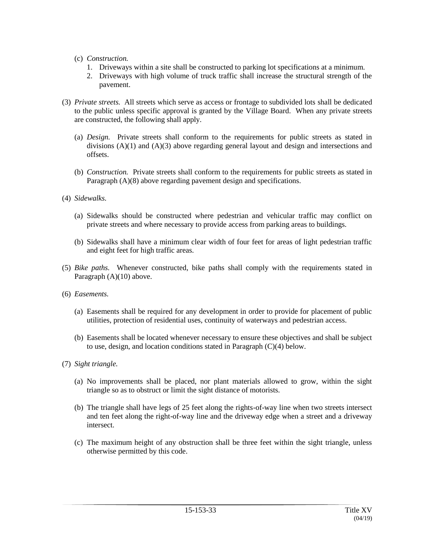- (c) *Construction.*
	- 1. Driveways within a site shall be constructed to parking lot specifications at a minimum.
	- 2. Driveways with high volume of truck traffic shall increase the structural strength of the pavement.
- (3) *Private streets.* All streets which serve as access or frontage to subdivided lots shall be dedicated to the public unless specific approval is granted by the Village Board. When any private streets are constructed, the following shall apply.
	- (a) *Design.* Private streets shall conform to the requirements for public streets as stated in divisions  $(A)(1)$  and  $(A)(3)$  above regarding general layout and design and intersections and offsets.
	- (b) *Construction.* Private streets shall conform to the requirements for public streets as stated in Paragraph (A)(8) above regarding pavement design and specifications.
- (4) *Sidewalks.*
	- (a) Sidewalks should be constructed where pedestrian and vehicular traffic may conflict on private streets and where necessary to provide access from parking areas to buildings.
	- (b) Sidewalks shall have a minimum clear width of four feet for areas of light pedestrian traffic and eight feet for high traffic areas.
- (5) *Bike paths.* Whenever constructed, bike paths shall comply with the requirements stated in Paragraph (A)(10) above.
- (6) *Easements.*
	- (a) Easements shall be required for any development in order to provide for placement of public utilities, protection of residential uses, continuity of waterways and pedestrian access.
	- (b) Easements shall be located whenever necessary to ensure these objectives and shall be subject to use, design, and location conditions stated in Paragraph (C)(4) below.
- (7) *Sight triangle.*
	- (a) No improvements shall be placed, nor plant materials allowed to grow, within the sight triangle so as to obstruct or limit the sight distance of motorists.
	- (b) The triangle shall have legs of 25 feet along the rights-of-way line when two streets intersect and ten feet along the right-of-way line and the driveway edge when a street and a driveway intersect.
	- (c) The maximum height of any obstruction shall be three feet within the sight triangle, unless otherwise permitted by this code.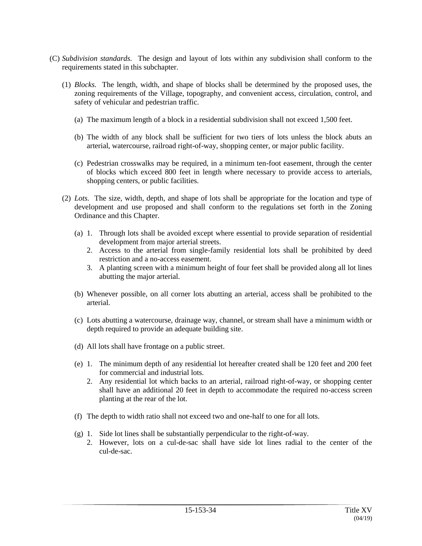- (C) *Subdivision standards.* The design and layout of lots within any subdivision shall conform to the requirements stated in this subchapter.
	- (1) *Blocks.* The length, width, and shape of blocks shall be determined by the proposed uses, the zoning requirements of the Village, topography, and convenient access, circulation, control, and safety of vehicular and pedestrian traffic.
		- (a) The maximum length of a block in a residential subdivision shall not exceed 1,500 feet.
		- (b) The width of any block shall be sufficient for two tiers of lots unless the block abuts an arterial, watercourse, railroad right-of-way, shopping center, or major public facility.
		- (c) Pedestrian crosswalks may be required, in a minimum ten-foot easement, through the center of blocks which exceed 800 feet in length where necessary to provide access to arterials, shopping centers, or public facilities.
	- (2) *Lots.* The size, width, depth, and shape of lots shall be appropriate for the location and type of development and use proposed and shall conform to the regulations set forth in the Zoning Ordinance and this Chapter.
		- (a) 1. Through lots shall be avoided except where essential to provide separation of residential development from major arterial streets.
			- 2. Access to the arterial from single-family residential lots shall be prohibited by deed restriction and a no-access easement.
			- 3. A planting screen with a minimum height of four feet shall be provided along all lot lines abutting the major arterial.
		- (b) Whenever possible, on all corner lots abutting an arterial, access shall be prohibited to the arterial.
		- (c) Lots abutting a watercourse, drainage way, channel, or stream shall have a minimum width or depth required to provide an adequate building site.
		- (d) All lots shall have frontage on a public street.
		- (e) 1. The minimum depth of any residential lot hereafter created shall be 120 feet and 200 feet for commercial and industrial lots.
			- 2. Any residential lot which backs to an arterial, railroad right-of-way, or shopping center shall have an additional 20 feet in depth to accommodate the required no-access screen planting at the rear of the lot.
		- (f) The depth to width ratio shall not exceed two and one-half to one for all lots.
		- (g) 1. Side lot lines shall be substantially perpendicular to the right-of-way.
			- 2. However, lots on a cul-de-sac shall have side lot lines radial to the center of the cul-de-sac.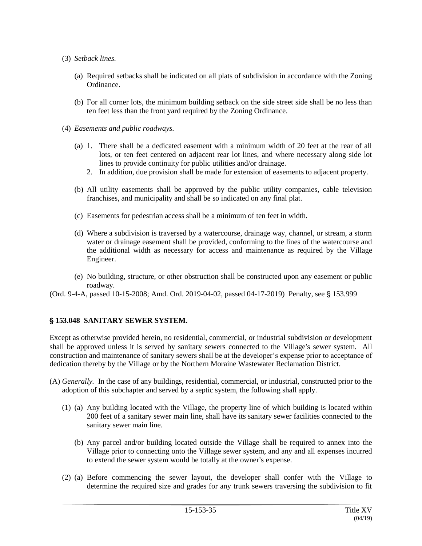- (3) *Setback lines.*
	- (a) Required setbacks shall be indicated on all plats of subdivision in accordance with the Zoning Ordinance.
	- (b) For all corner lots, the minimum building setback on the side street side shall be no less than ten feet less than the front yard required by the Zoning Ordinance.
- (4) *Easements and public roadways.*
	- (a) 1. There shall be a dedicated easement with a minimum width of 20 feet at the rear of all lots, or ten feet centered on adjacent rear lot lines, and where necessary along side lot lines to provide continuity for public utilities and/or drainage.
		- 2. In addition, due provision shall be made for extension of easements to adjacent property.
	- (b) All utility easements shall be approved by the public utility companies, cable television franchises, and municipality and shall be so indicated on any final plat.
	- (c) Easements for pedestrian access shall be a minimum of ten feet in width.
	- (d) Where a subdivision is traversed by a watercourse, drainage way, channel, or stream, a storm water or drainage easement shall be provided, conforming to the lines of the watercourse and the additional width as necessary for access and maintenance as required by the Village Engineer.
	- (e) No building, structure, or other obstruction shall be constructed upon any easement or public roadway.

(Ord. 9-4-A, passed 10-15-2008; Amd. Ord. 2019-04-02, passed 04-17-2019) Penalty, see § 153.999

# ' **153.048 SANITARY SEWER SYSTEM.**

Except as otherwise provided herein, no residential, commercial, or industrial subdivision or development shall be approved unless it is served by sanitary sewers connected to the Village's sewer system. All construction and maintenance of sanitary sewers shall be at the developer's expense prior to acceptance of dedication thereby by the Village or by the Northern Moraine Wastewater Reclamation District.

- (A) *Generally.* In the case of any buildings, residential, commercial, or industrial, constructed prior to the adoption of this subchapter and served by a septic system, the following shall apply.
	- (1) (a) Any building located with the Village, the property line of which building is located within 200 feet of a sanitary sewer main line, shall have its sanitary sewer facilities connected to the sanitary sewer main line.
		- (b) Any parcel and/or building located outside the Village shall be required to annex into the Village prior to connecting onto the Village sewer system, and any and all expenses incurred to extend the sewer system would be totally at the owner's expense.
	- (2) (a) Before commencing the sewer layout, the developer shall confer with the Village to determine the required size and grades for any trunk sewers traversing the subdivision to fit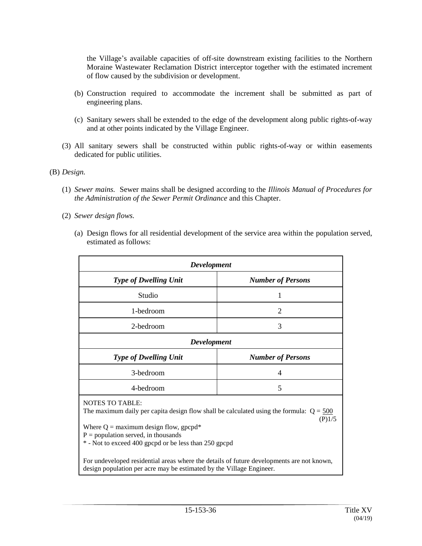the Village's available capacities of off-site downstream existing facilities to the Northern Moraine Wastewater Reclamation District interceptor together with the estimated increment of flow caused by the subdivision or development.

- (b) Construction required to accommodate the increment shall be submitted as part of engineering plans.
- (c) Sanitary sewers shall be extended to the edge of the development along public rights-of-way and at other points indicated by the Village Engineer.
- (3) All sanitary sewers shall be constructed within public rights-of-way or within easements dedicated for public utilities.

(B) *Design.*

- (1) *Sewer mains.* Sewer mains shall be designed according to the *Illinois Manual of Procedures for the Administration of the Sewer Permit Ordinance* and this Chapter.
- (2) *Sewer design flows.*
	- (a) Design flows for all residential development of the service area within the population served, estimated as follows:

| <b>Development</b>                                                                                                                                                                                                                                                         |                          |
|----------------------------------------------------------------------------------------------------------------------------------------------------------------------------------------------------------------------------------------------------------------------------|--------------------------|
| <b>Type of Dwelling Unit</b>                                                                                                                                                                                                                                               | <b>Number of Persons</b> |
| Studio                                                                                                                                                                                                                                                                     | 1                        |
| 1-bedroom                                                                                                                                                                                                                                                                  | $\overline{2}$           |
| 2-bedroom                                                                                                                                                                                                                                                                  | 3                        |
| <b>Development</b>                                                                                                                                                                                                                                                         |                          |
| <b>Type of Dwelling Unit</b>                                                                                                                                                                                                                                               | <b>Number of Persons</b> |
| 3-bedroom                                                                                                                                                                                                                                                                  | 4                        |
| 4-bedroom                                                                                                                                                                                                                                                                  | 5                        |
| <b>NOTES TO TABLE:</b><br>The maximum daily per capita design flow shall be calculated using the formula: $Q = 500$<br>(P)1/5<br>Where $Q =$ maximum design flow, gpcpd*<br>$P =$ population served, in thousands<br>* - Not to exceed 400 gpcpd or be less than 250 gpcpd |                          |
| For undeveloped residential areas where the details of future developments are not known,<br>design population per acre may be estimated by the Village Engineer.                                                                                                          |                          |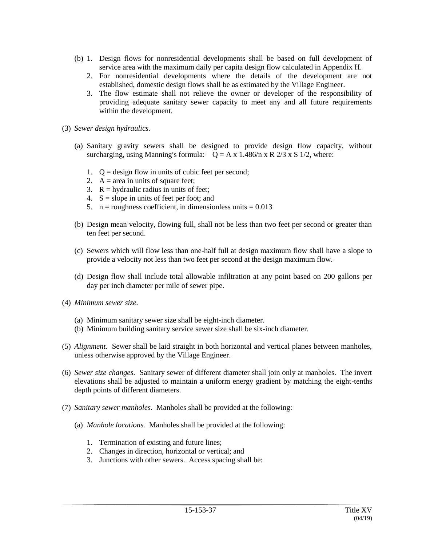- (b) 1. Design flows for nonresidential developments shall be based on full development of service area with the maximum daily per capita design flow calculated in Appendix H.
	- 2. For nonresidential developments where the details of the development are not established, domestic design flows shall be as estimated by the Village Engineer.
	- 3. The flow estimate shall not relieve the owner or developer of the responsibility of providing adequate sanitary sewer capacity to meet any and all future requirements within the development.
- (3) *Sewer design hydraulics.*
	- (a) Sanitary gravity sewers shall be designed to provide design flow capacity, without surcharging, using Manning's formula:  $Q = A x 1.486/n x R 2/3 x S 1/2$ , where:
		- 1.  $Q =$  design flow in units of cubic feet per second;
		- 2.  $A = \text{area in units of square feet};$
		- 3.  $R =$  hydraulic radius in units of feet;
		- 4.  $S = slope in units of feet per foot; and$
		- 5.  $n =$  roughness coefficient, in dimensionless units = 0.013
	- (b) Design mean velocity, flowing full, shall not be less than two feet per second or greater than ten feet per second.
	- (c) Sewers which will flow less than one-half full at design maximum flow shall have a slope to provide a velocity not less than two feet per second at the design maximum flow.
	- (d) Design flow shall include total allowable infiltration at any point based on 200 gallons per day per inch diameter per mile of sewer pipe.
- (4) *Minimum sewer size.*
	- (a) Minimum sanitary sewer size shall be eight-inch diameter.
	- (b) Minimum building sanitary service sewer size shall be six-inch diameter.
- (5) *Alignment.* Sewer shall be laid straight in both horizontal and vertical planes between manholes, unless otherwise approved by the Village Engineer.
- (6) *Sewer size changes.* Sanitary sewer of different diameter shall join only at manholes. The invert elevations shall be adjusted to maintain a uniform energy gradient by matching the eight-tenths depth points of different diameters.
- (7) *Sanitary sewer manholes.* Manholes shall be provided at the following:
	- (a) *Manhole locations.* Manholes shall be provided at the following:
		- 1. Termination of existing and future lines;
		- 2. Changes in direction, horizontal or vertical; and
		- 3. Junctions with other sewers. Access spacing shall be: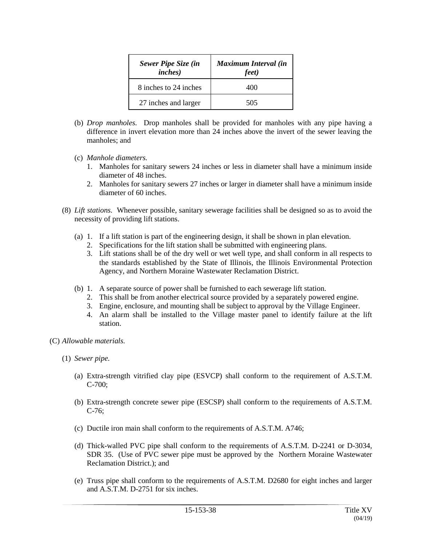| <b>Sewer Pipe Size (in</b><br><i>inches</i> ) | Maximum Interval (in<br>feet) |
|-----------------------------------------------|-------------------------------|
| 8 inches to 24 inches                         | 400                           |
| 27 inches and larger                          | 505                           |

- (b) *Drop manholes.* Drop manholes shall be provided for manholes with any pipe having a difference in invert elevation more than 24 inches above the invert of the sewer leaving the manholes; and
- (c) *Manhole diameters.*
	- 1. Manholes for sanitary sewers 24 inches or less in diameter shall have a minimum inside diameter of 48 inches.
	- 2. Manholes for sanitary sewers 27 inches or larger in diameter shall have a minimum inside diameter of 60 inches.
- (8) *Lift stations.* Whenever possible, sanitary sewerage facilities shall be designed so as to avoid the necessity of providing lift stations.
	- (a) 1. If a lift station is part of the engineering design, it shall be shown in plan elevation.
		- 2. Specifications for the lift station shall be submitted with engineering plans.
		- 3. Lift stations shall be of the dry well or wet well type, and shall conform in all respects to the standards established by the State of Illinois, the Illinois Environmental Protection Agency, and Northern Moraine Wastewater Reclamation District.
	- (b) 1. A separate source of power shall be furnished to each sewerage lift station.
		- 2. This shall be from another electrical source provided by a separately powered engine.
		- 3. Engine, enclosure, and mounting shall be subject to approval by the Village Engineer.
		- 4. An alarm shall be installed to the Village master panel to identify failure at the lift station.
- (C) *Allowable materials.*
	- (1) *Sewer pipe.*
		- (a) Extra-strength vitrified clay pipe (ESVCP) shall conform to the requirement of A.S.T.M. C-700;
		- (b) Extra-strength concrete sewer pipe (ESCSP) shall conform to the requirements of A.S.T.M. C-76;
		- (c) Ductile iron main shall conform to the requirements of A.S.T.M. A746;
		- (d) Thick-walled PVC pipe shall conform to the requirements of A.S.T.M. D-2241 or D-3034, SDR 35. (Use of PVC sewer pipe must be approved by the Northern Moraine Wastewater Reclamation District.); and
		- (e) Truss pipe shall conform to the requirements of A.S.T.M. D2680 for eight inches and larger and A.S.T.M. D-2751 for six inches.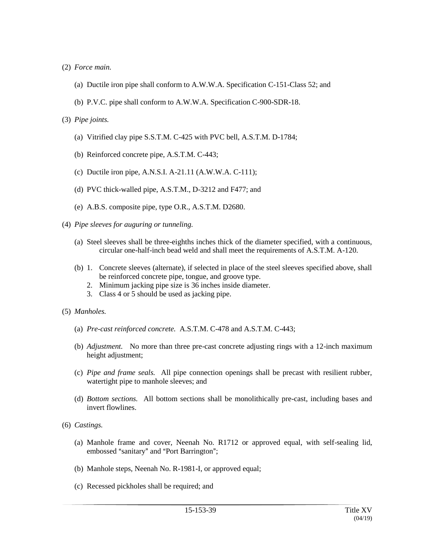- (2) *Force main.*
	- (a) Ductile iron pipe shall conform to A.W.W.A. Specification C-151-Class 52; and
	- (b) P.V.C. pipe shall conform to A.W.W.A. Specification C-900-SDR-18.

### (3) *Pipe joints.*

- (a) Vitrified clay pipe S.S.T.M. C-425 with PVC bell, A.S.T.M. D-1784;
- (b) Reinforced concrete pipe, A.S.T.M. C-443;
- (c) Ductile iron pipe, A.N.S.I. A-21.11 (A.W.W.A. C-111);
- (d) PVC thick-walled pipe, A.S.T.M., D-3212 and F477; and
- (e) A.B.S. composite pipe, type O.R., A.S.T.M. D2680.
- (4) *Pipe sleeves for auguring or tunneling.*
	- (a) Steel sleeves shall be three-eighths inches thick of the diameter specified, with a continuous, circular one-half-inch bead weld and shall meet the requirements of A.S.T.M. A-120.
	- (b) 1. Concrete sleeves (alternate), if selected in place of the steel sleeves specified above, shall be reinforced concrete pipe, tongue, and groove type.
		- 2. Minimum jacking pipe size is 36 inches inside diameter.
		- 3. Class 4 or 5 should be used as jacking pipe.
- (5) *Manholes.*
	- (a) *Pre-cast reinforced concrete.* A.S.T.M. C-478 and A.S.T.M. C-443;
	- (b) *Adjustment.* No more than three pre-cast concrete adjusting rings with a 12-inch maximum height adjustment;
	- (c) *Pipe and frame seals.* All pipe connection openings shall be precast with resilient rubber, watertight pipe to manhole sleeves; and
	- (d) *Bottom sections.* All bottom sections shall be monolithically pre-cast, including bases and invert flowlines.
- (6) *Castings.*
	- (a) Manhole frame and cover, Neenah No. R1712 or approved equal, with self-sealing lid, embossed "sanitary" and "Port Barrington";
	- (b) Manhole steps, Neenah No. R-1981-I, or approved equal;
	- (c) Recessed pickholes shall be required; and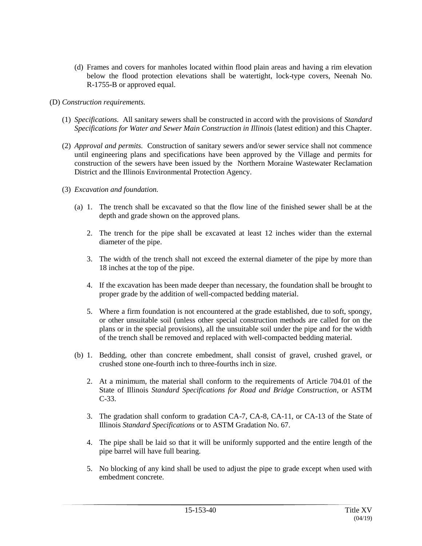- (d) Frames and covers for manholes located within flood plain areas and having a rim elevation below the flood protection elevations shall be watertight, lock-type covers, Neenah No. R-1755-B or approved equal.
- (D) *Construction requirements.*
	- (1) *Specifications.* All sanitary sewers shall be constructed in accord with the provisions of *Standard Specifications for Water and Sewer Main Construction in Illinois* (latest edition) and this Chapter.
	- (2) *Approval and permits.* Construction of sanitary sewers and/or sewer service shall not commence until engineering plans and specifications have been approved by the Village and permits for construction of the sewers have been issued by the Northern Moraine Wastewater Reclamation District and the Illinois Environmental Protection Agency.
	- (3) *Excavation and foundation.*
		- (a) 1. The trench shall be excavated so that the flow line of the finished sewer shall be at the depth and grade shown on the approved plans.
			- 2. The trench for the pipe shall be excavated at least 12 inches wider than the external diameter of the pipe.
			- 3. The width of the trench shall not exceed the external diameter of the pipe by more than 18 inches at the top of the pipe.
			- 4. If the excavation has been made deeper than necessary, the foundation shall be brought to proper grade by the addition of well-compacted bedding material.
			- 5. Where a firm foundation is not encountered at the grade established, due to soft, spongy, or other unsuitable soil (unless other special construction methods are called for on the plans or in the special provisions), all the unsuitable soil under the pipe and for the width of the trench shall be removed and replaced with well-compacted bedding material.
		- (b) 1. Bedding, other than concrete embedment, shall consist of gravel, crushed gravel, or crushed stone one-fourth inch to three-fourths inch in size.
			- 2. At a minimum, the material shall conform to the requirements of Article 704.01 of the State of Illinois *Standard Specifications for Road and Bridge Construction*, or ASTM C-33.
			- 3. The gradation shall conform to gradation CA-7, CA-8, CA-11, or CA-13 of the State of Illinois *Standard Specifications* or to ASTM Gradation No. 67.
			- 4. The pipe shall be laid so that it will be uniformly supported and the entire length of the pipe barrel will have full bearing.
			- 5. No blocking of any kind shall be used to adjust the pipe to grade except when used with embedment concrete.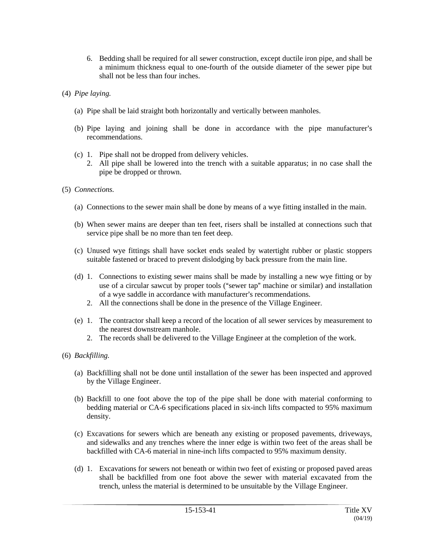- 6. Bedding shall be required for all sewer construction, except ductile iron pipe, and shall be a minimum thickness equal to one-fourth of the outside diameter of the sewer pipe but shall not be less than four inches.
- (4) *Pipe laying.*
	- (a) Pipe shall be laid straight both horizontally and vertically between manholes.
	- (b) Pipe laying and joining shall be done in accordance with the pipe manufacturer's recommendations.
	- (c) 1. Pipe shall not be dropped from delivery vehicles.
		- 2. All pipe shall be lowered into the trench with a suitable apparatus; in no case shall the pipe be dropped or thrown.
- (5) *Connections.*
	- (a) Connections to the sewer main shall be done by means of a wye fitting installed in the main.
	- (b) When sewer mains are deeper than ten feet, risers shall be installed at connections such that service pipe shall be no more than ten feet deep.
	- (c) Unused wye fittings shall have socket ends sealed by watertight rubber or plastic stoppers suitable fastened or braced to prevent dislodging by back pressure from the main line.
	- (d) 1. Connections to existing sewer mains shall be made by installing a new wye fitting or by use of a circular sawcut by proper tools ("sewer tap" machine or similar) and installation of a wye saddle in accordance with manufacturer's recommendations.
		- 2. All the connections shall be done in the presence of the Village Engineer.
	- (e) 1. The contractor shall keep a record of the location of all sewer services by measurement to the nearest downstream manhole.
		- 2. The records shall be delivered to the Village Engineer at the completion of the work.
- (6) *Backfilling.*
	- (a) Backfilling shall not be done until installation of the sewer has been inspected and approved by the Village Engineer.
	- (b) Backfill to one foot above the top of the pipe shall be done with material conforming to bedding material or CA-6 specifications placed in six-inch lifts compacted to 95% maximum density.
	- (c) Excavations for sewers which are beneath any existing or proposed pavements, driveways, and sidewalks and any trenches where the inner edge is within two feet of the areas shall be backfilled with CA-6 material in nine-inch lifts compacted to 95% maximum density.
	- (d) 1. Excavations for sewers not beneath or within two feet of existing or proposed paved areas shall be backfilled from one foot above the sewer with material excavated from the trench, unless the material is determined to be unsuitable by the Village Engineer.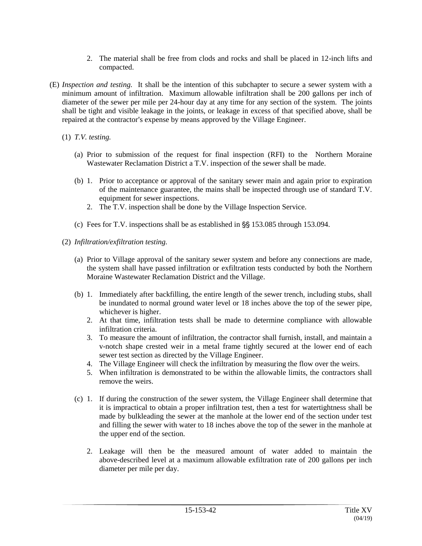- 2. The material shall be free from clods and rocks and shall be placed in 12-inch lifts and compacted.
- (E) *Inspection and testing.* It shall be the intention of this subchapter to secure a sewer system with a minimum amount of infiltration. Maximum allowable infiltration shall be 200 gallons per inch of diameter of the sewer per mile per 24-hour day at any time for any section of the system. The joints shall be tight and visible leakage in the joints, or leakage in excess of that specified above, shall be repaired at the contractor's expense by means approved by the Village Engineer.
	- (1) *T.V. testing.*
		- (a) Prior to submission of the request for final inspection (RFI) to the Northern Moraine Wastewater Reclamation District a T.V. inspection of the sewer shall be made.
		- (b) 1. Prior to acceptance or approval of the sanitary sewer main and again prior to expiration of the maintenance guarantee, the mains shall be inspected through use of standard T.V. equipment for sewer inspections.
			- 2. The T.V. inspection shall be done by the Village Inspection Service.
		- (c) Fees for T.V. inspections shall be as established in  $\S$ § 153.085 through 153.094.
	- (2) *Infiltration/exfiltration testing.*
		- (a) Prior to Village approval of the sanitary sewer system and before any connections are made, the system shall have passed infiltration or exfiltration tests conducted by both the Northern Moraine Wastewater Reclamation District and the Village.
		- (b) 1. Immediately after backfilling, the entire length of the sewer trench, including stubs, shall be inundated to normal ground water level or 18 inches above the top of the sewer pipe, whichever is higher.
			- 2. At that time, infiltration tests shall be made to determine compliance with allowable infiltration criteria.
			- 3. To measure the amount of infiltration, the contractor shall furnish, install, and maintain a v-notch shape crested weir in a metal frame tightly secured at the lower end of each sewer test section as directed by the Village Engineer.
			- 4. The Village Engineer will check the infiltration by measuring the flow over the weirs.
			- 5. When infiltration is demonstrated to be within the allowable limits, the contractors shall remove the weirs.
		- (c) 1. If during the construction of the sewer system, the Village Engineer shall determine that it is impractical to obtain a proper infiltration test, then a test for watertightness shall be made by bulkleading the sewer at the manhole at the lower end of the section under test and filling the sewer with water to 18 inches above the top of the sewer in the manhole at the upper end of the section.
			- 2. Leakage will then be the measured amount of water added to maintain the above-described level at a maximum allowable exfiltration rate of 200 gallons per inch diameter per mile per day.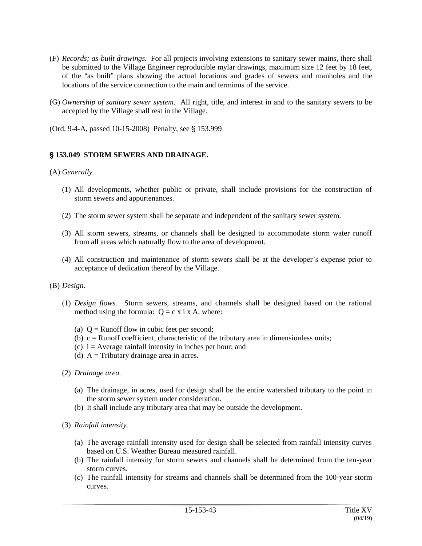- (F) *Records; as-built drawings.* For all projects involving extensions to sanitary sewer mains, there shall be submitted to the Village Engineer reproducible mylar drawings, maximum size 12 feet by 18 feet, of the "as built" plans showing the actual locations and grades of sewers and manholes and the locations of the service connection to the main and terminus of the service.
- (G) *Ownership of sanitary sewer system.* All right, title, and interest in and to the sanitary sewers to be accepted by the Village shall rest in the Village.
- (Ord. 9-4-A, passed 10-15-2008) Penalty, see § 153.999

## ' **153.049 STORM SEWERS AND DRAINAGE.**

#### (A) *Generally.*

- (1) All developments, whether public or private, shall include provisions for the construction of storm sewers and appurtenances.
- (2) The storm sewer system shall be separate and independent of the sanitary sewer system.
- (3) All storm sewers, streams, or channels shall be designed to accommodate storm water runoff from all areas which naturally flow to the area of development.
- (4) All construction and maintenance of storm sewers shall be at the developer's expense prior to acceptance of dedication thereof by the Village.
- (B) *Design.*
	- (1) *Design flows.* Storm sewers, streams, and channels shall be designed based on the rational method using the formula:  $Q = c \times i \times A$ , where:
		- (a)  $Q =$  Runoff flow in cubic feet per second;
		- (b)  $c =$  Runoff coefficient, characteristic of the tributary area in dimensionless units;
		- (c)  $i =$  Average rainfall intensity in inches per hour; and
		- (d)  $A =$ Tributary drainage area in acres.
	- (2) *Drainage area.*
		- (a) The drainage, in acres, used for design shall be the entire watershed tributary to the point in the storm sewer system under consideration.
		- (b) It shall include any tributary area that may be outside the development.
	- (3) *Rainfall intensity.*
		- (a) The average rainfall intensity used for design shall be selected from rainfall intensity curves based on U.S. Weather Bureau measured rainfall.
		- (b) The rainfall intensity for storm sewers and channels shall be determined from the ten-year storm curves.
		- (c) The rainfall intensity for streams and channels shall be determined from the 100-year storm curves.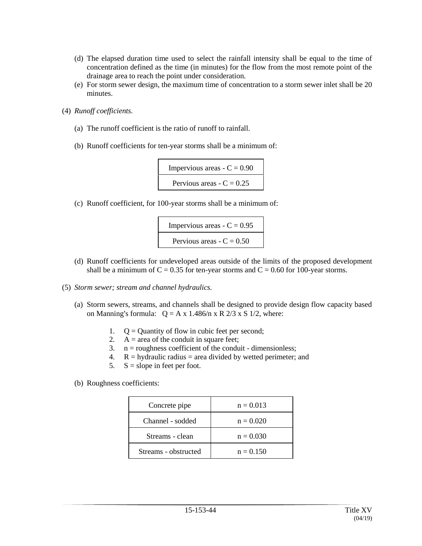- (d) The elapsed duration time used to select the rainfall intensity shall be equal to the time of concentration defined as the time (in minutes) for the flow from the most remote point of the drainage area to reach the point under consideration.
- (e) For storm sewer design, the maximum time of concentration to a storm sewer inlet shall be 20 minutes.
- (4) *Runoff coefficients.*
	- (a) The runoff coefficient is the ratio of runoff to rainfall.
	- (b) Runoff coefficients for ten-year storms shall be a minimum of:



(c) Runoff coefficient, for 100-year storms shall be a minimum of:



- (d) Runoff coefficients for undeveloped areas outside of the limits of the proposed development shall be a minimum of  $C = 0.35$  for ten-year storms and  $C = 0.60$  for 100-year storms.
- (5) *Storm sewer; stream and channel hydraulics.*
	- (a) Storm sewers, streams, and channels shall be designed to provide design flow capacity based on Manning's formula:  $Q = A x 1.486/n x R 2/3 x S 1/2$ , where:
		- 1.  $Q =$  Quantity of flow in cubic feet per second;
		- 2.  $A = \text{area of the conduit in square feet};$
		- 3.  $n =$  roughness coefficient of the conduit dimensionless;
		- 4.  $R =$  hydraulic radius = area divided by wetted perimeter; and
		- 5.  $S = slope in feet per foot.$
	- (b) Roughness coefficients:

| Concrete pipe        | $n = 0.013$ |
|----------------------|-------------|
| Channel - sodded     | $n = 0.020$ |
| Streams - clean      | $n = 0.030$ |
| Streams - obstructed | $n = 0.150$ |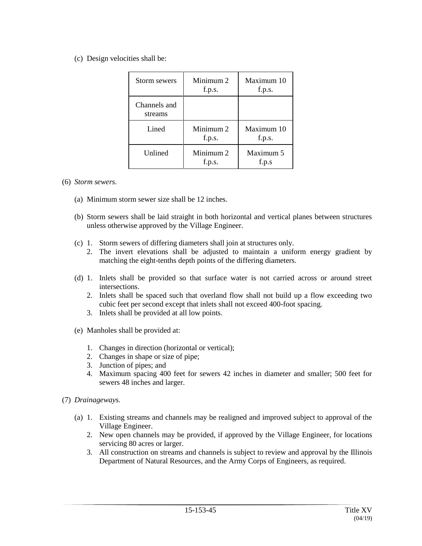(c) Design velocities shall be:

| Storm sewers            | Minimum 2<br>f.p.s. | Maximum 10<br>f.p.s. |
|-------------------------|---------------------|----------------------|
| Channels and<br>streams |                     |                      |
| Lined                   | Minimum 2<br>f.p.s. | Maximum 10<br>f.p.s. |
| Unlined                 | Minimum 2<br>f.p.s. | Maximum 5<br>f.p.s   |

### (6) *Storm sewers.*

- (a) Minimum storm sewer size shall be 12 inches.
- (b) Storm sewers shall be laid straight in both horizontal and vertical planes between structures unless otherwise approved by the Village Engineer.
- (c) 1. Storm sewers of differing diameters shall join at structures only.
	- 2. The invert elevations shall be adjusted to maintain a uniform energy gradient by matching the eight-tenths depth points of the differing diameters.
- (d) 1. Inlets shall be provided so that surface water is not carried across or around street intersections.
	- 2. Inlets shall be spaced such that overland flow shall not build up a flow exceeding two cubic feet per second except that inlets shall not exceed 400-foot spacing.
	- 3. Inlets shall be provided at all low points.
- (e) Manholes shall be provided at:
	- 1. Changes in direction (horizontal or vertical);
	- 2. Changes in shape or size of pipe;
	- 3. Junction of pipes; and
	- 4. Maximum spacing 400 feet for sewers 42 inches in diameter and smaller; 500 feet for sewers 48 inches and larger.
- (7) *Drainageways.*
	- (a) 1. Existing streams and channels may be realigned and improved subject to approval of the Village Engineer.
		- 2. New open channels may be provided, if approved by the Village Engineer, for locations servicing 80 acres or larger.
		- 3. All construction on streams and channels is subject to review and approval by the Illinois Department of Natural Resources, and the Army Corps of Engineers, as required.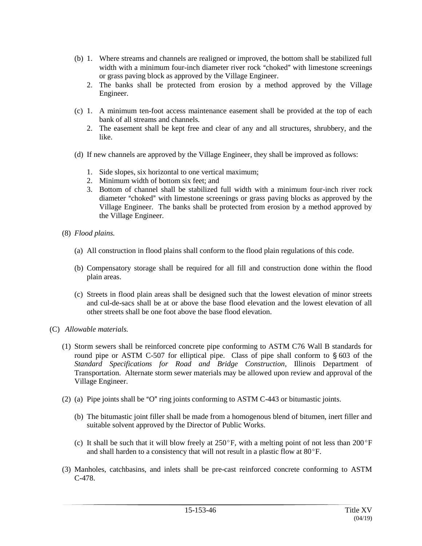- (b) 1. Where streams and channels are realigned or improved, the bottom shall be stabilized full width with a minimum four-inch diameter river rock "choked" with limestone screenings or grass paving block as approved by the Village Engineer.
	- 2. The banks shall be protected from erosion by a method approved by the Village Engineer.
- (c) 1. A minimum ten-foot access maintenance easement shall be provided at the top of each bank of all streams and channels.
	- 2. The easement shall be kept free and clear of any and all structures, shrubbery, and the like.
- (d) If new channels are approved by the Village Engineer, they shall be improved as follows:
	- 1. Side slopes, six horizontal to one vertical maximum;
	- 2. Minimum width of bottom six feet; and
	- 3. Bottom of channel shall be stabilized full width with a minimum four-inch river rock diameter "choked" with limestone screenings or grass paving blocks as approved by the Village Engineer. The banks shall be protected from erosion by a method approved by the Village Engineer.
- (8) *Flood plains.*
	- (a) All construction in flood plains shall conform to the flood plain regulations of this code.
	- (b) Compensatory storage shall be required for all fill and construction done within the flood plain areas.
	- (c) Streets in flood plain areas shall be designed such that the lowest elevation of minor streets and cul-de-sacs shall be at or above the base flood elevation and the lowest elevation of all other streets shall be one foot above the base flood elevation.
- (C) *Allowable materials.*
	- (1) Storm sewers shall be reinforced concrete pipe conforming to ASTM C76 Wall B standards for round pipe or ASTM C-507 for elliptical pipe. Class of pipe shall conform to  $\S 603$  of the *Standard Specifications for Road and Bridge Construction*, Illinois Department of Transportation. Alternate storm sewer materials may be allowed upon review and approval of the Village Engineer.
	- (2) (a) Pipe joints shall be "O" ring joints conforming to ASTM C-443 or bitumastic joints.
		- (b) The bitumastic joint filler shall be made from a homogenous blend of bitumen, inert filler and suitable solvent approved by the Director of Public Works.
		- (c) It shall be such that it will blow freely at  $250^{\circ}$ F, with a melting point of not less than  $200^{\circ}$ F and shall harden to a consistency that will not result in a plastic flow at  $80^{\circ}$ F.
	- (3) Manholes, catchbasins, and inlets shall be pre-cast reinforced concrete conforming to ASTM C-478.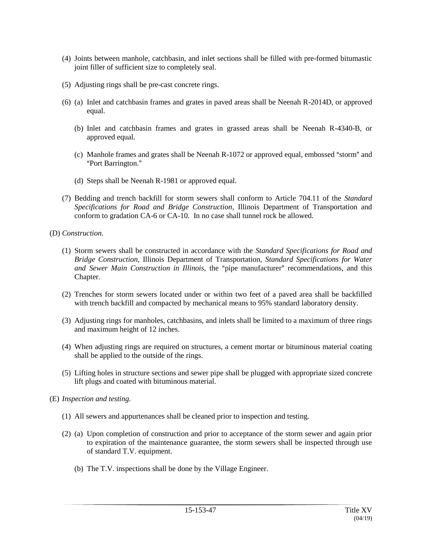- (4) Joints between manhole, catchbasin, and inlet sections shall be filled with pre-formed bitumastic joint filler of sufficient size to completely seal.
- (5) Adjusting rings shall be pre-cast concrete rings.
- (6) (a) Inlet and catchbasin frames and grates in paved areas shall be Neenah R-2014D, or approved equal.
	- (b) Inlet and catchbasin frames and grates in grassed areas shall be Neenah R-4340-B, or approved equal.
	- (c) Manhole frames and grates shall be Neenah  $R-1072$  or approved equal, embossed "storm" and "Port Barrington."
	- (d) Steps shall be Neenah R-1981 or approved equal.
- (7) Bedding and trench backfill for storm sewers shall conform to Article 704.11 of the *Standard Specifications for Road and Bridge Construction*, Illinois Department of Transportation and conform to gradation CA-6 or CA-10. In no case shall tunnel rock be allowed.
- (D) *Construction.*
	- (1) Storm sewers shall be constructed in accordance with the *Standard Specifications for Road and Bridge Construction*, Illinois Department of Transportation, *Standard Specifications for Water and Sewer Main Construction in Illinois*, the "pipe manufacturer" recommendations, and this Chapter.
	- (2) Trenches for storm sewers located under or within two feet of a paved area shall be backfilled with trench backfill and compacted by mechanical means to 95% standard laboratory density.
	- (3) Adjusting rings for manholes, catchbasins, and inlets shall be limited to a maximum of three rings and maximum height of 12 inches.
	- (4) When adjusting rings are required on structures, a cement mortar or bituminous material coating shall be applied to the outside of the rings.
	- (5) Lifting holes in structure sections and sewer pipe shall be plugged with appropriate sized concrete lift plugs and coated with bituminous material.
- (E) *Inspection and testing.*
	- (1) All sewers and appurtenances shall be cleaned prior to inspection and testing.
	- (2) (a) Upon completion of construction and prior to acceptance of the storm sewer and again prior to expiration of the maintenance guarantee, the storm sewers shall be inspected through use of standard T.V. equipment.
		- (b) The T.V. inspections shall be done by the Village Engineer.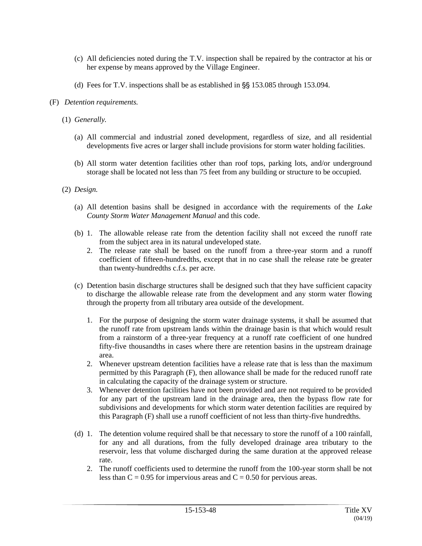- (c) All deficiencies noted during the T.V. inspection shall be repaired by the contractor at his or her expense by means approved by the Village Engineer.
- (d) Fees for T.V. inspections shall be as established in  $\S$ § 153.085 through 153.094.
- (F) *Detention requirements.*
	- (1) *Generally.*
		- (a) All commercial and industrial zoned development, regardless of size, and all residential developments five acres or larger shall include provisions for storm water holding facilities.
		- (b) All storm water detention facilities other than roof tops, parking lots, and/or underground storage shall be located not less than 75 feet from any building or structure to be occupied.
	- (2) *Design.*
		- (a) All detention basins shall be designed in accordance with the requirements of the *Lake County Storm Water Management Manual* and this code.
		- (b) 1. The allowable release rate from the detention facility shall not exceed the runoff rate from the subject area in its natural undeveloped state.
			- 2. The release rate shall be based on the runoff from a three-year storm and a runoff coefficient of fifteen-hundredths, except that in no case shall the release rate be greater than twenty-hundredths c.f.s. per acre.
		- (c) Detention basin discharge structures shall be designed such that they have sufficient capacity to discharge the allowable release rate from the development and any storm water flowing through the property from all tributary area outside of the development.
			- 1. For the purpose of designing the storm water drainage systems, it shall be assumed that the runoff rate from upstream lands within the drainage basin is that which would result from a rainstorm of a three-year frequency at a runoff rate coefficient of one hundred fifty-five thousandths in cases where there are retention basins in the upstream drainage area.
			- 2. Whenever upstream detention facilities have a release rate that is less than the maximum permitted by this Paragraph (F), then allowance shall be made for the reduced runoff rate in calculating the capacity of the drainage system or structure.
			- 3. Whenever detention facilities have not been provided and are not required to be provided for any part of the upstream land in the drainage area, then the bypass flow rate for subdivisions and developments for which storm water detention facilities are required by this Paragraph (F) shall use a runoff coefficient of not less than thirty-five hundredths.
		- (d) 1. The detention volume required shall be that necessary to store the runoff of a 100 rainfall, for any and all durations, from the fully developed drainage area tributary to the reservoir, less that volume discharged during the same duration at the approved release rate.
			- 2. The runoff coefficients used to determine the runoff from the 100-year storm shall be not less than  $C = 0.95$  for impervious areas and  $C = 0.50$  for pervious areas.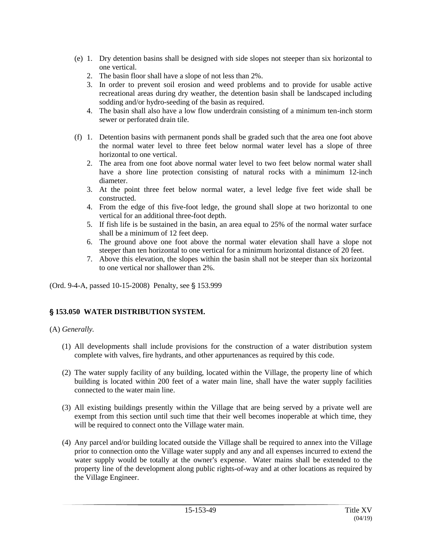- (e) 1. Dry detention basins shall be designed with side slopes not steeper than six horizontal to one vertical.
	- 2. The basin floor shall have a slope of not less than 2%.
	- 3. In order to prevent soil erosion and weed problems and to provide for usable active recreational areas during dry weather, the detention basin shall be landscaped including sodding and/or hydro-seeding of the basin as required.
	- 4. The basin shall also have a low flow underdrain consisting of a minimum ten-inch storm sewer or perforated drain tile.
- (f) 1. Detention basins with permanent ponds shall be graded such that the area one foot above the normal water level to three feet below normal water level has a slope of three horizontal to one vertical.
	- 2. The area from one foot above normal water level to two feet below normal water shall have a shore line protection consisting of natural rocks with a minimum 12-inch diameter.
	- 3. At the point three feet below normal water, a level ledge five feet wide shall be constructed.
	- 4. From the edge of this five-foot ledge, the ground shall slope at two horizontal to one vertical for an additional three-foot depth.
	- 5. If fish life is be sustained in the basin, an area equal to 25% of the normal water surface shall be a minimum of 12 feet deep.
	- 6. The ground above one foot above the normal water elevation shall have a slope not steeper than ten horizontal to one vertical for a minimum horizontal distance of 20 feet.
	- 7. Above this elevation, the slopes within the basin shall not be steeper than six horizontal to one vertical nor shallower than 2%.

(Ord. 9-4-A, passed 10-15-2008) Penalty, see § 153.999

## ' **153.050 WATER DISTRIBUTION SYSTEM.**

## (A) *Generally.*

- (1) All developments shall include provisions for the construction of a water distribution system complete with valves, fire hydrants, and other appurtenances as required by this code.
- (2) The water supply facility of any building, located within the Village, the property line of which building is located within 200 feet of a water main line, shall have the water supply facilities connected to the water main line.
- (3) All existing buildings presently within the Village that are being served by a private well are exempt from this section until such time that their well becomes inoperable at which time, they will be required to connect onto the Village water main.
- (4) Any parcel and/or building located outside the Village shall be required to annex into the Village prior to connection onto the Village water supply and any and all expenses incurred to extend the water supply would be totally at the owner's expense. Water mains shall be extended to the property line of the development along public rights-of-way and at other locations as required by the Village Engineer.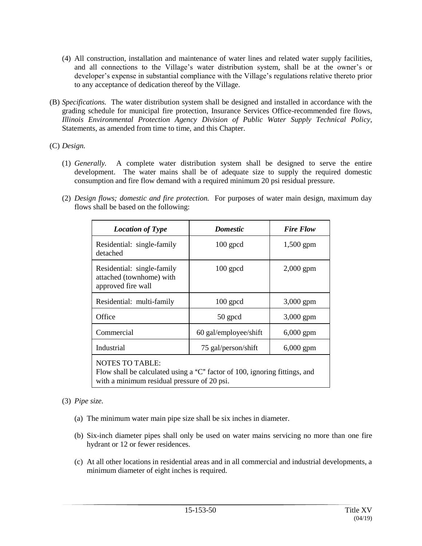- (4) All construction, installation and maintenance of water lines and related water supply facilities, and all connections to the Village's water distribution system, shall be at the owner's or developer's expense in substantial compliance with the Village's regulations relative thereto prior to any acceptance of dedication thereof by the Village.
- (B) *Specifications.* The water distribution system shall be designed and installed in accordance with the grading schedule for municipal fire protection, Insurance Services Office-recommended fire flows, *Illinois Environmental Protection Agency Division of Public Water Supply Technical Policy*, Statements, as amended from time to time, and this Chapter.
- (C) *Design.*
	- (1) *Generally.* A complete water distribution system shall be designed to serve the entire development. The water mains shall be of adequate size to supply the required domestic consumption and fire flow demand with a required minimum 20 psi residual pressure.
	- (2) *Design flows; domestic and fire protection.* For purposes of water main design, maximum day flows shall be based on the following:

| <b>Location of Type</b>                                                                                                                             | <b>Domestic</b>       | <b>Fire Flow</b> |
|-----------------------------------------------------------------------------------------------------------------------------------------------------|-----------------------|------------------|
| Residential: single-family<br>detached                                                                                                              | $100$ gpcd            | 1,500 gpm        |
| Residential: single-family<br>attached (townhome) with<br>approved fire wall                                                                        | $100$ gpcd            | $2,000$ gpm      |
| Residential: multi-family                                                                                                                           | $100$ gpcd            | 3,000 gpm        |
| Office                                                                                                                                              | 50 gpcd               | 3,000 gpm        |
| Commercial                                                                                                                                          | 60 gal/employee/shift | $6,000$ gpm      |
| Industrial                                                                                                                                          | 75 gal/person/shift   | $6,000$ gpm      |
| <b>NOTES TO TABLE:</b><br>Flow shall be calculated using a "C" factor of 100, ignoring fittings, and<br>with a minimum residual pressure of 20 psi. |                       |                  |

## (3) *Pipe size.*

- (a) The minimum water main pipe size shall be six inches in diameter.
- (b) Six-inch diameter pipes shall only be used on water mains servicing no more than one fire hydrant or 12 or fewer residences.
- (c) At all other locations in residential areas and in all commercial and industrial developments, a minimum diameter of eight inches is required.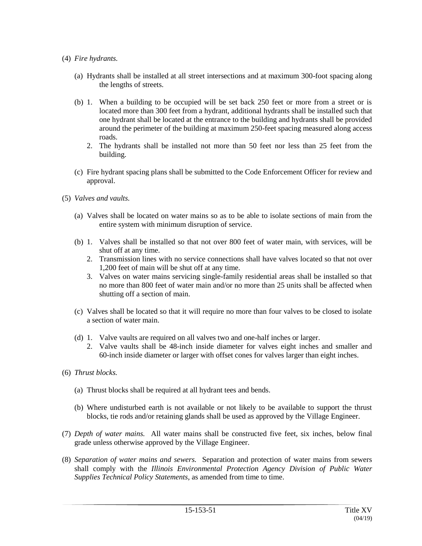- (4) *Fire hydrants.*
	- (a) Hydrants shall be installed at all street intersections and at maximum 300-foot spacing along the lengths of streets.
	- (b) 1. When a building to be occupied will be set back 250 feet or more from a street or is located more than 300 feet from a hydrant, additional hydrants shall be installed such that one hydrant shall be located at the entrance to the building and hydrants shall be provided around the perimeter of the building at maximum 250-feet spacing measured along access roads.
		- 2. The hydrants shall be installed not more than 50 feet nor less than 25 feet from the building.
	- (c) Fire hydrant spacing plans shall be submitted to the Code Enforcement Officer for review and approval.
- (5) *Valves and vaults.*
	- (a) Valves shall be located on water mains so as to be able to isolate sections of main from the entire system with minimum disruption of service.
	- (b) 1. Valves shall be installed so that not over 800 feet of water main, with services, will be shut off at any time.
		- 2. Transmission lines with no service connections shall have valves located so that not over 1,200 feet of main will be shut off at any time.
		- 3. Valves on water mains servicing single-family residential areas shall be installed so that no more than 800 feet of water main and/or no more than 25 units shall be affected when shutting off a section of main.
	- (c) Valves shall be located so that it will require no more than four valves to be closed to isolate a section of water main.
	- (d) 1. Valve vaults are required on all valves two and one-half inches or larger.
		- 2. Valve vaults shall be 48-inch inside diameter for valves eight inches and smaller and 60-inch inside diameter or larger with offset cones for valves larger than eight inches.
- (6) *Thrust blocks.*
	- (a) Thrust blocks shall be required at all hydrant tees and bends.
	- (b) Where undisturbed earth is not available or not likely to be available to support the thrust blocks, tie rods and/or retaining glands shall be used as approved by the Village Engineer.
- (7) *Depth of water mains.* All water mains shall be constructed five feet, six inches, below final grade unless otherwise approved by the Village Engineer.
- (8) *Separation of water mains and sewers.* Separation and protection of water mains from sewers shall comply with the *Illinois Environmental Protection Agency Division of Public Water Supplies Technical Policy Statements*, as amended from time to time.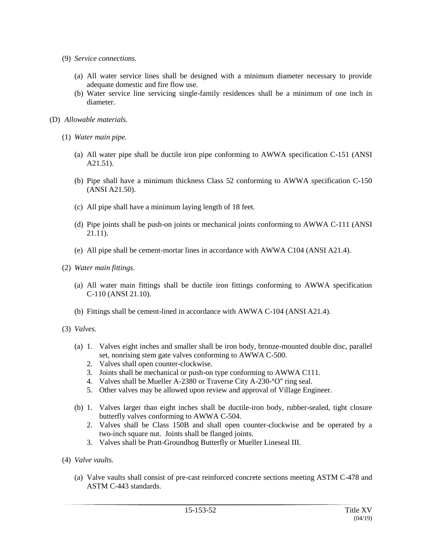- (9) *Service connections.*
	- (a) All water service lines shall be designed with a minimum diameter necessary to provide adequate domestic and fire flow use.
	- (b) Water service line servicing single-family residences shall be a minimum of one inch in diameter.
- (D) *Allowable materials.*
	- (1) *Water main pipe.*
		- (a) All water pipe shall be ductile iron pipe conforming to AWWA specification C-151 (ANSI A21.51).
		- (b) Pipe shall have a minimum thickness Class 52 conforming to AWWA specification C-150 (ANSI A21.50).
		- (c) All pipe shall have a minimum laying length of 18 feet.
		- (d) Pipe joints shall be push-on joints or mechanical joints conforming to AWWA C-111 (ANSI 21.11).
		- (e) All pipe shall be cement-mortar lines in accordance with AWWA C104 (ANSI A21.4).
	- (2) *Water main fittings.*
		- (a) All water main fittings shall be ductile iron fittings conforming to AWWA specification C-110 (ANSI 21.10).
		- (b) Fittings shall be cement-lined in accordance with AWWA C-104 (ANSI A21.4).
	- (3) *Valves.*
		- (a) 1. Valves eight inches and smaller shall be iron body, bronze-mounted double disc, parallel set, nonrising stem gate valves conforming to AWWA C-500.
			- 2. Valves shall open counter-clockwise.
			- 3. Joints shall be mechanical or push-on type conforming to AWWA C111.
			- 4. Valves shall be Mueller A-2380 or Traverse City A-230-"O" ring seal.
			- 5. Other valves may be allowed upon review and approval of Village Engineer.
		- (b) 1. Valves larger than eight inches shall be ductile-iron body, rubber-sealed, tight closure butterfly valves conforming to AWWA C-504.
			- 2. Valves shall be Class 150B and shall open counter-clockwise and be operated by a two-inch square nut. Joints shall be flanged joints.
			- 3. Valves shall be Pratt-Groundhog Butterfly or Mueller Lineseal III.
	- (4) *Valve vaults.*
		- (a) Valve vaults shall consist of pre-cast reinforced concrete sections meeting ASTM C-478 and ASTM C-443 standards.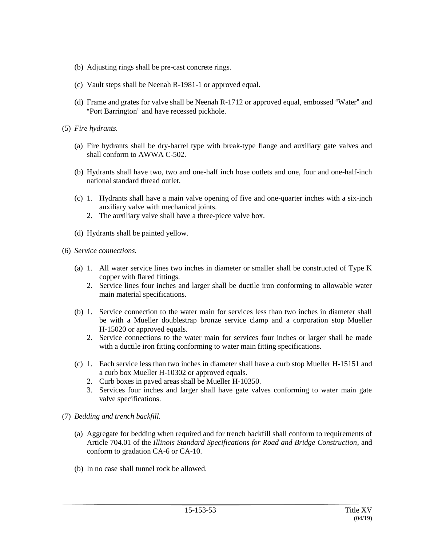- (b) Adjusting rings shall be pre-cast concrete rings.
- (c) Vault steps shall be Neenah R-1981-1 or approved equal.
- (d) Frame and grates for valve shall be Neenah R-1712 or approved equal, embossed "Water" and "Port Barrington" and have recessed pickhole.
- (5) *Fire hydrants.*
	- (a) Fire hydrants shall be dry-barrel type with break-type flange and auxiliary gate valves and shall conform to AWWA C-502.
	- (b) Hydrants shall have two, two and one-half inch hose outlets and one, four and one-half-inch national standard thread outlet.
	- (c) 1. Hydrants shall have a main valve opening of five and one-quarter inches with a six-inch auxiliary valve with mechanical joints.
		- 2. The auxiliary valve shall have a three-piece valve box.
	- (d) Hydrants shall be painted yellow.
- (6) *Service connections.*
	- (a) 1. All water service lines two inches in diameter or smaller shall be constructed of Type K copper with flared fittings.
		- 2. Service lines four inches and larger shall be ductile iron conforming to allowable water main material specifications.
	- (b) 1. Service connection to the water main for services less than two inches in diameter shall be with a Mueller doublestrap bronze service clamp and a corporation stop Mueller H-15020 or approved equals.
		- 2. Service connections to the water main for services four inches or larger shall be made with a ductile iron fitting conforming to water main fitting specifications.
	- (c) 1. Each service less than two inches in diameter shall have a curb stop Mueller H-15151 and a curb box Mueller H-10302 or approved equals.
		- 2. Curb boxes in paved areas shall be Mueller H-10350.
		- 3. Services four inches and larger shall have gate valves conforming to water main gate valve specifications.
- (7) *Bedding and trench backfill.*
	- (a) Aggregate for bedding when required and for trench backfill shall conform to requirements of Article 704.01 of the *Illinois Standard Specifications for Road and Bridge Construction*, and conform to gradation CA-6 or CA-10.
	- (b) In no case shall tunnel rock be allowed.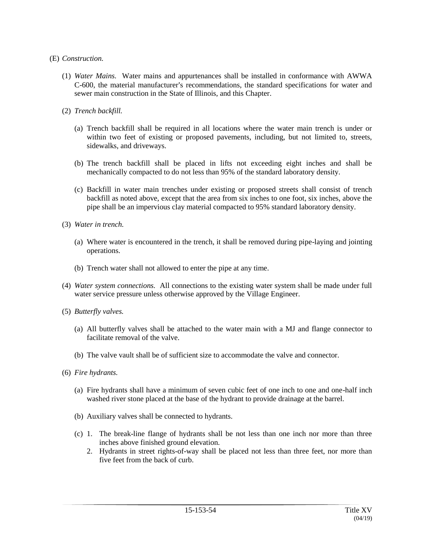### (E) *Construction.*

- (1) *Water Mains.* Water mains and appurtenances shall be installed in conformance with AWWA C-600, the material manufacturer's recommendations, the standard specifications for water and sewer main construction in the State of Illinois, and this Chapter.
- (2) *Trench backfill.*
	- (a) Trench backfill shall be required in all locations where the water main trench is under or within two feet of existing or proposed pavements, including, but not limited to, streets, sidewalks, and driveways.
	- (b) The trench backfill shall be placed in lifts not exceeding eight inches and shall be mechanically compacted to do not less than 95% of the standard laboratory density.
	- (c) Backfill in water main trenches under existing or proposed streets shall consist of trench backfill as noted above, except that the area from six inches to one foot, six inches, above the pipe shall be an impervious clay material compacted to 95% standard laboratory density.
- (3) *Water in trench.*
	- (a) Where water is encountered in the trench, it shall be removed during pipe-laying and jointing operations.
	- (b) Trench water shall not allowed to enter the pipe at any time.
- (4) *Water system connections.* All connections to the existing water system shall be made under full water service pressure unless otherwise approved by the Village Engineer.
- (5) *Butterfly valves.*
	- (a) All butterfly valves shall be attached to the water main with a MJ and flange connector to facilitate removal of the valve.
	- (b) The valve vault shall be of sufficient size to accommodate the valve and connector.
- (6) *Fire hydrants.*
	- (a) Fire hydrants shall have a minimum of seven cubic feet of one inch to one and one-half inch washed river stone placed at the base of the hydrant to provide drainage at the barrel.
	- (b) Auxiliary valves shall be connected to hydrants.
	- (c) 1. The break-line flange of hydrants shall be not less than one inch nor more than three inches above finished ground elevation.
		- 2. Hydrants in street rights-of-way shall be placed not less than three feet, nor more than five feet from the back of curb.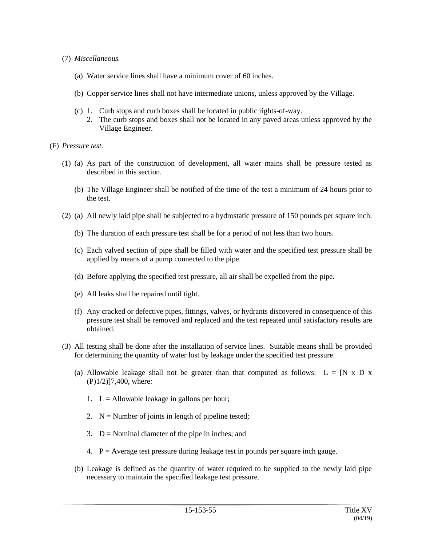- (7) *Miscellaneous.*
	- (a) Water service lines shall have a minimum cover of 60 inches.
	- (b) Copper service lines shall not have intermediate unions, unless approved by the Village.
	- (c) 1. Curb stops and curb boxes shall be located in public rights-of-way.
		- 2. The curb stops and boxes shall not be located in any paved areas unless approved by the Village Engineer.
- (F) *Pressure test.*
	- (1) (a) As part of the construction of development, all water mains shall be pressure tested as described in this section.
		- (b) The Village Engineer shall be notified of the time of the test a minimum of 24 hours prior to the test.
	- (2) (a) All newly laid pipe shall be subjected to a hydrostatic pressure of 150 pounds per square inch.
		- (b) The duration of each pressure test shall be for a period of not less than two hours.
		- (c) Each valved section of pipe shall be filled with water and the specified test pressure shall be applied by means of a pump connected to the pipe.
		- (d) Before applying the specified test pressure, all air shall be expelled from the pipe.
		- (e) All leaks shall be repaired until tight.
		- (f) Any cracked or defective pipes, fittings, valves, or hydrants discovered in consequence of this pressure test shall be removed and replaced and the test repeated until satisfactory results are obtained.
	- (3) All testing shall be done after the installation of service lines. Suitable means shall be provided for determining the quantity of water lost by leakage under the specified test pressure.
		- (a) Allowable leakage shall not be greater than that computed as follows:  $L = [N \times D \times N]$ (P)1/2)]7,400, where:
			- 1.  $L =$  Allowable leakage in gallons per hour;
			- 2.  $N =$  Number of joints in length of pipeline tested;
			- 3.  $D =$  Nominal diameter of the pipe in inches; and
			- 4.  $P =$  Average test pressure during leakage test in pounds per square inch gauge.
		- (b) Leakage is defined as the quantity of water required to be supplied to the newly laid pipe necessary to maintain the specified leakage test pressure.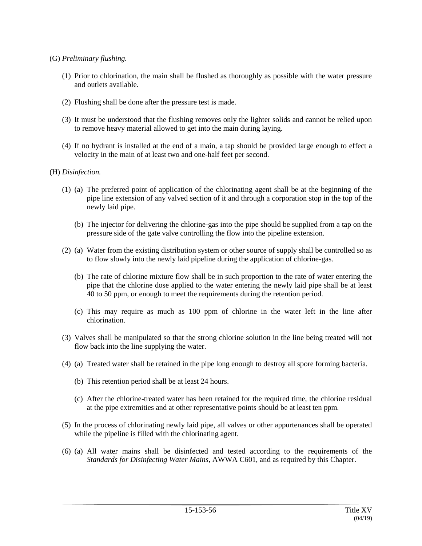- (G) *Preliminary flushing.*
	- (1) Prior to chlorination, the main shall be flushed as thoroughly as possible with the water pressure and outlets available.
	- (2) Flushing shall be done after the pressure test is made.
	- (3) It must be understood that the flushing removes only the lighter solids and cannot be relied upon to remove heavy material allowed to get into the main during laying.
	- (4) If no hydrant is installed at the end of a main, a tap should be provided large enough to effect a velocity in the main of at least two and one-half feet per second.

### (H) *Disinfection.*

- (1) (a) The preferred point of application of the chlorinating agent shall be at the beginning of the pipe line extension of any valved section of it and through a corporation stop in the top of the newly laid pipe.
	- (b) The injector for delivering the chlorine-gas into the pipe should be supplied from a tap on the pressure side of the gate valve controlling the flow into the pipeline extension.
- (2) (a) Water from the existing distribution system or other source of supply shall be controlled so as to flow slowly into the newly laid pipeline during the application of chlorine-gas.
	- (b) The rate of chlorine mixture flow shall be in such proportion to the rate of water entering the pipe that the chlorine dose applied to the water entering the newly laid pipe shall be at least 40 to 50 ppm, or enough to meet the requirements during the retention period.
	- (c) This may require as much as 100 ppm of chlorine in the water left in the line after chlorination.
- (3) Valves shall be manipulated so that the strong chlorine solution in the line being treated will not flow back into the line supplying the water.
- (4) (a) Treated water shall be retained in the pipe long enough to destroy all spore forming bacteria.
	- (b) This retention period shall be at least 24 hours.
	- (c) After the chlorine-treated water has been retained for the required time, the chlorine residual at the pipe extremities and at other representative points should be at least ten ppm.
- (5) In the process of chlorinating newly laid pipe, all valves or other appurtenances shall be operated while the pipeline is filled with the chlorinating agent.
- (6) (a) All water mains shall be disinfected and tested according to the requirements of the *Standards for Disinfecting Water Mains*, AWWA C601, and as required by this Chapter.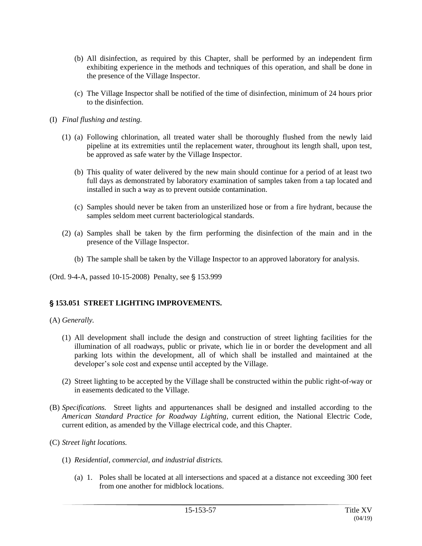- (b) All disinfection, as required by this Chapter, shall be performed by an independent firm exhibiting experience in the methods and techniques of this operation, and shall be done in the presence of the Village Inspector.
- (c) The Village Inspector shall be notified of the time of disinfection, minimum of 24 hours prior to the disinfection.
- (I) *Final flushing and testing.*
	- (1) (a) Following chlorination, all treated water shall be thoroughly flushed from the newly laid pipeline at its extremities until the replacement water, throughout its length shall, upon test, be approved as safe water by the Village Inspector.
		- (b) This quality of water delivered by the new main should continue for a period of at least two full days as demonstrated by laboratory examination of samples taken from a tap located and installed in such a way as to prevent outside contamination.
		- (c) Samples should never be taken from an unsterilized hose or from a fire hydrant, because the samples seldom meet current bacteriological standards.
	- (2) (a) Samples shall be taken by the firm performing the disinfection of the main and in the presence of the Village Inspector.
		- (b) The sample shall be taken by the Village Inspector to an approved laboratory for analysis.

(Ord. 9-4-A, passed 10-15-2008) Penalty, see § 153.999

## ' **153.051 STREET LIGHTING IMPROVEMENTS.**

(A) *Generally.*

- (1) All development shall include the design and construction of street lighting facilities for the illumination of all roadways, public or private, which lie in or border the development and all parking lots within the development, all of which shall be installed and maintained at the developer's sole cost and expense until accepted by the Village.
- (2) Street lighting to be accepted by the Village shall be constructed within the public right-of-way or in easements dedicated to the Village.
- (B) *Specifications.* Street lights and appurtenances shall be designed and installed according to the *American Standard Practice for Roadway Lighting*, current edition, the National Electric Code, current edition, as amended by the Village electrical code, and this Chapter.
- (C) *Street light locations.*
	- (1) *Residential, commercial, and industrial districts.*
		- (a) 1. Poles shall be located at all intersections and spaced at a distance not exceeding 300 feet from one another for midblock locations.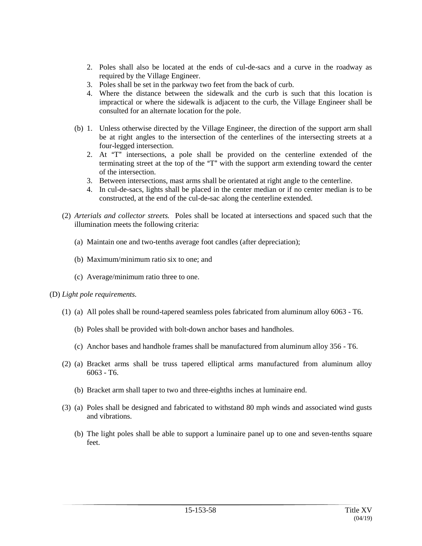- 2. Poles shall also be located at the ends of cul-de-sacs and a curve in the roadway as required by the Village Engineer.
- 3. Poles shall be set in the parkway two feet from the back of curb.
- 4. Where the distance between the sidewalk and the curb is such that this location is impractical or where the sidewalk is adjacent to the curb, the Village Engineer shall be consulted for an alternate location for the pole.
- (b) 1. Unless otherwise directed by the Village Engineer, the direction of the support arm shall be at right angles to the intersection of the centerlines of the intersecting streets at a four-legged intersection.
	- 2. At  $T^{\prime}$  intersections, a pole shall be provided on the centerline extended of the terminating street at the top of the "T" with the support arm extending toward the center of the intersection.
	- 3. Between intersections, mast arms shall be orientated at right angle to the centerline.
	- 4. In cul-de-sacs, lights shall be placed in the center median or if no center median is to be constructed, at the end of the cul-de-sac along the centerline extended.
- (2) *Arterials and collector streets.* Poles shall be located at intersections and spaced such that the illumination meets the following criteria:
	- (a) Maintain one and two-tenths average foot candles (after depreciation);
	- (b) Maximum/minimum ratio six to one; and
	- (c) Average/minimum ratio three to one.

## (D) *Light pole requirements.*

- (1) (a) All poles shall be round-tapered seamless poles fabricated from aluminum alloy 6063 T6.
	- (b) Poles shall be provided with bolt-down anchor bases and handholes.
	- (c) Anchor bases and handhole frames shall be manufactured from aluminum alloy 356 T6.
- (2) (a) Bracket arms shall be truss tapered elliptical arms manufactured from aluminum alloy 6063 - T6.
	- (b) Bracket arm shall taper to two and three-eighths inches at luminaire end.
- (3) (a) Poles shall be designed and fabricated to withstand 80 mph winds and associated wind gusts and vibrations.
	- (b) The light poles shall be able to support a luminaire panel up to one and seven-tenths square feet.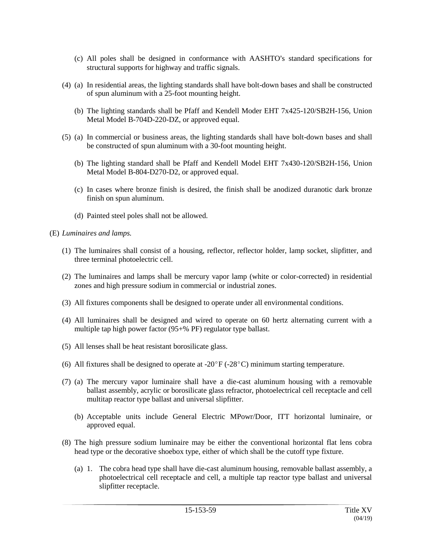- (c) All poles shall be designed in conformance with AASHTO's standard specifications for structural supports for highway and traffic signals.
- (4) (a) In residential areas, the lighting standards shall have bolt-down bases and shall be constructed of spun aluminum with a 25-foot mounting height.
	- (b) The lighting standards shall be Pfaff and Kendell Moder EHT 7x425-120/SB2H-156, Union Metal Model B-704D-220-DZ, or approved equal.
- (5) (a) In commercial or business areas, the lighting standards shall have bolt-down bases and shall be constructed of spun aluminum with a 30-foot mounting height.
	- (b) The lighting standard shall be Pfaff and Kendell Model EHT 7x430-120/SB2H-156, Union Metal Model B-804-D270-D2, or approved equal.
	- (c) In cases where bronze finish is desired, the finish shall be anodized duranotic dark bronze finish on spun aluminum.
	- (d) Painted steel poles shall not be allowed.
- (E) *Luminaires and lamps.*
	- (1) The luminaires shall consist of a housing, reflector, reflector holder, lamp socket, slipfitter, and three terminal photoelectric cell.
	- (2) The luminaires and lamps shall be mercury vapor lamp (white or color-corrected) in residential zones and high pressure sodium in commercial or industrial zones.
	- (3) All fixtures components shall be designed to operate under all environmental conditions.
	- (4) All luminaires shall be designed and wired to operate on 60 hertz alternating current with a multiple tap high power factor (95+% PF) regulator type ballast.
	- (5) All lenses shall be heat resistant borosilicate glass.
	- (6) All fixtures shall be designed to operate at -20 $\degree$ F (-28 $\degree$ C) minimum starting temperature.
	- (7) (a) The mercury vapor luminaire shall have a die-cast aluminum housing with a removable ballast assembly, acrylic or borosilicate glass refractor, photoelectrical cell receptacle and cell multitap reactor type ballast and universal slipfitter.
		- (b) Acceptable units include General Electric MPowr/Door, ITT horizontal luminaire, or approved equal.
	- (8) The high pressure sodium luminaire may be either the conventional horizontal flat lens cobra head type or the decorative shoebox type, either of which shall be the cutoff type fixture.
		- (a) 1. The cobra head type shall have die-cast aluminum housing, removable ballast assembly, a photoelectrical cell receptacle and cell, a multiple tap reactor type ballast and universal slipfitter receptacle.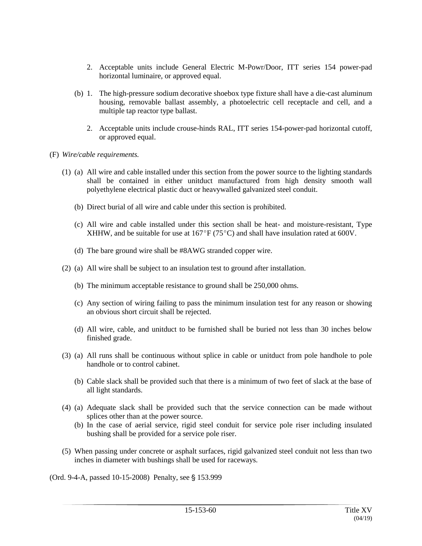- 2. Acceptable units include General Electric M-Powr/Door, ITT series 154 power-pad horizontal luminaire, or approved equal.
- (b) 1. The high-pressure sodium decorative shoebox type fixture shall have a die-cast aluminum housing, removable ballast assembly, a photoelectric cell receptacle and cell, and a multiple tap reactor type ballast.
	- 2. Acceptable units include crouse-hinds RAL, ITT series 154-power-pad horizontal cutoff, or approved equal.
- (F) *Wire/cable requirements.*
	- (1) (a) All wire and cable installed under this section from the power source to the lighting standards shall be contained in either unitduct manufactured from high density smooth wall polyethylene electrical plastic duct or heavywalled galvanized steel conduit.
		- (b) Direct burial of all wire and cable under this section is prohibited.
		- (c) All wire and cable installed under this section shall be heat- and moisture-resistant, Type XHHW, and be suitable for use at  $167^{\circ}F(75^{\circ}C)$  and shall have insulation rated at 600V.
		- (d) The bare ground wire shall be #8AWG stranded copper wire.
	- (2) (a) All wire shall be subject to an insulation test to ground after installation.
		- (b) The minimum acceptable resistance to ground shall be 250,000 ohms.
		- (c) Any section of wiring failing to pass the minimum insulation test for any reason or showing an obvious short circuit shall be rejected.
		- (d) All wire, cable, and unitduct to be furnished shall be buried not less than 30 inches below finished grade.
	- (3) (a) All runs shall be continuous without splice in cable or unitduct from pole handhole to pole handhole or to control cabinet.
		- (b) Cable slack shall be provided such that there is a minimum of two feet of slack at the base of all light standards.
	- (4) (a) Adequate slack shall be provided such that the service connection can be made without splices other than at the power source.
		- (b) In the case of aerial service, rigid steel conduit for service pole riser including insulated bushing shall be provided for a service pole riser.
	- (5) When passing under concrete or asphalt surfaces, rigid galvanized steel conduit not less than two inches in diameter with bushings shall be used for raceways.

(Ord. 9-4-A, passed 10-15-2008) Penalty, see § 153.999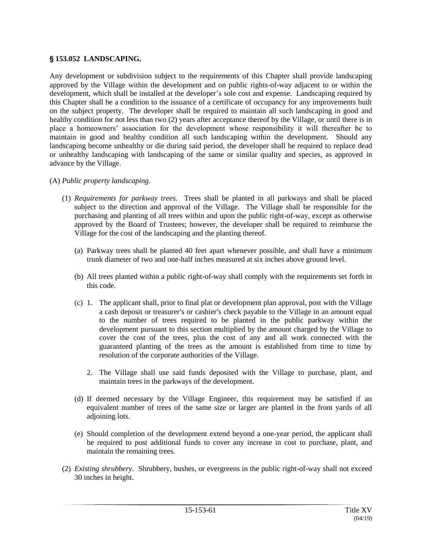# ' **153.052 LANDSCAPING.**

Any development or subdivision subject to the requirements of this Chapter shall provide landscaping approved by the Village within the development and on public rights-of-way adjacent to or within the development, which shall be installed at the developer's sole cost and expense. Landscaping required by this Chapter shall be a condition to the issuance of a certificate of occupancy for any improvements built on the subject property. The developer shall be required to maintain all such landscaping in good and healthy condition for not less than two (2) years after acceptance thereof by the Village, or until there is in place a homeowners' association for the development whose responsibility it will thereafter be to maintain in good and healthy condition all such landscaping within the development. Should any landscaping become unhealthy or die during said period, the developer shall be required to replace dead or unhealthy landscaping with landscaping of the same or similar quality and species, as approved in advance by the Village.

### (A) *Public property landscaping.*

- (1) *Requirements for parkway trees.* Trees shall be planted in all parkways and shall be placed subject to the direction and approval of the Village. The Village shall be responsible for the purchasing and planting of all trees within and upon the public right-of-way, except as otherwise approved by the Board of Trustees; however, the developer shall be required to reimburse the Village for the cost of the landscaping and the planting thereof.
	- (a) Parkway trees shall be planted 40 feet apart whenever possible, and shall have a minimum trunk diameter of two and one-half inches measured at six inches above ground level.
	- (b) All trees planted within a public right-of-way shall comply with the requirements set forth in this code.
	- (c) 1. The applicant shall, prior to final plat or development plan approval, post with the Village a cash deposit or treasurer's or cashier's check payable to the Village in an amount equal to the number of trees required to be planted in the public parkway within the development pursuant to this section multiplied by the amount charged by the Village to cover the cost of the trees, plus the cost of any and all work connected with the guaranteed planting of the trees as the amount is established from time to time by resolution of the corporate authorities of the Village.
		- 2. The Village shall use said funds deposited with the Village to purchase, plant, and maintain trees in the parkways of the development.
	- (d) If deemed necessary by the Village Engineer, this requirement may be satisfied if an equivalent number of trees of the same size or larger are planted in the front yards of all adjoining lots.
	- (e) Should completion of the development extend beyond a one-year period, the applicant shall be required to post additional funds to cover any increase in cost to purchase, plant, and maintain the remaining trees.
- (2) *Existing shrubbery.* Shrubbery, bushes, or evergreens in the public right-of-way shall not exceed 30 inches in height.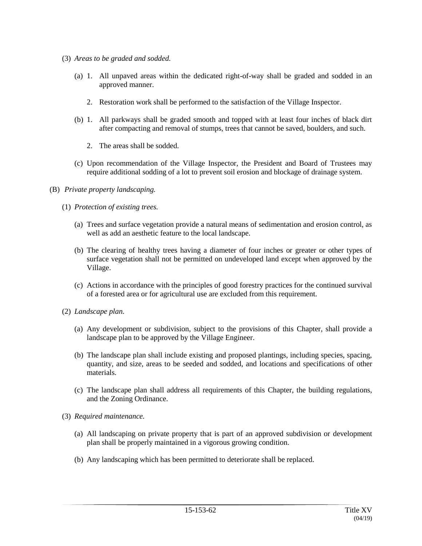- (3) *Areas to be graded and sodded.*
	- (a) 1. All unpaved areas within the dedicated right-of-way shall be graded and sodded in an approved manner.
		- 2. Restoration work shall be performed to the satisfaction of the Village Inspector.
	- (b) 1. All parkways shall be graded smooth and topped with at least four inches of black dirt after compacting and removal of stumps, trees that cannot be saved, boulders, and such.
		- 2. The areas shall be sodded.
	- (c) Upon recommendation of the Village Inspector, the President and Board of Trustees may require additional sodding of a lot to prevent soil erosion and blockage of drainage system.
- (B) *Private property landscaping.*
	- (1) *Protection of existing trees.*
		- (a) Trees and surface vegetation provide a natural means of sedimentation and erosion control, as well as add an aesthetic feature to the local landscape.
		- (b) The clearing of healthy trees having a diameter of four inches or greater or other types of surface vegetation shall not be permitted on undeveloped land except when approved by the Village.
		- (c) Actions in accordance with the principles of good forestry practices for the continued survival of a forested area or for agricultural use are excluded from this requirement.
	- (2) *Landscape plan.*
		- (a) Any development or subdivision, subject to the provisions of this Chapter, shall provide a landscape plan to be approved by the Village Engineer.
		- (b) The landscape plan shall include existing and proposed plantings, including species, spacing, quantity, and size, areas to be seeded and sodded, and locations and specifications of other materials.
		- (c) The landscape plan shall address all requirements of this Chapter, the building regulations, and the Zoning Ordinance.
	- (3) *Required maintenance.*
		- (a) All landscaping on private property that is part of an approved subdivision or development plan shall be properly maintained in a vigorous growing condition.
		- (b) Any landscaping which has been permitted to deteriorate shall be replaced.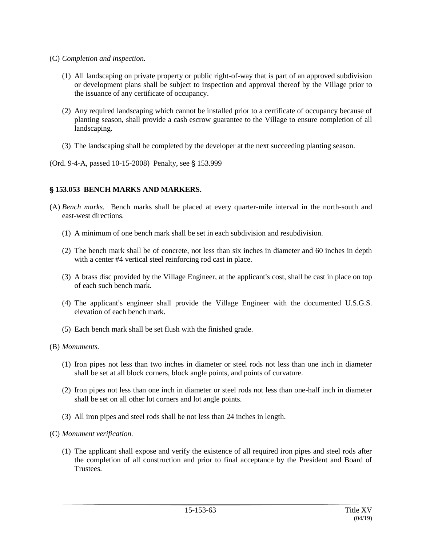- (C) *Completion and inspection.*
	- (1) All landscaping on private property or public right-of-way that is part of an approved subdivision or development plans shall be subject to inspection and approval thereof by the Village prior to the issuance of any certificate of occupancy.
	- (2) Any required landscaping which cannot be installed prior to a certificate of occupancy because of planting season, shall provide a cash escrow guarantee to the Village to ensure completion of all landscaping.
	- (3) The landscaping shall be completed by the developer at the next succeeding planting season.
- (Ord. 9-4-A, passed 10-15-2008) Penalty, see § 153.999

## ' **153.053 BENCH MARKS AND MARKERS.**

- (A) *Bench marks.* Bench marks shall be placed at every quarter-mile interval in the north-south and east-west directions.
	- (1) A minimum of one bench mark shall be set in each subdivision and resubdivision.
	- (2) The bench mark shall be of concrete, not less than six inches in diameter and 60 inches in depth with a center #4 vertical steel reinforcing rod cast in place.
	- (3) A brass disc provided by the Village Engineer, at the applicant's cost, shall be cast in place on top of each such bench mark.
	- (4) The applicant's engineer shall provide the Village Engineer with the documented U.S.G.S. elevation of each bench mark.
	- (5) Each bench mark shall be set flush with the finished grade.
- (B) *Monuments.*
	- (1) Iron pipes not less than two inches in diameter or steel rods not less than one inch in diameter shall be set at all block corners, block angle points, and points of curvature.
	- (2) Iron pipes not less than one inch in diameter or steel rods not less than one-half inch in diameter shall be set on all other lot corners and lot angle points.
	- (3) All iron pipes and steel rods shall be not less than 24 inches in length.
- (C) *Monument verification.*
	- (1) The applicant shall expose and verify the existence of all required iron pipes and steel rods after the completion of all construction and prior to final acceptance by the President and Board of **Trustees**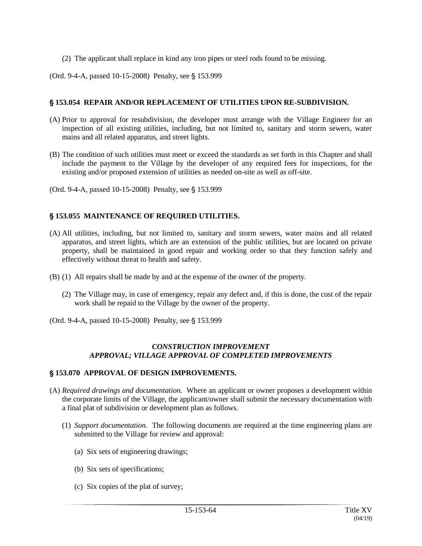(2) The applicant shall replace in kind any iron pipes or steel rods found to be missing.

(Ord. 9-4-A, passed 10-15-2008) Penalty, see § 153.999

# ' **153.054 REPAIR AND/OR REPLACEMENT OF UTILITIES UPON RE-SUBDIVISION.**

- (A) Prior to approval for resubdivision, the developer must arrange with the Village Engineer for an inspection of all existing utilities, including, but not limited to, sanitary and storm sewers, water mains and all related apparatus, and street lights.
- (B) The condition of such utilities must meet or exceed the standards as set forth in this Chapter and shall include the payment to the Village by the developer of any required fees for inspections, for the existing and/or proposed extension of utilities as needed on-site as well as off-site.
- (Ord. 9-4-A, passed 10-15-2008) Penalty, see § 153.999

# ' **153.055 MAINTENANCE OF REQUIRED UTILITIES.**

- (A) All utilities, including, but not limited to, sanitary and storm sewers, water mains and all related apparatus, and street lights, which are an extension of the public utilities, but are located on private property, shall be maintained in good repair and working order so that they function safely and effectively without threat to health and safety.
- (B) (1) All repairs shall be made by and at the expense of the owner of the property.
	- (2) The Village may, in case of emergency, repair any defect and, if this is done, the cost of the repair work shall be repaid to the Village by the owner of the property.
- (Ord. 9-4-A, passed 10-15-2008) Penalty, see § 153.999

## *CONSTRUCTION IMPROVEMENT APPROVAL; VILLAGE APPROVAL OF COMPLETED IMPROVEMENTS*

## ' **153.070 APPROVAL OF DESIGN IMPROVEMENTS.**

- (A) *Required drawings and documentation.* Where an applicant or owner proposes a development within the corporate limits of the Village, the applicant/owner shall submit the necessary documentation with a final plat of subdivision or development plan as follows.
	- (1) *Support documentation.* The following documents are required at the time engineering plans are submitted to the Village for review and approval:
		- (a) Six sets of engineering drawings;
		- (b) Six sets of specifications;
		- (c) Six copies of the plat of survey;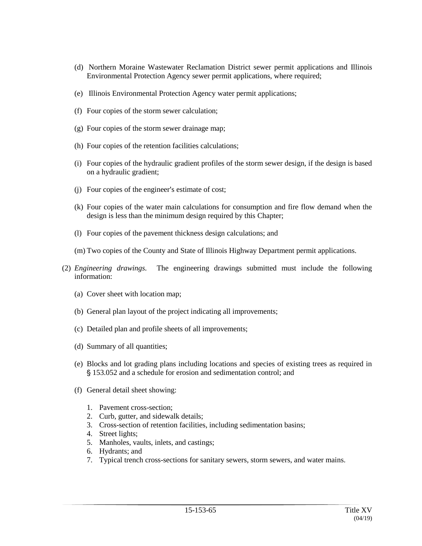- (d) Northern Moraine Wastewater Reclamation District sewer permit applications and Illinois Environmental Protection Agency sewer permit applications, where required;
- (e) Illinois Environmental Protection Agency water permit applications;
- (f) Four copies of the storm sewer calculation;
- (g) Four copies of the storm sewer drainage map;
- (h) Four copies of the retention facilities calculations;
- (i) Four copies of the hydraulic gradient profiles of the storm sewer design, if the design is based on a hydraulic gradient;
- $(i)$  Four copies of the engineer's estimate of cost;
- (k) Four copies of the water main calculations for consumption and fire flow demand when the design is less than the minimum design required by this Chapter;
- (l) Four copies of the pavement thickness design calculations; and
- (m) Two copies of the County and State of Illinois Highway Department permit applications.
- (2) *Engineering drawings.* The engineering drawings submitted must include the following information:
	- (a) Cover sheet with location map;
	- (b) General plan layout of the project indicating all improvements;
	- (c) Detailed plan and profile sheets of all improvements;
	- (d) Summary of all quantities;
	- (e) Blocks and lot grading plans including locations and species of existing trees as required in ' 153.052 and a schedule for erosion and sedimentation control; and
	- (f) General detail sheet showing:
		- 1. Pavement cross-section;
		- 2. Curb, gutter, and sidewalk details;
		- 3. Cross-section of retention facilities, including sedimentation basins;
		- 4. Street lights;
		- 5. Manholes, vaults, inlets, and castings;
		- 6. Hydrants; and
		- 7. Typical trench cross-sections for sanitary sewers, storm sewers, and water mains.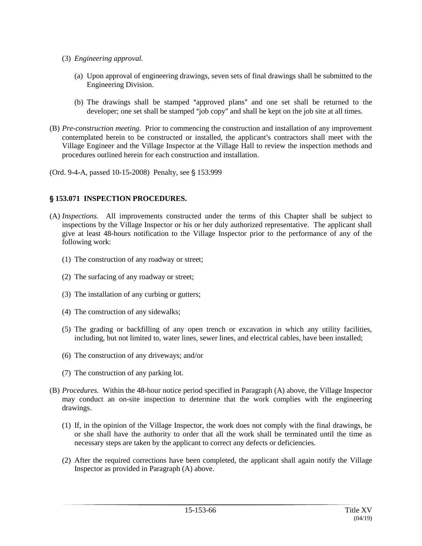- (3) *Engineering approval.*
	- (a) Upon approval of engineering drawings, seven sets of final drawings shall be submitted to the Engineering Division.
	- (b) The drawings shall be stamped "approved plans" and one set shall be returned to the developer; one set shall be stamped "job copy" and shall be kept on the job site at all times.
- (B) *Pre-construction meeting.* Prior to commencing the construction and installation of any improvement contemplated herein to be constructed or installed, the applicant's contractors shall meet with the Village Engineer and the Village Inspector at the Village Hall to review the inspection methods and procedures outlined herein for each construction and installation.

(Ord. 9-4-A, passed 10-15-2008) Penalty, see § 153.999

## ' **153.071 INSPECTION PROCEDURES.**

- (A) *Inspections.* All improvements constructed under the terms of this Chapter shall be subject to inspections by the Village Inspector or his or her duly authorized representative. The applicant shall give at least 48-hours notification to the Village Inspector prior to the performance of any of the following work:
	- (1) The construction of any roadway or street;
	- (2) The surfacing of any roadway or street;
	- (3) The installation of any curbing or gutters;
	- (4) The construction of any sidewalks;
	- (5) The grading or backfilling of any open trench or excavation in which any utility facilities, including, but not limited to, water lines, sewer lines, and electrical cables, have been installed;
	- (6) The construction of any driveways; and/or
	- (7) The construction of any parking lot.
- (B) *Procedures.* Within the 48-hour notice period specified in Paragraph (A) above, the Village Inspector may conduct an on-site inspection to determine that the work complies with the engineering drawings.
	- (1) If, in the opinion of the Village Inspector, the work does not comply with the final drawings, he or she shall have the authority to order that all the work shall be terminated until the time as necessary steps are taken by the applicant to correct any defects or deficiencies.
	- (2) After the required corrections have been completed, the applicant shall again notify the Village Inspector as provided in Paragraph (A) above.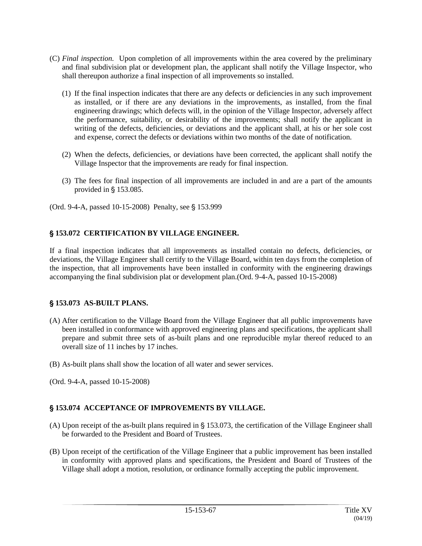- (C) *Final inspection.* Upon completion of all improvements within the area covered by the preliminary and final subdivision plat or development plan, the applicant shall notify the Village Inspector, who shall thereupon authorize a final inspection of all improvements so installed.
	- (1) If the final inspection indicates that there are any defects or deficiencies in any such improvement as installed, or if there are any deviations in the improvements, as installed, from the final engineering drawings; which defects will, in the opinion of the Village Inspector, adversely affect the performance, suitability, or desirability of the improvements; shall notify the applicant in writing of the defects, deficiencies, or deviations and the applicant shall, at his or her sole cost and expense, correct the defects or deviations within two months of the date of notification.
	- (2) When the defects, deficiencies, or deviations have been corrected, the applicant shall notify the Village Inspector that the improvements are ready for final inspection.
	- (3) The fees for final inspection of all improvements are included in and are a part of the amounts provided in  $\S$  153.085.
- (Ord. 9-4-A, passed 10-15-2008) Penalty, see § 153.999

## ' **153.072 CERTIFICATION BY VILLAGE ENGINEER.**

If a final inspection indicates that all improvements as installed contain no defects, deficiencies, or deviations, the Village Engineer shall certify to the Village Board, within ten days from the completion of the inspection, that all improvements have been installed in conformity with the engineering drawings accompanying the final subdivision plat or development plan.(Ord. 9-4-A, passed 10-15-2008)

## ' **153.073 AS-BUILT PLANS.**

- (A) After certification to the Village Board from the Village Engineer that all public improvements have been installed in conformance with approved engineering plans and specifications, the applicant shall prepare and submit three sets of as-built plans and one reproducible mylar thereof reduced to an overall size of 11 inches by 17 inches.
- (B) As-built plans shall show the location of all water and sewer services.
- (Ord. 9-4-A, passed 10-15-2008)

# ' **153.074 ACCEPTANCE OF IMPROVEMENTS BY VILLAGE.**

- (A) Upon receipt of the as-built plans required in  $\S$  153.073, the certification of the Village Engineer shall be forwarded to the President and Board of Trustees.
- (B) Upon receipt of the certification of the Village Engineer that a public improvement has been installed in conformity with approved plans and specifications, the President and Board of Trustees of the Village shall adopt a motion, resolution, or ordinance formally accepting the public improvement.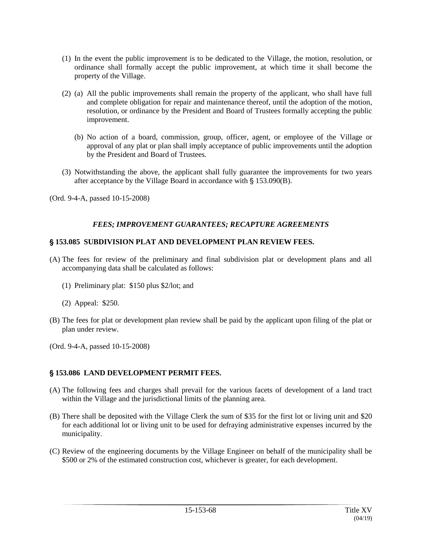- (1) In the event the public improvement is to be dedicated to the Village, the motion, resolution, or ordinance shall formally accept the public improvement, at which time it shall become the property of the Village.
- (2) (a) All the public improvements shall remain the property of the applicant, who shall have full and complete obligation for repair and maintenance thereof, until the adoption of the motion, resolution, or ordinance by the President and Board of Trustees formally accepting the public improvement.
	- (b) No action of a board, commission, group, officer, agent, or employee of the Village or approval of any plat or plan shall imply acceptance of public improvements until the adoption by the President and Board of Trustees.
- (3) Notwithstanding the above, the applicant shall fully guarantee the improvements for two years after acceptance by the Village Board in accordance with  $\S$  153.090(B).
- (Ord. 9-4-A, passed 10-15-2008)

## *FEES; IMPROVEMENT GUARANTEES; RECAPTURE AGREEMENTS*

### ' **153.085 SUBDIVISION PLAT AND DEVELOPMENT PLAN REVIEW FEES.**

- (A) The fees for review of the preliminary and final subdivision plat or development plans and all accompanying data shall be calculated as follows:
	- (1) Preliminary plat: \$150 plus \$2/lot; and
	- (2) Appeal: \$250.
- (B) The fees for plat or development plan review shall be paid by the applicant upon filing of the plat or plan under review.
- (Ord. 9-4-A, passed 10-15-2008)

## ' **153.086 LAND DEVELOPMENT PERMIT FEES.**

- (A) The following fees and charges shall prevail for the various facets of development of a land tract within the Village and the jurisdictional limits of the planning area.
- (B) There shall be deposited with the Village Clerk the sum of \$35 for the first lot or living unit and \$20 for each additional lot or living unit to be used for defraying administrative expenses incurred by the municipality.
- (C) Review of the engineering documents by the Village Engineer on behalf of the municipality shall be \$500 or 2% of the estimated construction cost, whichever is greater, for each development.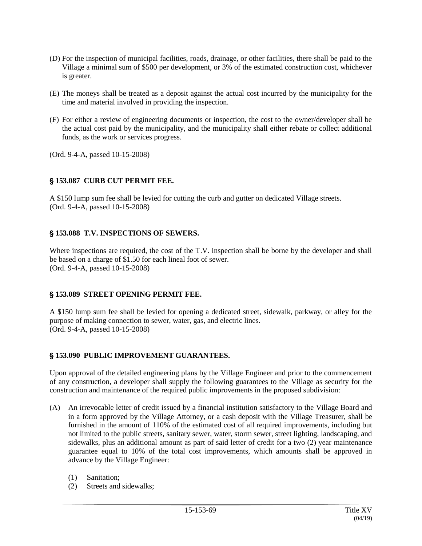- (D) For the inspection of municipal facilities, roads, drainage, or other facilities, there shall be paid to the Village a minimal sum of \$500 per development, or 3% of the estimated construction cost, whichever is greater.
- (E) The moneys shall be treated as a deposit against the actual cost incurred by the municipality for the time and material involved in providing the inspection.
- (F) For either a review of engineering documents or inspection, the cost to the owner/developer shall be the actual cost paid by the municipality, and the municipality shall either rebate or collect additional funds, as the work or services progress.

(Ord. 9-4-A, passed 10-15-2008)

## ' **153.087 CURB CUT PERMIT FEE.**

A \$150 lump sum fee shall be levied for cutting the curb and gutter on dedicated Village streets. (Ord. 9-4-A, passed 10-15-2008)

## ' **153.088 T.V. INSPECTIONS OF SEWERS.**

Where inspections are required, the cost of the T.V. inspection shall be borne by the developer and shall be based on a charge of \$1.50 for each lineal foot of sewer. (Ord. 9-4-A, passed 10-15-2008)

## ' **153.089 STREET OPENING PERMIT FEE.**

A \$150 lump sum fee shall be levied for opening a dedicated street, sidewalk, parkway, or alley for the purpose of making connection to sewer, water, gas, and electric lines. (Ord. 9-4-A, passed 10-15-2008)

## ' **153.090 PUBLIC IMPROVEMENT GUARANTEES.**

Upon approval of the detailed engineering plans by the Village Engineer and prior to the commencement of any construction, a developer shall supply the following guarantees to the Village as security for the construction and maintenance of the required public improvements in the proposed subdivision:

- (A) An irrevocable letter of credit issued by a financial institution satisfactory to the Village Board and in a form approved by the Village Attorney, or a cash deposit with the Village Treasurer, shall be furnished in the amount of 110% of the estimated cost of all required improvements, including but not limited to the public streets, sanitary sewer, water, storm sewer, street lighting, landscaping, and sidewalks, plus an additional amount as part of said letter of credit for a two (2) year maintenance guarantee equal to 10% of the total cost improvements, which amounts shall be approved in advance by the Village Engineer:
	- (1) Sanitation;
	- (2) Streets and sidewalks;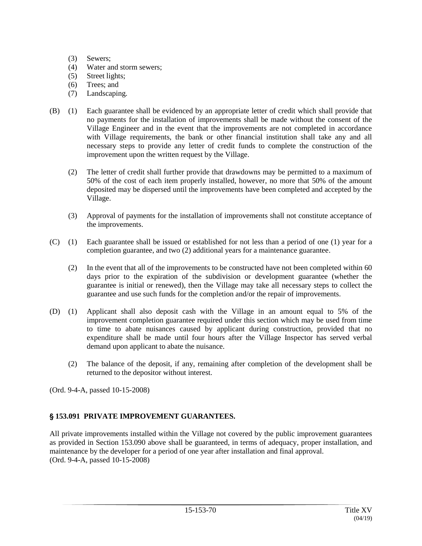- (3) Sewers;
- (4) Water and storm sewers;
- (5) Street lights;
- (6) Trees; and
- (7) Landscaping.
- (B) (1) Each guarantee shall be evidenced by an appropriate letter of credit which shall provide that no payments for the installation of improvements shall be made without the consent of the Village Engineer and in the event that the improvements are not completed in accordance with Village requirements, the bank or other financial institution shall take any and all necessary steps to provide any letter of credit funds to complete the construction of the improvement upon the written request by the Village.
	- (2) The letter of credit shall further provide that drawdowns may be permitted to a maximum of 50% of the cost of each item properly installed, however, no more that 50% of the amount deposited may be dispersed until the improvements have been completed and accepted by the Village.
	- (3) Approval of payments for the installation of improvements shall not constitute acceptance of the improvements.
- (C) (1) Each guarantee shall be issued or established for not less than a period of one (1) year for a completion guarantee, and two (2) additional years for a maintenance guarantee.
	- (2) In the event that all of the improvements to be constructed have not been completed within 60 days prior to the expiration of the subdivision or development guarantee (whether the guarantee is initial or renewed), then the Village may take all necessary steps to collect the guarantee and use such funds for the completion and/or the repair of improvements.
- (D) (1) Applicant shall also deposit cash with the Village in an amount equal to 5% of the improvement completion guarantee required under this section which may be used from time to time to abate nuisances caused by applicant during construction, provided that no expenditure shall be made until four hours after the Village Inspector has served verbal demand upon applicant to abate the nuisance.
	- (2) The balance of the deposit, if any, remaining after completion of the development shall be returned to the depositor without interest.

(Ord. 9-4-A, passed 10-15-2008)

# ' **153.091 PRIVATE IMPROVEMENT GUARANTEES.**

All private improvements installed within the Village not covered by the public improvement guarantees as provided in Section 153.090 above shall be guaranteed, in terms of adequacy, proper installation, and maintenance by the developer for a period of one year after installation and final approval. (Ord. 9-4-A, passed 10-15-2008)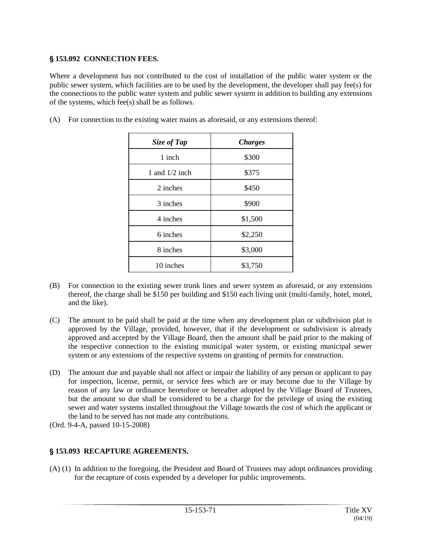# ' **153.092 CONNECTION FEES.**

Where a development has not contributed to the cost of installation of the public water system or the public sewer system, which facilities are to be used by the development, the developer shall pay fee(s) for the connections to the public water system and public sewer system in addition to building any extensions of the systems, which fee(s) shall be as follows.

| Size of Tap      | <b>Charges</b> |
|------------------|----------------|
| 1 inch           | \$300          |
| 1 and $1/2$ inch | \$375          |
| 2 inches         | \$450          |
| 3 inches         | \$900          |
| 4 inches         | \$1,500        |
| 6 inches         | \$2,250        |
| 8 inches         | \$3,000        |
| 10 inches        | \$3,750        |

(A) For connection to the existing water mains as aforesaid, or any extensions thereof:

- (B) For connection to the existing sewer trunk lines and sewer system as aforesaid, or any extensions thereof, the charge shall be \$150 per building and \$150 each living unit (multi-family, hotel, motel, and the like).
- (C) The amount to be paid shall be paid at the time when any development plan or subdivision plat is approved by the Village, provided, however, that if the development or subdivision is already approved and accepted by the Village Board, then the amount shall be paid prior to the making of the respective connection to the existing municipal water system, or existing municipal sewer system or any extensions of the respective systems on granting of permits for construction.
- (D) The amount due and payable shall not affect or impair the liability of any person or applicant to pay for inspection, license, permit, or service fees which are or may become due to the Village by reason of any law or ordinance heretofore or hereafter adopted by the Village Board of Trustees, but the amount so due shall be considered to be a charge for the privilege of using the existing sewer and water systems installed throughout the Village towards the cost of which the applicant or the land to be served has not made any contributions.
- (Ord. 9-4-A, passed 10-15-2008)

# ' **153.093 RECAPTURE AGREEMENTS.**

(A) (1) In addition to the foregoing, the President and Board of Trustees may adopt ordinances providing for the recapture of costs expended by a developer for public improvements.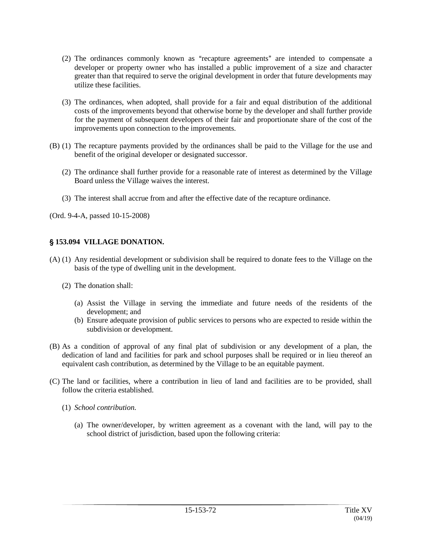- $(2)$  The ordinances commonly known as "recapture agreements" are intended to compensate a developer or property owner who has installed a public improvement of a size and character greater than that required to serve the original development in order that future developments may utilize these facilities.
- (3) The ordinances, when adopted, shall provide for a fair and equal distribution of the additional costs of the improvements beyond that otherwise borne by the developer and shall further provide for the payment of subsequent developers of their fair and proportionate share of the cost of the improvements upon connection to the improvements.
- (B) (1) The recapture payments provided by the ordinances shall be paid to the Village for the use and benefit of the original developer or designated successor.
	- (2) The ordinance shall further provide for a reasonable rate of interest as determined by the Village Board unless the Village waives the interest.
	- (3) The interest shall accrue from and after the effective date of the recapture ordinance.

(Ord. 9-4-A, passed 10-15-2008)

## ' **153.094 VILLAGE DONATION.**

- (A) (1) Any residential development or subdivision shall be required to donate fees to the Village on the basis of the type of dwelling unit in the development.
	- (2) The donation shall:
		- (a) Assist the Village in serving the immediate and future needs of the residents of the development; and
		- (b) Ensure adequate provision of public services to persons who are expected to reside within the subdivision or development.
- (B) As a condition of approval of any final plat of subdivision or any development of a plan, the dedication of land and facilities for park and school purposes shall be required or in lieu thereof an equivalent cash contribution, as determined by the Village to be an equitable payment.
- (C) The land or facilities, where a contribution in lieu of land and facilities are to be provided, shall follow the criteria established.
	- (1) *School contribution.*
		- (a) The owner/developer, by written agreement as a covenant with the land, will pay to the school district of jurisdiction, based upon the following criteria: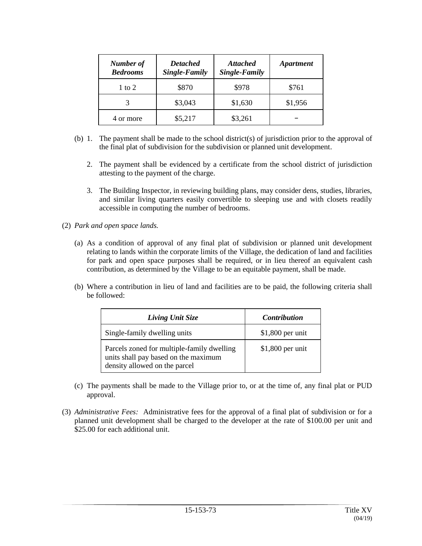| Number of<br><b>Bedrooms</b> | <b>Detached</b><br>Single-Family | <b>Attached</b><br>Single-Family | <i><b>Apartment</b></i> |
|------------------------------|----------------------------------|----------------------------------|-------------------------|
| 1 to 2                       | \$870                            | \$978                            | \$761                   |
|                              | \$3,043                          | \$1,630                          | \$1,956                 |
| 4 or more                    | \$5,217                          | \$3,261                          |                         |

- (b) 1. The payment shall be made to the school district(s) of jurisdiction prior to the approval of the final plat of subdivision for the subdivision or planned unit development.
	- 2. The payment shall be evidenced by a certificate from the school district of jurisdiction attesting to the payment of the charge.
	- 3. The Building Inspector, in reviewing building plans, may consider dens, studies, libraries, and similar living quarters easily convertible to sleeping use and with closets readily accessible in computing the number of bedrooms.
- (2) *Park and open space lands.*
	- (a) As a condition of approval of any final plat of subdivision or planned unit development relating to lands within the corporate limits of the Village, the dedication of land and facilities for park and open space purposes shall be required, or in lieu thereof an equivalent cash contribution, as determined by the Village to be an equitable payment, shall be made.
	- (b) Where a contribution in lieu of land and facilities are to be paid, the following criteria shall be followed:

| Living Unit Size                                                                                                    | <i>Contribution</i> |
|---------------------------------------------------------------------------------------------------------------------|---------------------|
| Single-family dwelling units                                                                                        | $$1,800$ per unit   |
| Parcels zoned for multiple-family dwelling<br>units shall pay based on the maximum<br>density allowed on the parcel | $$1,800$ per unit   |

- (c) The payments shall be made to the Village prior to, or at the time of, any final plat or PUD approval.
- (3) *Administrative Fees:* Administrative fees for the approval of a final plat of subdivision or for a planned unit development shall be charged to the developer at the rate of \$100.00 per unit and \$25.00 for each additional unit.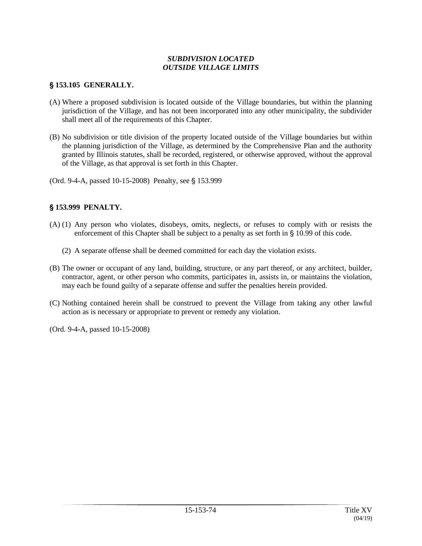### *SUBDIVISION LOCATED OUTSIDE VILLAGE LIMITS*

### ' **153.105 GENERALLY.**

- (A) Where a proposed subdivision is located outside of the Village boundaries, but within the planning jurisdiction of the Village, and has not been incorporated into any other municipality, the subdivider shall meet all of the requirements of this Chapter.
- (B) No subdivision or title division of the property located outside of the Village boundaries but within the planning jurisdiction of the Village, as determined by the Comprehensive Plan and the authority granted by Illinois statutes, shall be recorded, registered, or otherwise approved, without the approval of the Village, as that approval is set forth in this Chapter.

(Ord. 9-4-A, passed 10-15-2008) Penalty, see § 153.999

### ' **153.999 PENALTY.**

- (A) (1) Any person who violates, disobeys, omits, neglects, or refuses to comply with or resists the enforcement of this Chapter shall be subject to a penalty as set forth in  $\S$  10.99 of this code.
	- (2) A separate offense shall be deemed committed for each day the violation exists.
- (B) The owner or occupant of any land, building, structure, or any part thereof, or any architect, builder, contractor, agent, or other person who commits, participates in, assists in, or maintains the violation, may each be found guilty of a separate offense and suffer the penalties herein provided.
- (C) Nothing contained herein shall be construed to prevent the Village from taking any other lawful action as is necessary or appropriate to prevent or remedy any violation.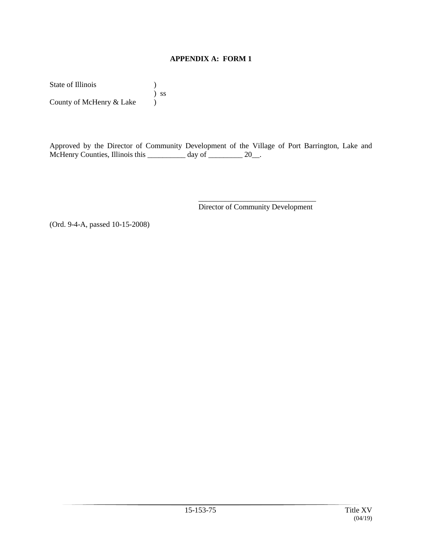### **APPENDIX A: FORM 1**

State of Illinois (a) ) ss County of McHenry & Lake

Approved by the Director of Community Development of the Village of Port Barrington, Lake and McHenry Counties, Illinois this \_\_\_\_\_\_\_\_\_ day of \_\_\_\_\_\_\_\_\_ 20\_\_.

> \_\_\_\_\_\_\_\_\_\_\_\_\_\_\_\_\_\_\_\_\_\_\_\_\_\_\_\_\_\_\_ Director of Community Development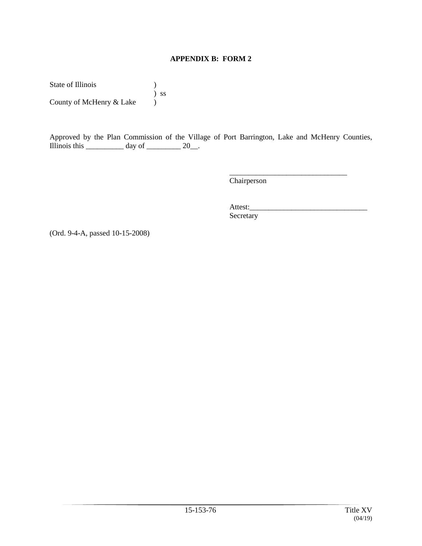### **APPENDIX B: FORM 2**

State of Illinois (a) ) ss County of McHenry & Lake

Approved by the Plan Commission of the Village of Port Barrington, Lake and McHenry Counties, Illinois this \_\_\_\_\_\_\_\_\_\_\_\_ day of \_\_\_\_\_\_\_\_\_\_ 20\_\_.

Chairperson

Attest: Secretary

\_\_\_\_\_\_\_\_\_\_\_\_\_\_\_\_\_\_\_\_\_\_\_\_\_\_\_\_\_\_\_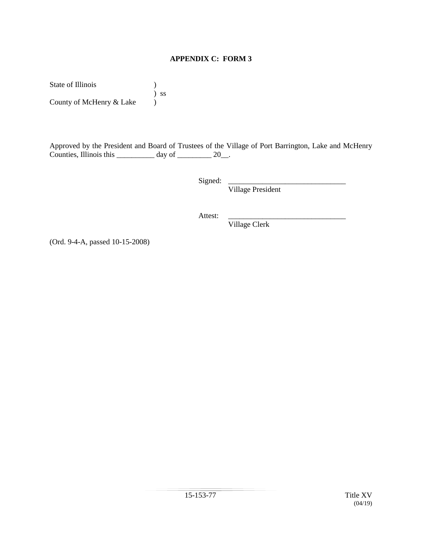### **APPENDIX C: FORM 3**

State of Illinois (a) ) ss County of McHenry  $&$  Lake  $\bigcup$ 

Approved by the President and Board of Trustees of the Village of Port Barrington, Lake and McHenry Counties, Illinois this \_\_\_\_\_\_\_\_\_\_\_ day of \_\_\_\_\_\_\_\_\_\_ 20\_\_.

Signed: \_\_\_\_\_\_\_\_\_\_\_\_\_\_\_\_\_\_\_\_\_\_\_\_\_\_\_\_\_\_\_

Village President

Attest:

Village Clerk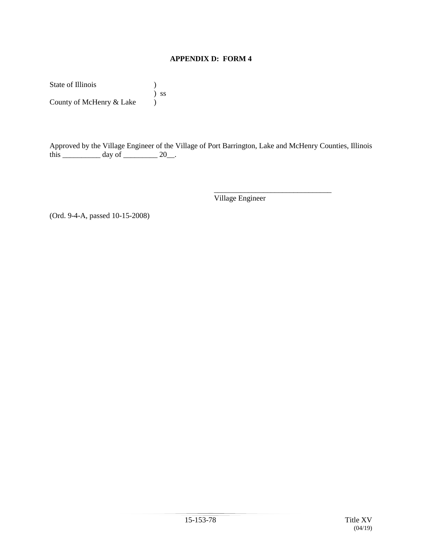### **APPENDIX D: FORM 4**

State of Illinois (a) ) ss County of McHenry & Lake

Approved by the Village Engineer of the Village of Port Barrington, Lake and McHenry Counties, Illinois this  $\frac{1}{\frac{1}{\frac{1}{\sqrt{1-\frac{1}{\sqrt{1-\frac{1}{\sqrt{1-\frac{1}{\sqrt{1-\frac{1}{\sqrt{1-\frac{1}{\sqrt{1-\frac{1}{\sqrt{1-\frac{1}{\sqrt{1-\frac{1}{\sqrt{1-\frac{1}{\sqrt{1-\frac{1}{\sqrt{1-\frac{1}{\sqrt{1-\frac{1}{\sqrt{1-\frac{1}{\sqrt{1-\frac{1}{\sqrt{1-\frac{1}{\sqrt{1-\frac{1}{\sqrt{1-\frac{1}{\sqrt{1-\frac{1}{\sqrt{1-\frac{1}{\sqrt{1-\frac{1}{\sqrt{1-\frac{1}{\sqrt{1-\frac{1}{\sqrt$ 

Village Engineer

\_\_\_\_\_\_\_\_\_\_\_\_\_\_\_\_\_\_\_\_\_\_\_\_\_\_\_\_\_\_\_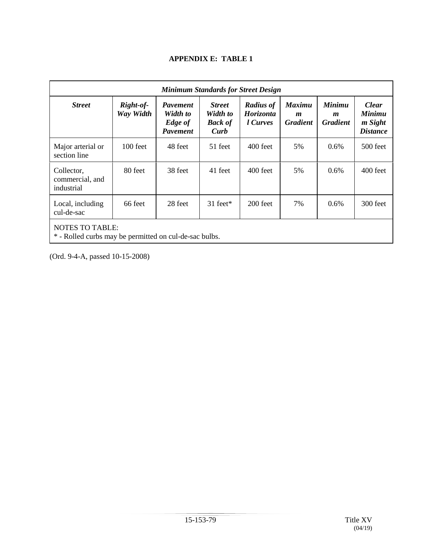### **APPENDIX E: TABLE 1**

| <b>Minimum Standards for Street Design</b>                                       |                        |                                                           |                                                     |                                           |                                                      |                                                      |                                                             |
|----------------------------------------------------------------------------------|------------------------|-----------------------------------------------------------|-----------------------------------------------------|-------------------------------------------|------------------------------------------------------|------------------------------------------------------|-------------------------------------------------------------|
| <b>Street</b>                                                                    | Right-of-<br>Way Width | <b>Pavement</b><br>Width to<br>Edge of<br><b>Pavement</b> | <b>Street</b><br>Width to<br><b>Back of</b><br>Curb | <b>Radius of</b><br>Horizonta<br>l Curves | <b>Maximu</b><br>$\boldsymbol{m}$<br><b>Gradient</b> | <b>Minimu</b><br>$\boldsymbol{m}$<br><b>Gradient</b> | <b>Clear</b><br><b>Minimu</b><br>m Sight<br><b>Distance</b> |
| Major arterial or<br>section line                                                | 100 feet               | 48 feet                                                   | 51 feet                                             | 400 feet                                  | 5%                                                   | $0.6\%$                                              | 500 feet                                                    |
| Collector,<br>commercial, and<br>industrial                                      | 80 feet                | 38 feet                                                   | 41 feet                                             | $400$ feet                                | 5%                                                   | 0.6%                                                 | $400$ feet                                                  |
| Local, including<br>cul-de-sac                                                   | 66 feet                | 28 feet                                                   | $31 \text{ feet}^*$                                 | $200$ feet                                | 7%                                                   | 0.6%                                                 | $300$ feet                                                  |
| <b>NOTES TO TABLE:</b><br>* - Rolled curbs may be permitted on cul-de-sac bulbs. |                        |                                                           |                                                     |                                           |                                                      |                                                      |                                                             |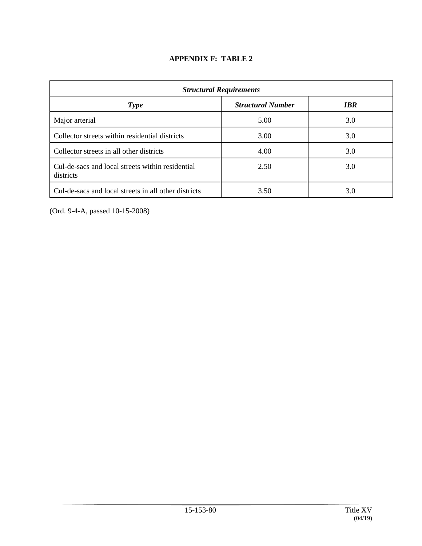| <b>APPENDIX F: TABLE 2</b> |  |
|----------------------------|--|
|                            |  |

| <b>Structural Requirements</b>                                |      |     |  |  |  |
|---------------------------------------------------------------|------|-----|--|--|--|
| <b>Structural Number</b><br><b>IBR</b><br><b>Type</b>         |      |     |  |  |  |
| Major arterial                                                | 5.00 | 3.0 |  |  |  |
| Collector streets within residential districts                | 3.00 | 3.0 |  |  |  |
| Collector streets in all other districts                      | 4.00 | 3.0 |  |  |  |
| Cul-de-sacs and local streets within residential<br>districts | 2.50 | 3.0 |  |  |  |
| Cul-de-sacs and local streets in all other districts          | 3.50 | 3.0 |  |  |  |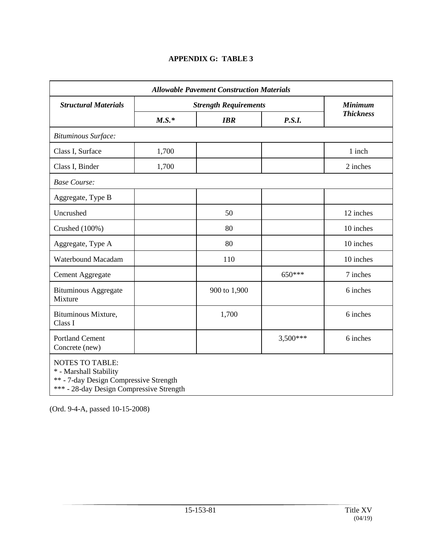# **APPENDIX G: TABLE 3**

| <b>Allowable Pavement Construction Materials</b>                                                                                       |                              |              |            |                  |
|----------------------------------------------------------------------------------------------------------------------------------------|------------------------------|--------------|------------|------------------|
| <b>Structural Materials</b>                                                                                                            | <b>Strength Requirements</b> |              |            | <b>Minimum</b>   |
|                                                                                                                                        | $M.S.*$<br><b>IBR</b>        |              | P.S.I.     | <b>Thickness</b> |
| <b>Bituminous Surface:</b>                                                                                                             |                              |              |            |                  |
| Class I, Surface                                                                                                                       | 1,700                        |              |            | 1 inch           |
| Class I, Binder                                                                                                                        | 1,700                        |              |            | 2 inches         |
| <b>Base Course:</b>                                                                                                                    |                              |              |            |                  |
| Aggregate, Type B                                                                                                                      |                              |              |            |                  |
| Uncrushed                                                                                                                              |                              | 50           |            | 12 inches        |
| Crushed (100%)                                                                                                                         |                              | 80           |            | 10 inches        |
| Aggregate, Type A                                                                                                                      |                              | 80           |            | 10 inches        |
| Waterbound Macadam                                                                                                                     |                              | 110          |            | 10 inches        |
| Cement Aggregate                                                                                                                       |                              |              | 650***     | 7 inches         |
| <b>Bituminous Aggregate</b><br>Mixture                                                                                                 |                              | 900 to 1,900 |            | 6 inches         |
| Bituminous Mixture,<br>Class I                                                                                                         |                              | 1,700        |            | 6 inches         |
| <b>Portland Cement</b><br>Concrete (new)                                                                                               |                              |              | $3,500***$ | 6 inches         |
| <b>NOTES TO TABLE:</b><br>* - Marshall Stability<br>** - 7-day Design Compressive Strength<br>*** - 28-day Design Compressive Strength |                              |              |            |                  |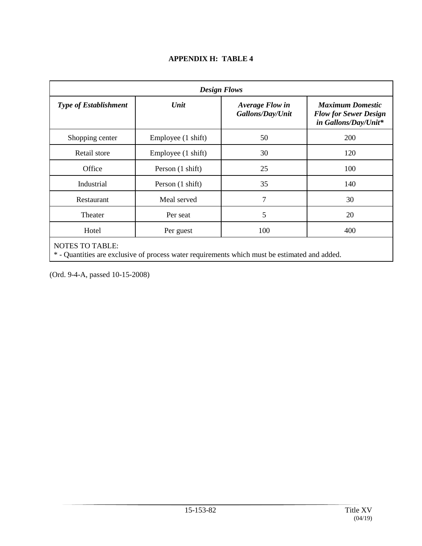| <b>Design Flows</b>          |                    |                                            |                                                                                 |  |  |
|------------------------------|--------------------|--------------------------------------------|---------------------------------------------------------------------------------|--|--|
| <b>Type of Establishment</b> | Unit               | <b>Average Flow in</b><br>Gallons/Day/Unit | <b>Maximum Domestic</b><br><b>Flow for Sewer Design</b><br>in Gallons/Day/Unit* |  |  |
| Shopping center              | Employee (1 shift) | 50                                         | 200                                                                             |  |  |
| Retail store                 | Employee (1 shift) | 30                                         | 120                                                                             |  |  |
| Office                       | Person (1 shift)   | 25                                         | 100                                                                             |  |  |
| Industrial                   | Person (1 shift)   | 35                                         | 140                                                                             |  |  |
| Restaurant                   | Meal served        | $\overline{7}$                             | 30                                                                              |  |  |
| Theater                      | Per seat           | 5                                          | 20                                                                              |  |  |
| Hotel                        | Per guest          | 100                                        | 400                                                                             |  |  |
| MOTEC TO TARI E.             |                    |                                            |                                                                                 |  |  |

# **APPENDIX H: TABLE 4**

NOTES TO TABLE: \* - Quantities are exclusive of process water requirements which must be estimated and added.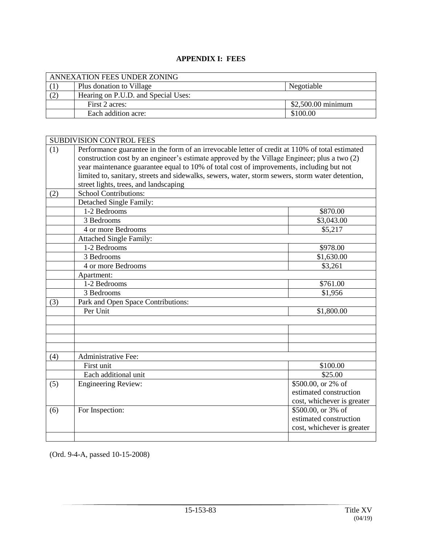### **APPENDIX I: FEES**

| ANNEXATION FEES UNDER ZONING |                                     |                    |  |  |
|------------------------------|-------------------------------------|--------------------|--|--|
|                              | Plus donation to Village            | Negotiable         |  |  |
| (2)                          | Hearing on P.U.D. and Special Uses: |                    |  |  |
|                              | First 2 acres:                      | \$2,500.00 minimum |  |  |
|                              | Each addition acre:                 | \$100.00           |  |  |

|     | <b>SUBDIVISION CONTROL FEES</b>                                                                                                                                                                                                                                                             |                            |  |  |  |
|-----|---------------------------------------------------------------------------------------------------------------------------------------------------------------------------------------------------------------------------------------------------------------------------------------------|----------------------------|--|--|--|
| (1) | Performance guarantee in the form of an irrevocable letter of credit at 110% of total estimated<br>construction cost by an engineer's estimate approved by the Village Engineer; plus a two (2)<br>year maintenance guarantee equal to 10% of total cost of improvements, including but not |                            |  |  |  |
|     | limited to, sanitary, streets and sidewalks, sewers, water, storm sewers, storm water detention,<br>street lights, trees, and landscaping                                                                                                                                                   |                            |  |  |  |
| (2) | <b>School Contributions:</b>                                                                                                                                                                                                                                                                |                            |  |  |  |
|     | Detached Single Family:                                                                                                                                                                                                                                                                     |                            |  |  |  |
|     | 1-2 Bedrooms                                                                                                                                                                                                                                                                                | \$870.00                   |  |  |  |
|     | 3 Bedrooms                                                                                                                                                                                                                                                                                  | \$3,043.00                 |  |  |  |
|     | 4 or more Bedrooms                                                                                                                                                                                                                                                                          | \$5,217                    |  |  |  |
|     | <b>Attached Single Family:</b>                                                                                                                                                                                                                                                              |                            |  |  |  |
|     | 1-2 Bedrooms                                                                                                                                                                                                                                                                                | \$978.00                   |  |  |  |
|     | 3 Bedrooms                                                                                                                                                                                                                                                                                  | \$1,630.00                 |  |  |  |
|     | 4 or more Bedrooms                                                                                                                                                                                                                                                                          | \$3,261                    |  |  |  |
|     | Apartment:                                                                                                                                                                                                                                                                                  |                            |  |  |  |
|     | 1-2 Bedrooms                                                                                                                                                                                                                                                                                | \$761.00                   |  |  |  |
|     | 3 Bedrooms                                                                                                                                                                                                                                                                                  | \$1,956                    |  |  |  |
| (3) | Park and Open Space Contributions:                                                                                                                                                                                                                                                          |                            |  |  |  |
|     | Per Unit                                                                                                                                                                                                                                                                                    | \$1,800.00                 |  |  |  |
|     |                                                                                                                                                                                                                                                                                             |                            |  |  |  |
|     |                                                                                                                                                                                                                                                                                             |                            |  |  |  |
|     |                                                                                                                                                                                                                                                                                             |                            |  |  |  |
|     |                                                                                                                                                                                                                                                                                             |                            |  |  |  |
| (4) | <b>Administrative Fee:</b>                                                                                                                                                                                                                                                                  |                            |  |  |  |
|     | First unit                                                                                                                                                                                                                                                                                  | \$100.00                   |  |  |  |
|     | Each additional unit                                                                                                                                                                                                                                                                        | \$25.00                    |  |  |  |
| (5) | <b>Engineering Review:</b>                                                                                                                                                                                                                                                                  | $$500.00$ , or 2% of       |  |  |  |
|     |                                                                                                                                                                                                                                                                                             | estimated construction     |  |  |  |
|     |                                                                                                                                                                                                                                                                                             | cost, whichever is greater |  |  |  |
| (6) | For Inspection:                                                                                                                                                                                                                                                                             | \$500.00, or 3% of         |  |  |  |
|     |                                                                                                                                                                                                                                                                                             | estimated construction     |  |  |  |
|     |                                                                                                                                                                                                                                                                                             | cost, whichever is greater |  |  |  |
|     |                                                                                                                                                                                                                                                                                             |                            |  |  |  |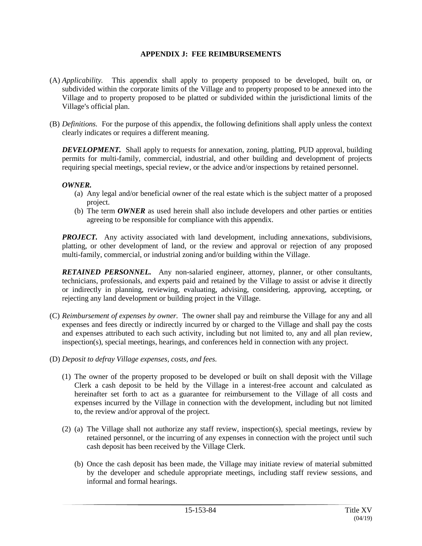#### **APPENDIX J: FEE REIMBURSEMENTS**

- (A) *Applicability.* This appendix shall apply to property proposed to be developed, built on, or subdivided within the corporate limits of the Village and to property proposed to be annexed into the Village and to property proposed to be platted or subdivided within the jurisdictional limits of the Village's official plan.
- (B) *Definitions.* For the purpose of this appendix, the following definitions shall apply unless the context clearly indicates or requires a different meaning.

*DEVELOPMENT.* Shall apply to requests for annexation, zoning, platting, PUD approval, building permits for multi-family, commercial, industrial, and other building and development of projects requiring special meetings, special review, or the advice and/or inspections by retained personnel.

#### *OWNER.*

- (a) Any legal and/or beneficial owner of the real estate which is the subject matter of a proposed project.
- (b) The term *OWNER* as used herein shall also include developers and other parties or entities agreeing to be responsible for compliance with this appendix.

*PROJECT.* Any activity associated with land development, including annexations, subdivisions, platting, or other development of land, or the review and approval or rejection of any proposed multi-family, commercial, or industrial zoning and/or building within the Village.

*RETAINED PERSONNEL.* Any non-salaried engineer, attorney, planner, or other consultants, technicians, professionals, and experts paid and retained by the Village to assist or advise it directly or indirectly in planning, reviewing, evaluating, advising, considering, approving, accepting, or rejecting any land development or building project in the Village.

- (C) *Reimbursement of expenses by owner.* The owner shall pay and reimburse the Village for any and all expenses and fees directly or indirectly incurred by or charged to the Village and shall pay the costs and expenses attributed to each such activity, including but not limited to, any and all plan review, inspection(s), special meetings, hearings, and conferences held in connection with any project.
- (D) *Deposit to defray Village expenses, costs, and fees.*
	- (1) The owner of the property proposed to be developed or built on shall deposit with the Village Clerk a cash deposit to be held by the Village in a interest-free account and calculated as hereinafter set forth to act as a guarantee for reimbursement to the Village of all costs and expenses incurred by the Village in connection with the development, including but not limited to, the review and/or approval of the project.
	- (2) (a) The Village shall not authorize any staff review, inspection(s), special meetings, review by retained personnel, or the incurring of any expenses in connection with the project until such cash deposit has been received by the Village Clerk.
		- (b) Once the cash deposit has been made, the Village may initiate review of material submitted by the developer and schedule appropriate meetings, including staff review sessions, and informal and formal hearings.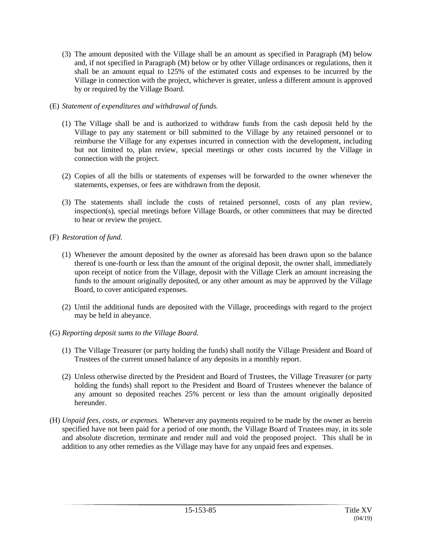- (3) The amount deposited with the Village shall be an amount as specified in Paragraph (M) below and, if not specified in Paragraph (M) below or by other Village ordinances or regulations, then it shall be an amount equal to 125% of the estimated costs and expenses to be incurred by the Village in connection with the project, whichever is greater, unless a different amount is approved by or required by the Village Board.
- (E) *Statement of expenditures and withdrawal of funds.*
	- (1) The Village shall be and is authorized to withdraw funds from the cash deposit held by the Village to pay any statement or bill submitted to the Village by any retained personnel or to reimburse the Village for any expenses incurred in connection with the development, including but not limited to, plan review, special meetings or other costs incurred by the Village in connection with the project.
	- (2) Copies of all the bills or statements of expenses will be forwarded to the owner whenever the statements, expenses, or fees are withdrawn from the deposit.
	- (3) The statements shall include the costs of retained personnel, costs of any plan review, inspection(s), special meetings before Village Boards, or other committees that may be directed to hear or review the project.
- (F) *Restoration of fund.*
	- (1) Whenever the amount deposited by the owner as aforesaid has been drawn upon so the balance thereof is one-fourth or less than the amount of the original deposit, the owner shall, immediately upon receipt of notice from the Village, deposit with the Village Clerk an amount increasing the funds to the amount originally deposited, or any other amount as may be approved by the Village Board, to cover anticipated expenses.
	- (2) Until the additional funds are deposited with the Village, proceedings with regard to the project may be held in abeyance.
- (G) *Reporting deposit sums to the Village Board.*
	- (1) The Village Treasurer (or party holding the funds) shall notify the Village President and Board of Trustees of the current unused balance of any deposits in a monthly report.
	- (2) Unless otherwise directed by the President and Board of Trustees, the Village Treasurer (or party holding the funds) shall report to the President and Board of Trustees whenever the balance of any amount so deposited reaches 25% percent or less than the amount originally deposited hereunder.
- (H) *Unpaid fees, costs, or expenses.* Whenever any payments required to be made by the owner as herein specified have not been paid for a period of one month, the Village Board of Trustees may, in its sole and absolute discretion, terminate and render null and void the proposed project. This shall be in addition to any other remedies as the Village may have for any unpaid fees and expenses.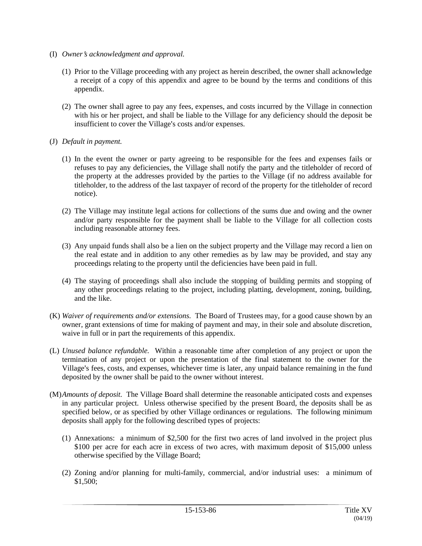- (I) *Owner*=*s acknowledgment and approval.*
	- (1) Prior to the Village proceeding with any project as herein described, the owner shall acknowledge a receipt of a copy of this appendix and agree to be bound by the terms and conditions of this appendix.
	- (2) The owner shall agree to pay any fees, expenses, and costs incurred by the Village in connection with his or her project, and shall be liable to the Village for any deficiency should the deposit be insufficient to cover the Village's costs and/or expenses.
- (J) *Default in payment.*
	- (1) In the event the owner or party agreeing to be responsible for the fees and expenses fails or refuses to pay any deficiencies, the Village shall notify the party and the titleholder of record of the property at the addresses provided by the parties to the Village (if no address available for titleholder, to the address of the last taxpayer of record of the property for the titleholder of record notice).
	- (2) The Village may institute legal actions for collections of the sums due and owing and the owner and/or party responsible for the payment shall be liable to the Village for all collection costs including reasonable attorney fees.
	- (3) Any unpaid funds shall also be a lien on the subject property and the Village may record a lien on the real estate and in addition to any other remedies as by law may be provided, and stay any proceedings relating to the property until the deficiencies have been paid in full.
	- (4) The staying of proceedings shall also include the stopping of building permits and stopping of any other proceedings relating to the project, including platting, development, zoning, building, and the like.
- (K) *Waiver of requirements and/or extensions.* The Board of Trustees may, for a good cause shown by an owner, grant extensions of time for making of payment and may, in their sole and absolute discretion, waive in full or in part the requirements of this appendix.
- (L) *Unused balance refundable.* Within a reasonable time after completion of any project or upon the termination of any project or upon the presentation of the final statement to the owner for the Village's fees, costs, and expenses, whichever time is later, any unpaid balance remaining in the fund deposited by the owner shall be paid to the owner without interest.
- (M)*Amounts of deposit.* The Village Board shall determine the reasonable anticipated costs and expenses in any particular project. Unless otherwise specified by the present Board, the deposits shall be as specified below, or as specified by other Village ordinances or regulations. The following minimum deposits shall apply for the following described types of projects:
	- (1) Annexations: a minimum of \$2,500 for the first two acres of land involved in the project plus \$100 per acre for each acre in excess of two acres, with maximum deposit of \$15,000 unless otherwise specified by the Village Board;
	- (2) Zoning and/or planning for multi-family, commercial, and/or industrial uses: a minimum of \$1,500;